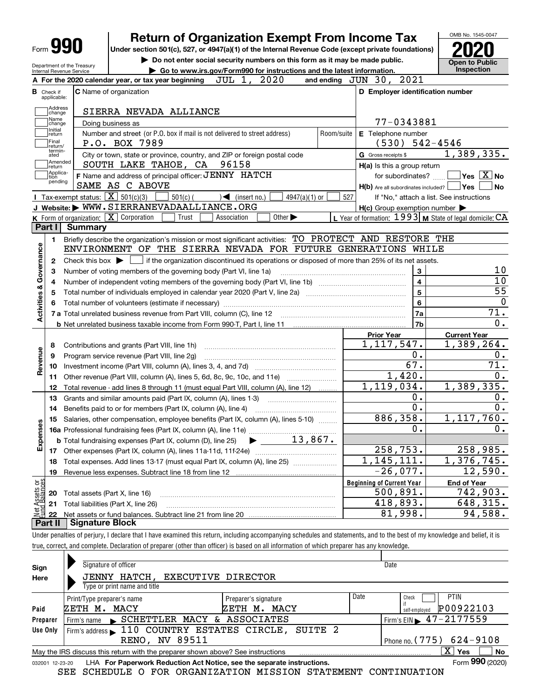|          | Ret                  |
|----------|----------------------|
| Form 990 | <b>Under section</b> |

Department of the Treasury Internal Revenue Service

## turn of Organization Exempt From Income Tax

on 501(c), 527, or 4947(a)(1) of the Internal Revenue Code (except private foundations)

▶ Do not enter social security numbers on this form as it may be made public. <br>• Go to www.irs.gov/Form990 for instructions and the latest information. Inspection | Go to www.irs.gov/Form990 for instructions and the latest information. Inspection



|                         |                               | JUL 1, 2020<br>A For the 2020 calendar year, or tax year beginning                                                                                       |              | and ending JUN 30, 2021                             |                                                           |  |  |  |  |  |  |  |  |
|-------------------------|-------------------------------|----------------------------------------------------------------------------------------------------------------------------------------------------------|--------------|-----------------------------------------------------|-----------------------------------------------------------|--|--|--|--|--|--|--|--|
|                         | <b>B</b> Check if applicable: | <b>C</b> Name of organization                                                                                                                            |              | D Employer identification number                    |                                                           |  |  |  |  |  |  |  |  |
|                         |                               | Address<br>SIERRA NEVADA ALLIANCE<br>change                                                                                                              |              |                                                     |                                                           |  |  |  |  |  |  |  |  |
|                         | Name<br>change                | 77-0343881                                                                                                                                               |              |                                                     |                                                           |  |  |  |  |  |  |  |  |
|                         |                               | Doing business as<br>Initial<br>Number and street (or P.O. box if mail is not delivered to street address)<br>E Telephone number<br>Room/suite<br>return |              |                                                     |                                                           |  |  |  |  |  |  |  |  |
|                         | Final<br>return/              | P.O. BOX 7989                                                                                                                                            | $542 - 4546$ |                                                     |                                                           |  |  |  |  |  |  |  |  |
|                         | termin-<br>ated               | City or town, state or province, country, and ZIP or foreign postal code                                                                                 |              | G Gross receipts \$                                 | 1,389,335.                                                |  |  |  |  |  |  |  |  |
|                         | Amended<br>return             | 96158<br>SOUTH LAKE TAHOE, CA                                                                                                                            |              | H(a) Is this a group return                         |                                                           |  |  |  |  |  |  |  |  |
|                         | Applica-<br>tion<br>pending   | F Name and address of principal officer: JENNY HATCH                                                                                                     |              | for subordinates?                                   | $\sqrt{}$ Yes $\sqrt{}$ X $\sqrt{}$ No                    |  |  |  |  |  |  |  |  |
|                         |                               | SAME AS C ABOVE                                                                                                                                          |              | H(b) Are all subordinates included?   Yes           | <b>No</b>                                                 |  |  |  |  |  |  |  |  |
|                         |                               | <b>I</b> Tax-exempt status: $\boxed{\mathbf{X}}$ 501(c)(3)<br>$501(c)$ (<br>$\sqrt{\frac{1}{1}}$ (insert no.)<br>$4947(a)(1)$ or                         | 527          |                                                     | If "No," attach a list. See instructions                  |  |  |  |  |  |  |  |  |
|                         |                               | J Website: WWW.SIERRANEVADAALLIANCE.ORG                                                                                                                  |              | $H(c)$ Group exemption number $\blacktriangleright$ |                                                           |  |  |  |  |  |  |  |  |
|                         |                               | <b>K</b> Form of organization: $\boxed{\mathbf{X}}$ Corporation<br>Other $\blacktriangleright$<br>Trust<br>Association                                   |              |                                                     | L Year of formation: $1993$ M State of legal domicile: CA |  |  |  |  |  |  |  |  |
|                         | Part I                        | <b>Summary</b>                                                                                                                                           |              |                                                     |                                                           |  |  |  |  |  |  |  |  |
|                         | $\mathbf{1}$                  | Briefly describe the organization's mission or most significant activities: TO PROTECT AND RESTORE THE                                                   |              |                                                     |                                                           |  |  |  |  |  |  |  |  |
| Activities & Governance |                               | ENVIRONMENT OF THE SIERRA NEVADA FOR FUTURE GENERATIONS WHILE                                                                                            |              |                                                     |                                                           |  |  |  |  |  |  |  |  |
|                         | 2                             | Check this box $\blacktriangleright$ $\Box$ if the organization discontinued its operations or disposed of more than 25% of its net assets.              |              |                                                     |                                                           |  |  |  |  |  |  |  |  |
|                         | з                             | Number of voting members of the governing body (Part VI, line 1a)                                                                                        |              | 3                                                   | 10<br>10                                                  |  |  |  |  |  |  |  |  |
|                         | 4                             |                                                                                                                                                          |              | $\overline{\mathbf{4}}$<br>$\overline{5}$           | 55                                                        |  |  |  |  |  |  |  |  |
|                         | 5                             |                                                                                                                                                          | 6            | $\mathbf{0}$                                        |                                                           |  |  |  |  |  |  |  |  |
|                         | 6                             |                                                                                                                                                          |              | 7a                                                  | 71.                                                       |  |  |  |  |  |  |  |  |
|                         |                               |                                                                                                                                                          |              | 7 <sub>b</sub>                                      | $\overline{0}$ .                                          |  |  |  |  |  |  |  |  |
|                         |                               |                                                                                                                                                          |              | <b>Prior Year</b>                                   | <b>Current Year</b>                                       |  |  |  |  |  |  |  |  |
|                         | 8                             | Contributions and grants (Part VIII, line 1h)                                                                                                            |              | 1, 117, 547.                                        | $\overline{1,389}, 264.$                                  |  |  |  |  |  |  |  |  |
|                         | 9                             | Program service revenue (Part VIII, line 2g)                                                                                                             |              | 0.                                                  | 0.                                                        |  |  |  |  |  |  |  |  |
| Revenue                 | 10                            |                                                                                                                                                          |              | $\overline{67}$ .                                   | $\overline{71}$ .                                         |  |  |  |  |  |  |  |  |
|                         |                               | 11 Other revenue (Part VIII, column (A), lines 5, 6d, 8c, 9c, 10c, and 11e)                                                                              |              | 1,420.                                              | 0.                                                        |  |  |  |  |  |  |  |  |
|                         | 12                            | Total revenue - add lines 8 through 11 (must equal Part VIII, column (A), line 12)                                                                       |              | 1, 119, 034.                                        | 1,389,335.                                                |  |  |  |  |  |  |  |  |
|                         | 13                            | Grants and similar amounts paid (Part IX, column (A), lines 1-3)                                                                                         |              | 0.                                                  | 0.                                                        |  |  |  |  |  |  |  |  |
|                         | 14                            | Benefits paid to or for members (Part IX, column (A), line 4)                                                                                            |              | $\overline{0}$ .                                    | $\overline{0}$ .                                          |  |  |  |  |  |  |  |  |
|                         | 15                            | Salaries, other compensation, employee benefits (Part IX, column (A), lines 5-10)                                                                        |              | 886, 358.                                           | 1, 117, 760.                                              |  |  |  |  |  |  |  |  |
| Expenses                |                               |                                                                                                                                                          |              | 0.                                                  | 0.                                                        |  |  |  |  |  |  |  |  |
|                         |                               | 13,867.<br><b>b</b> Total fundraising expenses (Part IX, column (D), line 25)<br>$\blacktriangleright$ $\_\_$                                            |              |                                                     |                                                           |  |  |  |  |  |  |  |  |
|                         |                               |                                                                                                                                                          |              | 258,753.                                            | 258,985.                                                  |  |  |  |  |  |  |  |  |
|                         |                               | 18 Total expenses. Add lines 13-17 (must equal Part IX, column (A), line 25)                                                                             |              | 1,145,111.                                          | 1,376,745.                                                |  |  |  |  |  |  |  |  |
|                         | 19                            |                                                                                                                                                          |              | $-26,077.$                                          | 12,590.                                                   |  |  |  |  |  |  |  |  |
| or<br>383               |                               |                                                                                                                                                          |              | <b>Beginning of Current Year</b>                    | <b>End of Year</b>                                        |  |  |  |  |  |  |  |  |
| Assets<br>1 Balanc      | 20                            | Total assets (Part X, line 16)                                                                                                                           |              | 500,891.                                            | 742,903.                                                  |  |  |  |  |  |  |  |  |
|                         | 21                            | Total liabilities (Part X, line 26)                                                                                                                      |              | 418,893.                                            | $\overline{648,315}$ .                                    |  |  |  |  |  |  |  |  |
|                         | 22                            |                                                                                                                                                          |              | 81,998.                                             | 94,588.                                                   |  |  |  |  |  |  |  |  |
|                         |                               | Part II   Signature Block                                                                                                                                |              |                                                     |                                                           |  |  |  |  |  |  |  |  |

Under penalties of perjury, I declare that I have examined this return, including accompanying schedules and statements, and to the best of my knowledge and belief, it is true, correct, and complete. Declaration of preparer (other than officer) is based on all information of which preparer has any knowledge.

| Sign                                                                                                         | Signature of officer                                                            | Date                                          |           |  |  |  |  |  |  |  |
|--------------------------------------------------------------------------------------------------------------|---------------------------------------------------------------------------------|-----------------------------------------------|-----------|--|--|--|--|--|--|--|
| Here                                                                                                         | JENNY HATCH, EXECUTIVE DIRECTOR                                                 |                                               |           |  |  |  |  |  |  |  |
|                                                                                                              | Type or print name and title                                                    |                                               |           |  |  |  |  |  |  |  |
|                                                                                                              | Print/Type preparer's name<br>Preparer's signature                              | Date<br><b>PTIN</b><br>Check                  |           |  |  |  |  |  |  |  |
| Paid                                                                                                         | ZETH M. MACY<br>ZETH M.<br>MACY                                                 | P00922103<br>self-emploved                    |           |  |  |  |  |  |  |  |
| Preparer                                                                                                     | Firm's name SCHETTLER MACY & ASSOCIATES                                         | Firm's EIN $\blacktriangleright$ 47 - 2177559 |           |  |  |  |  |  |  |  |
| Use Only                                                                                                     | Firm's address 110 COUNTRY ESTATES CIRCLE, SUITE 2                              |                                               |           |  |  |  |  |  |  |  |
|                                                                                                              | RENO, NV 89511                                                                  | Phone no. $(775)$ 624-9108                    |           |  |  |  |  |  |  |  |
|                                                                                                              | May the IRS discuss this return with the preparer shown above? See instructions | X.<br>Yes                                     | <b>No</b> |  |  |  |  |  |  |  |
| Form 990 (2020)<br>LHA For Paperwork Reduction Act Notice, see the separate instructions.<br>032001 12-23-20 |                                                                                 |                                               |           |  |  |  |  |  |  |  |

SEE SCHEDULE O FOR ORGANIZATION MISSION STATEMENT CONTINUATION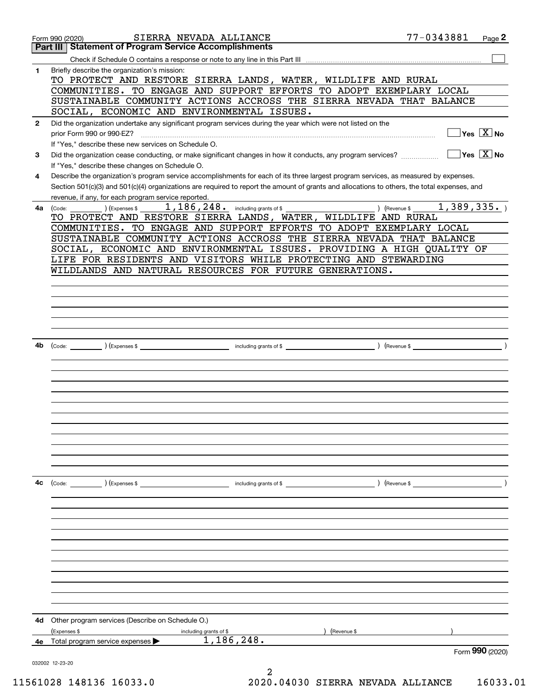|              | SIERRA NEVADA ALLIANCE<br>Form 990 (2020)                                                                                                    | 77-0343881<br>Page 2                   |
|--------------|----------------------------------------------------------------------------------------------------------------------------------------------|----------------------------------------|
|              | <b>Part III   Statement of Program Service Accomplishments</b>                                                                               |                                        |
|              |                                                                                                                                              |                                        |
| 1            | Briefly describe the organization's mission:                                                                                                 |                                        |
|              | TO PROTECT AND RESTORE SIERRA LANDS, WATER, WILDLIFE AND RURAL<br>COMMUNITIES. TO ENGAGE AND SUPPORT EFFORTS TO ADOPT EXEMPLARY LOCAL        |                                        |
|              | SUSTAINABLE COMMUNITY ACTIONS ACCROSS THE SIERRA NEVADA THAT BALANCE                                                                         |                                        |
|              | SOCIAL, ECONOMIC AND ENVIRONMENTAL ISSUES.                                                                                                   |                                        |
| $\mathbf{2}$ | Did the organization undertake any significant program services during the year which were not listed on the                                 |                                        |
|              | prior Form 990 or 990-EZ?                                                                                                                    | $Yes \quad X \quad No$                 |
|              | If "Yes," describe these new services on Schedule O.                                                                                         |                                        |
| 3            | Did the organization cease conducting, or make significant changes in how it conducts, any program services?                                 | $\sqrt{}$ Yes $\sqrt{}$ X $\sqrt{}$ No |
|              | If "Yes," describe these changes on Schedule O.                                                                                              |                                        |
| 4            | Describe the organization's program service accomplishments for each of its three largest program services, as measured by expenses.         |                                        |
|              | Section 501(c)(3) and 501(c)(4) organizations are required to report the amount of grants and allocations to others, the total expenses, and |                                        |
|              | revenue, if any, for each program service reported.                                                                                          |                                        |
| 4a           | $1,186,248$ and $\overline{a}$ including grants of \$<br>) (Expenses \$<br>(Code:                                                            | 1,389,335.<br>) (Revenue \$            |
|              | TO PROTECT AND RESTORE SIERRA LANDS, WATER, WILDLIFE AND RURAL<br>COMMUNITIES. TO ENGAGE AND SUPPORT EFFORTS TO ADOPT EXEMPLARY LOCAL        |                                        |
|              | SUSTAINABLE COMMUNITY ACTIONS ACCROSS THE SIERRA NEVADA THAT BALANCE                                                                         |                                        |
|              | SOCIAL, ECONOMIC AND ENVIRONMENTAL ISSUES. PROVIDING A HIGH QUALITY OF                                                                       |                                        |
|              | LIFE FOR RESIDENTS AND VISITORS WHILE PROTECTING AND STEWARDING                                                                              |                                        |
|              | WILDLANDS AND NATURAL RESOURCES FOR FUTURE GENERATIONS.                                                                                      |                                        |
|              |                                                                                                                                              |                                        |
|              |                                                                                                                                              |                                        |
|              |                                                                                                                                              |                                        |
|              |                                                                                                                                              |                                        |
|              |                                                                                                                                              |                                        |
|              |                                                                                                                                              |                                        |
| 4b           |                                                                                                                                              |                                        |
|              |                                                                                                                                              |                                        |
|              |                                                                                                                                              |                                        |
|              |                                                                                                                                              |                                        |
|              |                                                                                                                                              |                                        |
|              |                                                                                                                                              |                                        |
|              |                                                                                                                                              |                                        |
|              |                                                                                                                                              |                                        |
|              |                                                                                                                                              |                                        |
|              |                                                                                                                                              |                                        |
|              |                                                                                                                                              |                                        |
|              |                                                                                                                                              |                                        |
| 4c           | $\left(\text{Code:}\right)$ $\left(\text{Expenses $}\right)$                                                                                 |                                        |
|              | including grants of \$                                                                                                                       | ) (Revenue \$                          |
|              |                                                                                                                                              |                                        |
|              |                                                                                                                                              |                                        |
|              |                                                                                                                                              |                                        |
|              |                                                                                                                                              |                                        |
|              |                                                                                                                                              |                                        |
|              |                                                                                                                                              |                                        |
|              |                                                                                                                                              |                                        |
|              |                                                                                                                                              |                                        |
|              |                                                                                                                                              |                                        |
|              |                                                                                                                                              |                                        |
|              |                                                                                                                                              |                                        |
| 4d           | Other program services (Describe on Schedule O.)                                                                                             |                                        |
|              | (Expenses \$<br>(Revenue \$<br>including grants of \$                                                                                        |                                        |
| 4е           | 1,186,248.<br>Total program service expenses                                                                                                 |                                        |
|              |                                                                                                                                              | Form 990 (2020)                        |
|              | 032002 12-23-20<br>2                                                                                                                         |                                        |
|              |                                                                                                                                              |                                        |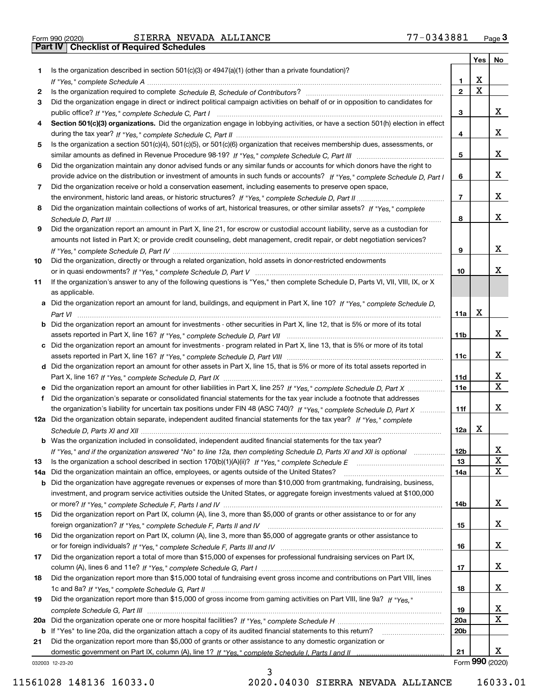|     |                                                                                                                                       |                 | Yes                     | No                      |
|-----|---------------------------------------------------------------------------------------------------------------------------------------|-----------------|-------------------------|-------------------------|
| 1.  | Is the organization described in section $501(c)(3)$ or $4947(a)(1)$ (other than a private foundation)?                               |                 |                         |                         |
|     |                                                                                                                                       | 1.              | X                       |                         |
| 2   |                                                                                                                                       | $\overline{2}$  | $\overline{\mathbf{x}}$ |                         |
| 3   | Did the organization engage in direct or indirect political campaign activities on behalf of or in opposition to candidates for       |                 |                         |                         |
|     |                                                                                                                                       | 3               |                         | x                       |
| 4   | Section 501(c)(3) organizations. Did the organization engage in lobbying activities, or have a section 501(h) election in effect      |                 |                         |                         |
|     |                                                                                                                                       | 4               |                         | x                       |
| 5   | Is the organization a section 501(c)(4), 501(c)(5), or 501(c)(6) organization that receives membership dues, assessments, or          |                 |                         |                         |
|     |                                                                                                                                       | 5               |                         | X                       |
| 6   | Did the organization maintain any donor advised funds or any similar funds or accounts for which donors have the right to             |                 |                         |                         |
|     | provide advice on the distribution or investment of amounts in such funds or accounts? If "Yes," complete Schedule D, Part I          | 6               |                         | x                       |
| 7   | Did the organization receive or hold a conservation easement, including easements to preserve open space,                             |                 |                         |                         |
|     |                                                                                                                                       | $\overline{7}$  |                         | x                       |
| 8   | Did the organization maintain collections of works of art, historical treasures, or other similar assets? If "Yes," complete          |                 |                         | x                       |
|     |                                                                                                                                       | 8               |                         |                         |
| 9   | Did the organization report an amount in Part X, line 21, for escrow or custodial account liability, serve as a custodian for         |                 |                         |                         |
|     | amounts not listed in Part X; or provide credit counseling, debt management, credit repair, or debt negotiation services?             | 9               |                         | x                       |
| 10  |                                                                                                                                       |                 |                         |                         |
|     | Did the organization, directly or through a related organization, hold assets in donor-restricted endowments                          | 10              |                         | x                       |
| 11  | If the organization's answer to any of the following questions is "Yes," then complete Schedule D, Parts VI, VII, VIII, IX, or X      |                 |                         |                         |
|     | as applicable.                                                                                                                        |                 |                         |                         |
|     | a Did the organization report an amount for land, buildings, and equipment in Part X, line 10? If "Yes," complete Schedule D,         |                 |                         |                         |
|     |                                                                                                                                       | 11a             | X                       |                         |
|     | <b>b</b> Did the organization report an amount for investments - other securities in Part X, line 12, that is 5% or more of its total |                 |                         |                         |
|     |                                                                                                                                       | 11b             |                         | x                       |
|     | c Did the organization report an amount for investments - program related in Part X, line 13, that is 5% or more of its total         |                 |                         |                         |
|     |                                                                                                                                       | 11c             |                         | x                       |
|     | d Did the organization report an amount for other assets in Part X, line 15, that is 5% or more of its total assets reported in       |                 |                         |                         |
|     |                                                                                                                                       | 11d             |                         | х                       |
|     | e Did the organization report an amount for other liabilities in Part X, line 25? If "Yes," complete Schedule D, Part X               | <b>11e</b>      |                         | $\overline{\mathbf{x}}$ |
| f   | Did the organization's separate or consolidated financial statements for the tax year include a footnote that addresses               |                 |                         |                         |
|     | the organization's liability for uncertain tax positions under FIN 48 (ASC 740)? If "Yes," complete Schedule D, Part X                | 11f             |                         | x                       |
|     | 12a Did the organization obtain separate, independent audited financial statements for the tax year? If "Yes," complete               |                 |                         |                         |
|     |                                                                                                                                       | 12a             | х                       |                         |
|     | <b>b</b> Was the organization included in consolidated, independent audited financial statements for the tax year?                    |                 |                         |                         |
|     | If "Yes," and if the organization answered "No" to line 12a, then completing Schedule D, Parts XI and XII is optional                 | 12D             |                         | ᅀ                       |
| 13  |                                                                                                                                       | 13              |                         | $\mathbf X$             |
| 14a | Did the organization maintain an office, employees, or agents outside of the United States?                                           | 14a             |                         | $\mathbf X$             |
|     | <b>b</b> Did the organization have aggregate revenues or expenses of more than \$10,000 from grantmaking, fundraising, business,      |                 |                         |                         |
|     | investment, and program service activities outside the United States, or aggregate foreign investments valued at \$100,000            |                 |                         | x                       |
| 15  | Did the organization report on Part IX, column (A), line 3, more than \$5,000 of grants or other assistance to or for any             | 14b             |                         |                         |
|     |                                                                                                                                       | 15              |                         | x                       |
| 16  | Did the organization report on Part IX, column (A), line 3, more than \$5,000 of aggregate grants or other assistance to              |                 |                         |                         |
|     |                                                                                                                                       | 16              |                         | X                       |
| 17  | Did the organization report a total of more than \$15,000 of expenses for professional fundraising services on Part IX,               |                 |                         |                         |
|     |                                                                                                                                       | 17              |                         | x                       |
| 18  | Did the organization report more than \$15,000 total of fundraising event gross income and contributions on Part VIII, lines          |                 |                         |                         |
|     |                                                                                                                                       | 18              |                         | x                       |
| 19  | Did the organization report more than \$15,000 of gross income from gaming activities on Part VIII, line 9a? If "Yes."                |                 |                         |                         |
|     |                                                                                                                                       | 19              |                         | X                       |
|     |                                                                                                                                       | 20a             |                         | $\mathbf X$             |
|     | b If "Yes" to line 20a, did the organization attach a copy of its audited financial statements to this return?                        | 20 <sub>b</sub> |                         |                         |
| 21  | Did the organization report more than \$5,000 of grants or other assistance to any domestic organization or                           |                 |                         |                         |
|     |                                                                                                                                       | 21              |                         | X.                      |
|     | 032003 12-23-20                                                                                                                       |                 |                         | Form 990 (2020)         |

032003 12-23-20

3 11561028 148136 16033.0 2020.04030 SIERRA NEVADA ALLIANCE 16033.01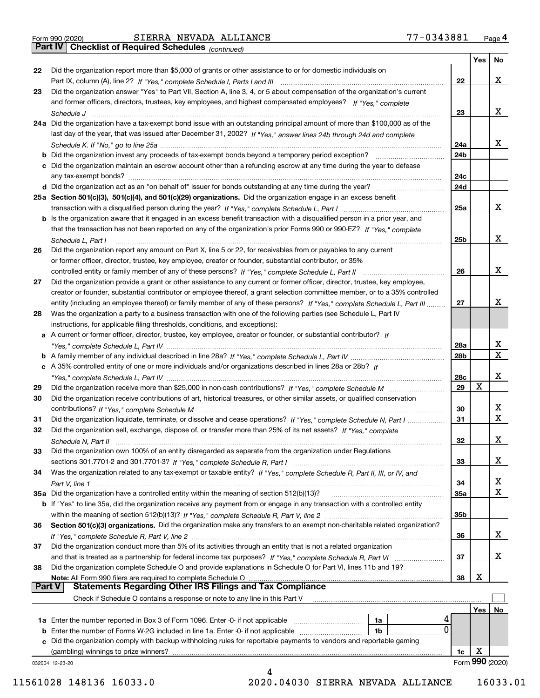Part IV | Checklist of Required Schedules

(continued)

|               |                                                                                                                                                                               |     | Yes | No              |
|---------------|-------------------------------------------------------------------------------------------------------------------------------------------------------------------------------|-----|-----|-----------------|
| 22            | Did the organization report more than \$5,000 of grants or other assistance to or for domestic individuals on                                                                 |     |     |                 |
|               |                                                                                                                                                                               | 22  |     | x               |
| 23            | Did the organization answer "Yes" to Part VII, Section A, line 3, 4, or 5 about compensation of the organization's current                                                    |     |     |                 |
|               | and former officers, directors, trustees, key employees, and highest compensated employees? If "Yes," complete                                                                |     |     |                 |
|               |                                                                                                                                                                               | 23  |     | х               |
|               | 24a Did the organization have a tax-exempt bond issue with an outstanding principal amount of more than \$100,000 as of the                                                   |     |     |                 |
|               | last day of the year, that was issued after December 31, 2002? If "Yes," answer lines 24b through 24d and complete                                                            |     |     |                 |
|               |                                                                                                                                                                               | 24a |     | х               |
|               | <b>b</b> Did the organization invest any proceeds of tax-exempt bonds beyond a temporary period exception?<br><u> 1986 - Jan Bernard Bernstein, amerikansk politiker og s</u> | 24b |     |                 |
|               | c Did the organization maintain an escrow account other than a refunding escrow at any time during the year to defease                                                        |     |     |                 |
|               | any tax-exempt bonds?                                                                                                                                                         | 24c |     |                 |
|               |                                                                                                                                                                               | 24d |     |                 |
|               | 25a Section 501(c)(3), 501(c)(4), and 501(c)(29) organizations. Did the organization engage in an excess benefit                                                              |     |     |                 |
|               |                                                                                                                                                                               | 25a |     | х               |
|               | b Is the organization aware that it engaged in an excess benefit transaction with a disqualified person in a prior year, and                                                  |     |     |                 |
|               | that the transaction has not been reported on any of the organization's prior Forms 990 or 990-EZ? If "Yes," complete                                                         |     |     |                 |
|               | Schedule L. Part I                                                                                                                                                            | 25b |     | х               |
| 26            | Did the organization report any amount on Part X, line 5 or 22, for receivables from or payables to any current                                                               |     |     |                 |
|               | or former officer, director, trustee, key employee, creator or founder, substantial contributor, or 35%                                                                       |     |     |                 |
|               |                                                                                                                                                                               | 26  |     | х               |
| 27            | Did the organization provide a grant or other assistance to any current or former officer, director, trustee, key employee,                                                   |     |     |                 |
|               | creator or founder, substantial contributor or employee thereof, a grant selection committee member, or to a 35% controlled                                                   |     |     |                 |
|               | entity (including an employee thereof) or family member of any of these persons? If "Yes," complete Schedule L, Part III                                                      | 27  |     | x               |
| 28            | Was the organization a party to a business transaction with one of the following parties (see Schedule L, Part IV                                                             |     |     |                 |
|               | instructions, for applicable filing thresholds, conditions, and exceptions):                                                                                                  |     |     |                 |
|               | a A current or former officer, director, trustee, key employee, creator or founder, or substantial contributor? If                                                            |     |     |                 |
|               |                                                                                                                                                                               | 28a |     | x               |
|               |                                                                                                                                                                               | 28b |     | $\mathbf x$     |
|               | c A 35% controlled entity of one or more individuals and/or organizations described in lines 28a or 28b? If                                                                   |     |     |                 |
|               |                                                                                                                                                                               | 28c |     | х               |
| 29            |                                                                                                                                                                               | 29  | X   |                 |
| 30            | Did the organization receive contributions of art, historical treasures, or other similar assets, or qualified conservation                                                   |     |     |                 |
|               |                                                                                                                                                                               | 30  |     | x               |
|               | Did the organization liquidate, terminate, or dissolve and cease operations? If "Yes," complete Schedule N, Part I                                                            | 31  |     | $\mathbf x$     |
| 31            |                                                                                                                                                                               |     |     |                 |
| 32            | Did the organization sell, exchange, dispose of, or transfer more than 25% of its net assets? If "Yes," complete                                                              |     |     | х               |
|               | Schedule N, Part II                                                                                                                                                           | 32  |     |                 |
| 33            | Did the organization own 100% of an entity disregarded as separate from the organization under Regulations                                                                    |     |     | х               |
|               |                                                                                                                                                                               | 33  |     |                 |
| 34            | Was the organization related to any tax-exempt or taxable entity? If "Yes," complete Schedule R, Part II, III, or IV, and                                                     |     |     |                 |
|               |                                                                                                                                                                               | 34  |     | x               |
|               | 35a Did the organization have a controlled entity within the meaning of section 512(b)(13)?                                                                                   | 35a |     | X               |
|               | <b>b</b> If "Yes" to line 35a, did the organization receive any payment from or engage in any transaction with a controlled entity                                            |     |     |                 |
|               |                                                                                                                                                                               | 35b |     |                 |
| 36            | Section 501(c)(3) organizations. Did the organization make any transfers to an exempt non-charitable related organization?                                                    |     |     |                 |
|               |                                                                                                                                                                               | 36  |     | x               |
| 37            | Did the organization conduct more than 5% of its activities through an entity that is not a related organization                                                              |     |     |                 |
|               | and that is treated as a partnership for federal income tax purposes? If "Yes," complete Schedule R, Part VI                                                                  | 37  |     | х               |
| 38            | Did the organization complete Schedule O and provide explanations in Schedule O for Part VI, lines 11b and 19?                                                                |     |     |                 |
|               | Note: All Form 990 filers are required to complete Schedule O                                                                                                                 | 38  | х   |                 |
| <b>Part V</b> | <b>Statements Regarding Other IRS Filings and Tax Compliance</b>                                                                                                              |     |     |                 |
|               | Check if Schedule O contains a response or note to any line in this Part V                                                                                                    |     |     |                 |
|               |                                                                                                                                                                               |     | Yes | No              |
|               | 1a                                                                                                                                                                            |     |     |                 |
|               | 0<br>1b                                                                                                                                                                       |     |     |                 |
|               | c Did the organization comply with backup withholding rules for reportable payments to vendors and reportable gaming                                                          |     |     |                 |
|               | (gambling) winnings to prize winners?                                                                                                                                         | 1c  | X   |                 |
|               | 032004 12-23-20                                                                                                                                                               |     |     | Form 990 (2020) |
|               | 4                                                                                                                                                                             |     |     |                 |

 <sup>11561028 148136 16033.0 2020.04030</sup> SIERRA NEVADA ALLIANCE 16033.01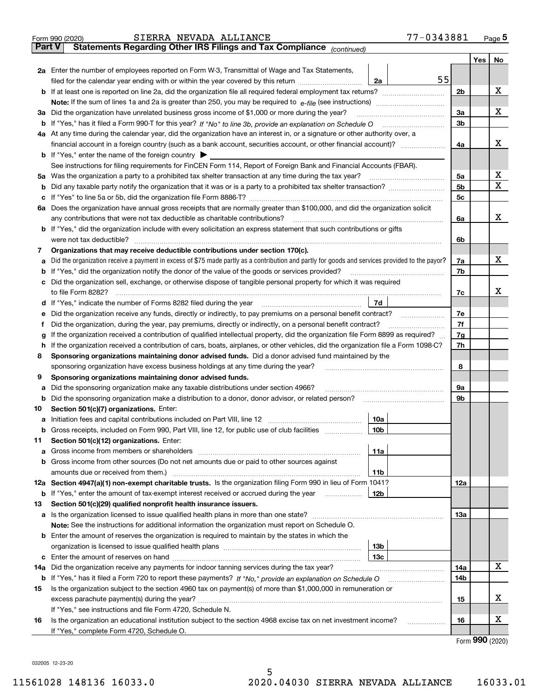|        | 77-0343881<br>SIERRA NEVADA ALLIANCE<br>Form 990 (2020)                                                                                                                                   |                |                     | Page $5$ |  |  |  |  |  |  |  |
|--------|-------------------------------------------------------------------------------------------------------------------------------------------------------------------------------------------|----------------|---------------------|----------|--|--|--|--|--|--|--|
| Part V | Statements Regarding Other IRS Filings and Tax Compliance (continued)                                                                                                                     |                |                     |          |  |  |  |  |  |  |  |
|        |                                                                                                                                                                                           |                | Yes                 | No       |  |  |  |  |  |  |  |
|        | 2a Enter the number of employees reported on Form W-3, Transmittal of Wage and Tax Statements,                                                                                            |                |                     |          |  |  |  |  |  |  |  |
|        | 55<br>filed for the calendar year ending with or within the year covered by this return [11] [11] filed for the calendar year ending with or within the year covered by this return<br>2a |                |                     |          |  |  |  |  |  |  |  |
|        |                                                                                                                                                                                           |                |                     |          |  |  |  |  |  |  |  |
|        |                                                                                                                                                                                           |                |                     |          |  |  |  |  |  |  |  |
|        | 3a Did the organization have unrelated business gross income of \$1,000 or more during the year?                                                                                          |                |                     |          |  |  |  |  |  |  |  |
|        |                                                                                                                                                                                           | 3 <sub>b</sub> |                     |          |  |  |  |  |  |  |  |
|        | 4a At any time during the calendar year, did the organization have an interest in, or a signature or other authority over, a                                                              |                |                     |          |  |  |  |  |  |  |  |
|        |                                                                                                                                                                                           | 4a             |                     | х        |  |  |  |  |  |  |  |
|        | <b>b</b> If "Yes," enter the name of the foreign country $\blacktriangleright$                                                                                                            |                |                     |          |  |  |  |  |  |  |  |
|        | See instructions for filing requirements for FinCEN Form 114, Report of Foreign Bank and Financial Accounts (FBAR).                                                                       |                |                     |          |  |  |  |  |  |  |  |
|        | 5a Was the organization a party to a prohibited tax shelter transaction at any time during the tax year?                                                                                  | 5a             |                     | X        |  |  |  |  |  |  |  |
|        |                                                                                                                                                                                           | 5 <sub>b</sub> |                     | Χ        |  |  |  |  |  |  |  |
|        |                                                                                                                                                                                           | 5c             |                     |          |  |  |  |  |  |  |  |
|        | 6a Does the organization have annual gross receipts that are normally greater than \$100,000, and did the organization solicit                                                            |                |                     |          |  |  |  |  |  |  |  |
|        | any contributions that were not tax deductible as charitable contributions?                                                                                                               | 6a             |                     | х        |  |  |  |  |  |  |  |
|        | <b>b</b> If "Yes," did the organization include with every solicitation an express statement that such contributions or gifts                                                             |                |                     |          |  |  |  |  |  |  |  |
|        | were not tax deductible?                                                                                                                                                                  | 6b             |                     |          |  |  |  |  |  |  |  |
| 7      | Organizations that may receive deductible contributions under section 170(c).                                                                                                             |                |                     |          |  |  |  |  |  |  |  |
|        | a Did the organization receive a payment in excess of \$75 made partly as a contribution and partly for goods and services provided to the payor?                                         | 7a             |                     | x        |  |  |  |  |  |  |  |
|        | <b>b</b> If "Yes," did the organization notify the donor of the value of the goods or services provided?                                                                                  | 7b             |                     |          |  |  |  |  |  |  |  |
|        | c Did the organization sell, exchange, or otherwise dispose of tangible personal property for which it was required                                                                       |                |                     |          |  |  |  |  |  |  |  |
|        |                                                                                                                                                                                           | 7c             |                     | x        |  |  |  |  |  |  |  |
|        | 7d                                                                                                                                                                                        |                |                     |          |  |  |  |  |  |  |  |
|        | e Did the organization receive any funds, directly or indirectly, to pay premiums on a personal benefit contract?                                                                         | 7e             |                     |          |  |  |  |  |  |  |  |
| Ť.     | Did the organization, during the year, pay premiums, directly or indirectly, on a personal benefit contract?                                                                              | 7f             |                     |          |  |  |  |  |  |  |  |
| g      | If the organization received a contribution of qualified intellectual property, did the organization file Form 8899 as required?                                                          | 7g             |                     |          |  |  |  |  |  |  |  |
|        | h If the organization received a contribution of cars, boats, airplanes, or other vehicles, did the organization file a Form 1098-C?                                                      |                |                     |          |  |  |  |  |  |  |  |
| 8      | Sponsoring organizations maintaining donor advised funds. Did a donor advised fund maintained by the                                                                                      |                |                     |          |  |  |  |  |  |  |  |
|        | sponsoring organization have excess business holdings at any time during the year?                                                                                                        | 8              |                     |          |  |  |  |  |  |  |  |
| 9      | Sponsoring organizations maintaining donor advised funds.                                                                                                                                 |                |                     |          |  |  |  |  |  |  |  |
|        | a Did the sponsoring organization make any taxable distributions under section 4966?                                                                                                      | 9а             |                     |          |  |  |  |  |  |  |  |
|        | <b>b</b> Did the sponsoring organization make a distribution to a donor, donor advisor, or related person?                                                                                | 9b             |                     |          |  |  |  |  |  |  |  |
| 10     | Section 501(c)(7) organizations. Enter:                                                                                                                                                   |                |                     |          |  |  |  |  |  |  |  |
|        | 10a                                                                                                                                                                                       |                |                     |          |  |  |  |  |  |  |  |
| b      | Gross receipts, included on Form 990, Part VIII, line 12, for public use of club facilities<br>10b                                                                                        |                |                     |          |  |  |  |  |  |  |  |
| 11     | Section 501(c)(12) organizations. Enter:                                                                                                                                                  |                |                     |          |  |  |  |  |  |  |  |
|        | 11a                                                                                                                                                                                       |                |                     |          |  |  |  |  |  |  |  |
|        | b Gross income from other sources (Do not net amounts due or paid to other sources against                                                                                                |                |                     |          |  |  |  |  |  |  |  |
|        | amounts due or received from them.)<br>11b                                                                                                                                                |                |                     |          |  |  |  |  |  |  |  |
|        | 12a Section 4947(a)(1) non-exempt charitable trusts. Is the organization filing Form 990 in lieu of Form 1041?                                                                            | 12a            |                     |          |  |  |  |  |  |  |  |
| b      | If "Yes," enter the amount of tax-exempt interest received or accrued during the year<br>12b                                                                                              |                |                     |          |  |  |  |  |  |  |  |
| 13     | Section 501(c)(29) qualified nonprofit health insurance issuers.                                                                                                                          |                |                     |          |  |  |  |  |  |  |  |
|        | a Is the organization licensed to issue qualified health plans in more than one state?                                                                                                    | 13а            |                     |          |  |  |  |  |  |  |  |
|        | Note: See the instructions for additional information the organization must report on Schedule O.                                                                                         |                |                     |          |  |  |  |  |  |  |  |
|        | <b>b</b> Enter the amount of reserves the organization is required to maintain by the states in which the                                                                                 |                |                     |          |  |  |  |  |  |  |  |
|        | 13 <sub>b</sub>                                                                                                                                                                           |                |                     |          |  |  |  |  |  |  |  |
|        | 13с                                                                                                                                                                                       |                |                     |          |  |  |  |  |  |  |  |
| 14a    | Did the organization receive any payments for indoor tanning services during the tax year?                                                                                                | 14a            |                     | х        |  |  |  |  |  |  |  |
|        |                                                                                                                                                                                           | 14b            |                     |          |  |  |  |  |  |  |  |
| 15     | Is the organization subject to the section 4960 tax on payment(s) of more than \$1,000,000 in remuneration or                                                                             |                |                     |          |  |  |  |  |  |  |  |
|        |                                                                                                                                                                                           | 15             |                     | х        |  |  |  |  |  |  |  |
|        | If "Yes," see instructions and file Form 4720, Schedule N.                                                                                                                                |                |                     |          |  |  |  |  |  |  |  |
| 16     | Is the organization an educational institution subject to the section 4968 excise tax on net investment income?<br>.                                                                      | 16             |                     | х        |  |  |  |  |  |  |  |
|        | If "Yes," complete Form 4720, Schedule O.                                                                                                                                                 |                |                     |          |  |  |  |  |  |  |  |
|        |                                                                                                                                                                                           |                | $000 \; \text{meV}$ |          |  |  |  |  |  |  |  |

Form 990 (2020)

032005 12-23-20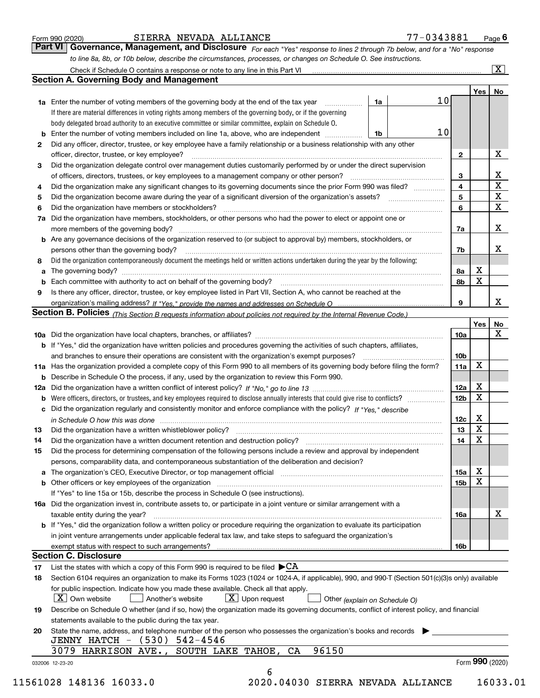|  | Form 990 (2020) |
|--|-----------------|
|  |                 |

#### Form 990 (2020) SIERRA\_NEVADA\_ALLIANCE //-U343881 Page SIERRA NEVADA ALLIANCE

| 77-0343881<br>Page $6$ |  |
|------------------------|--|
|------------------------|--|

For each "Yes" response to lines 2 through 7b below, and for a "No" response to line 8a, 8b, or 10b below, describe the circumstances, processes, or changes on Schedule O. See instructions. Part VI Governance, Management, and Disclosure

|    |                                                                                                                                                                            |    |    |                 | Yes   No    |             |  |  |  |  |
|----|----------------------------------------------------------------------------------------------------------------------------------------------------------------------------|----|----|-----------------|-------------|-------------|--|--|--|--|
|    | <b>1a</b> Enter the number of voting members of the governing body at the end of the tax year <i>manumum</i>                                                               | 1a | 10 |                 |             |             |  |  |  |  |
|    | If there are material differences in voting rights among members of the governing body, or if the governing                                                                |    |    |                 |             |             |  |  |  |  |
|    | body delegated broad authority to an executive committee or similar committee, explain on Schedule O.                                                                      |    |    |                 |             |             |  |  |  |  |
|    |                                                                                                                                                                            | 1b | 10 |                 |             |             |  |  |  |  |
| 2  | Did any officer, director, trustee, or key employee have a family relationship or a business relationship with any other                                                   |    |    |                 |             |             |  |  |  |  |
|    | officer, director, trustee, or key employee?                                                                                                                               |    |    | $\mathbf{2}$    |             | X           |  |  |  |  |
| 3  | Did the organization delegate control over management duties customarily performed by or under the direct supervision                                                      |    |    |                 |             |             |  |  |  |  |
|    |                                                                                                                                                                            |    |    | 3               |             | X           |  |  |  |  |
| 4  | Did the organization make any significant changes to its governing documents since the prior Form 990 was filed?                                                           |    |    | 4               |             | $\mathbf X$ |  |  |  |  |
| 5  |                                                                                                                                                                            |    |    | 5               |             | $\mathbf X$ |  |  |  |  |
| 6  | Did the organization have members or stockholders?                                                                                                                         |    |    | 6               |             | X           |  |  |  |  |
|    | 7a Did the organization have members, stockholders, or other persons who had the power to elect or appoint one or                                                          |    |    |                 |             |             |  |  |  |  |
|    |                                                                                                                                                                            |    |    | 7a              |             | X           |  |  |  |  |
|    | <b>b</b> Are any governance decisions of the organization reserved to (or subject to approval by) members, stockholders, or                                                |    |    |                 |             |             |  |  |  |  |
|    | persons other than the governing body?                                                                                                                                     |    |    | 7b              |             | Х           |  |  |  |  |
| 8  | Did the organization contemporaneously document the meetings held or written actions undertaken during the year by the following:                                          |    |    |                 |             |             |  |  |  |  |
| a  |                                                                                                                                                                            |    |    | 8a              | X           |             |  |  |  |  |
|    |                                                                                                                                                                            |    |    | 8b              | $\mathbf X$ |             |  |  |  |  |
| 9  | Is there any officer, director, trustee, or key employee listed in Part VII, Section A, who cannot be reached at the                                                       |    |    |                 |             |             |  |  |  |  |
|    |                                                                                                                                                                            |    |    | 9               |             | X           |  |  |  |  |
|    | Section B. Policies <sub>(This</sub> Section B requests information about policies not required by the Internal Revenue Code.)                                             |    |    |                 |             |             |  |  |  |  |
|    |                                                                                                                                                                            |    |    |                 | Yes         | <b>No</b>   |  |  |  |  |
|    |                                                                                                                                                                            |    |    | <b>10a</b>      |             | X           |  |  |  |  |
|    | <b>b</b> If "Yes," did the organization have written policies and procedures governing the activities of such chapters, affiliates,                                        |    |    |                 |             |             |  |  |  |  |
|    |                                                                                                                                                                            |    |    | 10 <sub>b</sub> |             |             |  |  |  |  |
|    | 11a Has the organization provided a complete copy of this Form 990 to all members of its governing body before filing the form?                                            |    |    | 11a             | X           |             |  |  |  |  |
|    | <b>b</b> Describe in Schedule O the process, if any, used by the organization to review this Form 990.                                                                     |    |    |                 |             |             |  |  |  |  |
|    |                                                                                                                                                                            |    |    | 12a             | X           |             |  |  |  |  |
| b  |                                                                                                                                                                            |    |    | 12 <sub>b</sub> | X           |             |  |  |  |  |
|    | c Did the organization regularly and consistently monitor and enforce compliance with the policy? If "Yes," describe                                                       |    |    |                 |             |             |  |  |  |  |
|    | in Schedule O how this was done www.communication.com/www.communications.com/www.communications.com/                                                                       |    |    | 12c             | X           |             |  |  |  |  |
| 13 |                                                                                                                                                                            |    |    | 13              | $\mathbf X$ |             |  |  |  |  |
| 14 | Did the organization have a written document retention and destruction policy? manufactured and the organization have a written document retention and destruction policy? |    |    | 14              | $\mathbf X$ |             |  |  |  |  |
| 15 | Did the process for determining compensation of the following persons include a review and approval by independent                                                         |    |    |                 |             |             |  |  |  |  |
|    | persons, comparability data, and contemporaneous substantiation of the deliberation and decision?                                                                          |    |    |                 |             |             |  |  |  |  |
|    |                                                                                                                                                                            |    |    | 15a             | X           |             |  |  |  |  |
|    | <b>b</b> Other officers or key employees of the organization                                                                                                               |    |    | 15b             | X           |             |  |  |  |  |
|    | If "Yes" to line 15a or 15b, describe the process in Schedule O (see instructions).                                                                                        |    |    |                 |             |             |  |  |  |  |
|    | 16a Did the organization invest in, contribute assets to, or participate in a joint venture or similar arrangement with a                                                  |    |    |                 |             |             |  |  |  |  |
|    | taxable entity during the year?                                                                                                                                            |    |    | 16a             |             | х           |  |  |  |  |
|    | b If "Yes," did the organization follow a written policy or procedure requiring the organization to evaluate its participation                                             |    |    |                 |             |             |  |  |  |  |
|    | in joint venture arrangements under applicable federal tax law, and take steps to safeguard the organization's                                                             |    |    |                 |             |             |  |  |  |  |
|    | exempt status with respect to such arrangements?                                                                                                                           |    |    | <b>16b</b>      |             |             |  |  |  |  |
|    | <b>Section C. Disclosure</b>                                                                                                                                               |    |    |                 |             |             |  |  |  |  |
| 17 | List the states with which a copy of this Form 990 is required to be filed $\blacktriangleright$ CA                                                                        |    |    |                 |             |             |  |  |  |  |
| 18 | Section 6104 requires an organization to make its Forms 1023 (1024 or 1024-A, if applicable), 990, and 990-T (Section 501(c)(3)s only) available                           |    |    |                 |             |             |  |  |  |  |
|    | for public inspection. Indicate how you made these available. Check all that apply.                                                                                        |    |    |                 |             |             |  |  |  |  |
|    | $X$ Upon request<br>$ X $ Own website<br>Another's website<br>Other (explain on Schedule O)                                                                                |    |    |                 |             |             |  |  |  |  |
| 19 | Describe on Schedule O whether (and if so, how) the organization made its governing documents, conflict of interest policy, and financial                                  |    |    |                 |             |             |  |  |  |  |
|    | statements available to the public during the tax year.                                                                                                                    |    |    |                 |             |             |  |  |  |  |
| 20 | State the name, address, and telephone number of the person who possesses the organization's books and records                                                             |    |    |                 |             |             |  |  |  |  |
|    | JENNY HATCH - (530) 542-4546                                                                                                                                               |    |    |                 |             |             |  |  |  |  |
|    | 96150<br>3079 HARRISON AVE.,<br>SOUTH LAKE TAHOE, CA                                                                                                                       |    |    |                 |             |             |  |  |  |  |
|    |                                                                                                                                                                            |    |    |                 |             |             |  |  |  |  |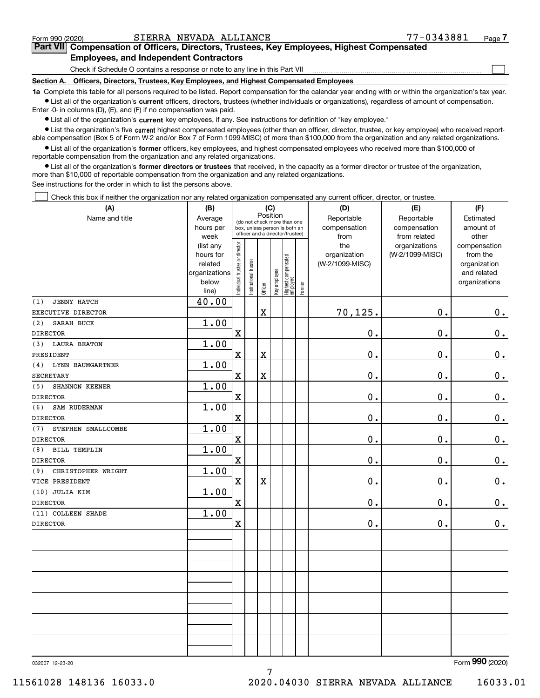$\begin{array}{c} \hline \end{array}$ 

## Part VII Compensation of Officers, Directors, Trustees, Key Employees, Highest Compensated Employees, and Independent Contractors

Check if Schedule O contains a response or note to any line in this Part VII

Section A. Officers, Directors, Trustees, Key Employees, and Highest Compensated Employees

1a Complete this table for all persons required to be listed. Report compensation for the calendar year ending with or within the organization's tax year. Ist all of the organization's current officers, directors, trustees (whether individuals or organizations), regardless of amount of compensation.

Enter -0- in columns (D), (E), and (F) if no compensation was paid.

 $\bullet$  List all of the organization's current key employees, if any. See instructions for definition of "key employee."

● List the organization's five current highest compensated employees (other than an officer, director, trustee, or key employee) who received reportable compensation (Box 5 of Form W-2 and/or Box 7 of Form 1099-MISC) of more than \$100,000 from the organization and any related organizations.

List all of the organization's former officers, key employees, and highest compensated employees who received more than \$100,000 of reportable compensation from the organization and any related organizations.

• List all of the organization's former directors or trustees that received, in the capacity as a former director or trustee of the organization, more than \$10,000 of reportable compensation from the organization and any related organizations.

See instructions for the order in which to list the persons above.

Check this box if neither the organization nor any related organization compensated any current officer, director, or trustee.  $\Box$ 

| (A)                            | (B)                    | (C)<br>Position                |                                                                  |                         |              |                                  |        | (D)             | (E)             | (F)                          |  |  |  |  |
|--------------------------------|------------------------|--------------------------------|------------------------------------------------------------------|-------------------------|--------------|----------------------------------|--------|-----------------|-----------------|------------------------------|--|--|--|--|
| Name and title                 | Average                |                                | (do not check more than one                                      |                         |              |                                  |        | Reportable      | Reportable      | Estimated                    |  |  |  |  |
|                                | hours per              |                                | box, unless person is both an<br>officer and a director/trustee) |                         |              |                                  |        | compensation    | compensation    | amount of                    |  |  |  |  |
|                                | week                   |                                |                                                                  |                         |              |                                  |        | from            | from related    | other                        |  |  |  |  |
|                                | (list any              |                                |                                                                  |                         |              |                                  |        | the             | organizations   | compensation                 |  |  |  |  |
|                                | hours for              |                                |                                                                  |                         |              |                                  |        | organization    | (W-2/1099-MISC) | from the                     |  |  |  |  |
|                                | related                |                                |                                                                  |                         |              |                                  |        | (W-2/1099-MISC) |                 | organization                 |  |  |  |  |
|                                | organizations<br>below |                                |                                                                  |                         |              |                                  |        |                 |                 | and related<br>organizations |  |  |  |  |
|                                | line)                  | Individual trustee or director | Institutional trustee                                            | Officer                 | Key employee | Highest compensated<br> employee | Former |                 |                 |                              |  |  |  |  |
| <b>JENNY HATCH</b><br>(1)      | 40.00                  |                                |                                                                  |                         |              |                                  |        |                 |                 |                              |  |  |  |  |
| EXECUTIVE DIRECTOR             |                        |                                |                                                                  | X                       |              |                                  |        | 70,125.         | 0.              | 0.                           |  |  |  |  |
| SARAH BUCK<br>(2)              | 1.00                   |                                |                                                                  |                         |              |                                  |        |                 |                 |                              |  |  |  |  |
| <b>DIRECTOR</b>                |                        | $\mathbf X$                    |                                                                  |                         |              |                                  |        | $0$ .           | 0.              | $0_{.}$                      |  |  |  |  |
| <b>LAURA BEATON</b><br>(3)     | 1.00                   |                                |                                                                  |                         |              |                                  |        |                 |                 |                              |  |  |  |  |
| PRESIDENT                      |                        | $\mathbf X$                    |                                                                  | X                       |              |                                  |        | 0.              | 0.              | 0.                           |  |  |  |  |
| <b>LYNN BAUMGARTNER</b><br>(4) | 1.00                   |                                |                                                                  |                         |              |                                  |        |                 |                 |                              |  |  |  |  |
| <b>SECRETARY</b>               |                        | $\mathbf x$                    |                                                                  | $\overline{\textbf{X}}$ |              |                                  |        | 0.              | 0.              | $0_{.}$                      |  |  |  |  |
| SHANNON KEENER<br>(5)          | 1.00                   |                                |                                                                  |                         |              |                                  |        |                 |                 |                              |  |  |  |  |
| <b>DIRECTOR</b>                |                        | $\mathbf X$                    |                                                                  |                         |              |                                  |        | 0.              | 0.              | $0_{.}$                      |  |  |  |  |
| (6)<br>SAM RUDERMAN            | 1.00                   |                                |                                                                  |                         |              |                                  |        |                 |                 |                              |  |  |  |  |
| <b>DIRECTOR</b>                |                        | $\mathbf X$                    |                                                                  |                         |              |                                  |        | 0.              | 0.              | $\mathbf 0$ .                |  |  |  |  |
| STEPHEN SMALLCOMBE<br>(7)      | 1.00                   |                                |                                                                  |                         |              |                                  |        |                 |                 |                              |  |  |  |  |
| <b>DIRECTOR</b>                |                        | $\mathbf X$                    |                                                                  |                         |              |                                  |        | 0.              | 0.              | $0_{.}$                      |  |  |  |  |
| <b>BILL TEMPLIN</b><br>(8)     | 1.00                   |                                |                                                                  |                         |              |                                  |        |                 |                 |                              |  |  |  |  |
| <b>DIRECTOR</b>                |                        | $\mathbf x$                    |                                                                  |                         |              |                                  |        | 0.              | 0.              | $\mathbf 0$ .                |  |  |  |  |
| (9)<br>CHRISTOPHER WRIGHT      | 1.00                   |                                |                                                                  |                         |              |                                  |        |                 |                 |                              |  |  |  |  |
| VICE PRESIDENT                 |                        | $\mathbf X$                    |                                                                  | X                       |              |                                  |        | 0.              | 0.              | $0_{.}$                      |  |  |  |  |
| (10) JULIA KIM                 | 1.00                   |                                |                                                                  |                         |              |                                  |        |                 |                 |                              |  |  |  |  |
| <b>DIRECTOR</b>                |                        | $\mathbf x$                    |                                                                  |                         |              |                                  |        | 0.              | 0.              | $0_{.}$                      |  |  |  |  |
| (11) COLLEEN SHADE             | 1.00                   |                                |                                                                  |                         |              |                                  |        |                 |                 |                              |  |  |  |  |
| <b>DIRECTOR</b>                |                        | $\mathbf X$                    |                                                                  |                         |              |                                  |        | 0.              | 0.              | 0.                           |  |  |  |  |
|                                |                        |                                |                                                                  |                         |              |                                  |        |                 |                 |                              |  |  |  |  |
|                                |                        |                                |                                                                  |                         |              |                                  |        |                 |                 |                              |  |  |  |  |
|                                |                        |                                |                                                                  |                         |              |                                  |        |                 |                 |                              |  |  |  |  |
|                                |                        |                                |                                                                  |                         |              |                                  |        |                 |                 |                              |  |  |  |  |
|                                |                        |                                |                                                                  |                         |              |                                  |        |                 |                 |                              |  |  |  |  |
|                                |                        |                                |                                                                  |                         |              |                                  |        |                 |                 |                              |  |  |  |  |
|                                |                        |                                |                                                                  |                         |              |                                  |        |                 |                 |                              |  |  |  |  |
|                                |                        |                                |                                                                  |                         |              |                                  |        |                 |                 |                              |  |  |  |  |
|                                |                        |                                |                                                                  |                         |              |                                  |        |                 |                 |                              |  |  |  |  |
|                                |                        |                                |                                                                  |                         |              |                                  |        |                 |                 | $\overline{2}$               |  |  |  |  |

7

032007 12-23-20

Form 990 (2020)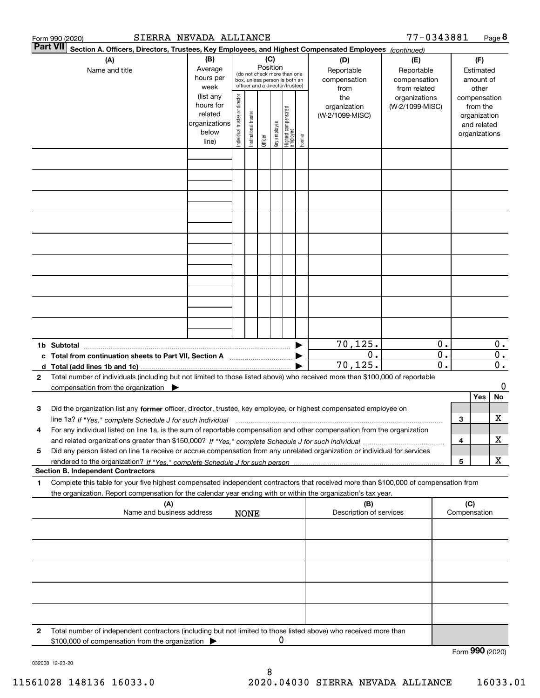|   | SIERRA NEVADA ALLIANCE<br>Form 990 (2020)                                                                                                                                                                                                                              |                                                                      |                                |                       |                 |              |                                                                                                 |        |                                           | 77-0343881                                        |                                                                          |     |                                        | Page 8                         |
|---|------------------------------------------------------------------------------------------------------------------------------------------------------------------------------------------------------------------------------------------------------------------------|----------------------------------------------------------------------|--------------------------------|-----------------------|-----------------|--------------|-------------------------------------------------------------------------------------------------|--------|-------------------------------------------|---------------------------------------------------|--------------------------------------------------------------------------|-----|----------------------------------------|--------------------------------|
|   | <b>Part VII</b><br>Section A. Officers, Directors, Trustees, Key Employees, and Highest Compensated Employees (continued)<br>(A)<br>Name and title                                                                                                                     | (B)<br>Average<br>hours per<br>week                                  |                                |                       | (C)<br>Position |              | (do not check more than one<br>box, unless person is both an<br>officer and a director/trustee) |        | (D)<br>Reportable<br>compensation<br>from | (E)<br>Reportable<br>compensation<br>from related |                                                                          |     | (F)<br>Estimated<br>amount of<br>other |                                |
|   |                                                                                                                                                                                                                                                                        | (list any<br>hours for<br>related<br>organizations<br>below<br>line) | Individual trustee or director | Institutional trustee | Officer         | key employee | Highest compensated<br>  employee                                                               | Former | the<br>organization<br>(W-2/1099-MISC)    | organizations<br>(W-2/1099-MISC)                  | compensation<br>from the<br>organization<br>and related<br>organizations |     |                                        |                                |
|   |                                                                                                                                                                                                                                                                        |                                                                      |                                |                       |                 |              |                                                                                                 |        |                                           |                                                   |                                                                          |     |                                        |                                |
|   |                                                                                                                                                                                                                                                                        |                                                                      |                                |                       |                 |              |                                                                                                 |        |                                           |                                                   |                                                                          |     |                                        |                                |
|   |                                                                                                                                                                                                                                                                        |                                                                      |                                |                       |                 |              |                                                                                                 |        |                                           |                                                   |                                                                          |     |                                        |                                |
|   |                                                                                                                                                                                                                                                                        |                                                                      |                                |                       |                 |              |                                                                                                 |        |                                           |                                                   |                                                                          |     |                                        |                                |
|   |                                                                                                                                                                                                                                                                        |                                                                      |                                |                       |                 |              |                                                                                                 |        |                                           |                                                   |                                                                          |     |                                        |                                |
|   |                                                                                                                                                                                                                                                                        |                                                                      |                                |                       |                 |              |                                                                                                 |        |                                           |                                                   |                                                                          |     |                                        |                                |
|   |                                                                                                                                                                                                                                                                        |                                                                      |                                |                       |                 |              |                                                                                                 |        |                                           |                                                   |                                                                          |     |                                        |                                |
|   | 1b Subtotal<br>c Total from continuation sheets to Part VII, Section A                                                                                                                                                                                                 |                                                                      |                                |                       |                 |              |                                                                                                 |        | 70, 125.<br>$\overline{0}$ .              |                                                   | 0.<br>$\overline{0}$ .                                                   |     |                                        | $0$ .<br>$\overline{0}$ .      |
| 2 | Total number of individuals (including but not limited to those listed above) who received more than \$100,000 of reportable                                                                                                                                           |                                                                      |                                |                       |                 |              |                                                                                                 |        | 70,125.                                   |                                                   | $\overline{\mathfrak{0}}$ .                                              |     |                                        | $\overline{\mathbf{0}}$ .<br>0 |
| з | compensation from the organization $\blacktriangleright$<br>Did the organization list any former officer, director, trustee, key employee, or highest compensated employee on                                                                                          |                                                                      |                                |                       |                 |              |                                                                                                 |        |                                           |                                                   |                                                                          |     | Yes                                    | No                             |
| 4 | line 1a? If "Yes," complete Schedule J for such individual matches contained and the 1a? If "Yes," complete Schedule J for such individual<br>For any individual listed on line 1a, is the sum of reportable compensation and other compensation from the organization |                                                                      |                                |                       |                 |              |                                                                                                 |        |                                           |                                                   |                                                                          | 3   |                                        | x                              |
| 5 | Did any person listed on line 1a receive or accrue compensation from any unrelated organization or individual for services                                                                                                                                             |                                                                      |                                |                       |                 |              |                                                                                                 |        |                                           |                                                   |                                                                          | 4   |                                        | х<br>X                         |
|   | <b>Section B. Independent Contractors</b>                                                                                                                                                                                                                              |                                                                      |                                |                       |                 |              |                                                                                                 |        |                                           |                                                   |                                                                          | 5   |                                        |                                |
| 1 | Complete this table for your five highest compensated independent contractors that received more than \$100,000 of compensation from<br>the organization. Report compensation for the calendar year ending with or within the organization's tax year.                 |                                                                      |                                |                       |                 |              |                                                                                                 |        |                                           |                                                   |                                                                          |     |                                        |                                |
|   | (A)<br>Name and business address                                                                                                                                                                                                                                       |                                                                      |                                | <b>NONE</b>           |                 |              |                                                                                                 |        | (B)<br>Description of services            |                                                   |                                                                          | (C) | Compensation                           |                                |
|   |                                                                                                                                                                                                                                                                        |                                                                      |                                |                       |                 |              |                                                                                                 |        |                                           |                                                   |                                                                          |     |                                        |                                |
|   |                                                                                                                                                                                                                                                                        |                                                                      |                                |                       |                 |              |                                                                                                 |        |                                           |                                                   |                                                                          |     |                                        |                                |
|   |                                                                                                                                                                                                                                                                        |                                                                      |                                |                       |                 |              |                                                                                                 |        |                                           |                                                   |                                                                          |     |                                        |                                |
| 2 | Total number of independent contractors (including but not limited to those listed above) who received more than                                                                                                                                                       |                                                                      |                                |                       |                 |              |                                                                                                 |        |                                           |                                                   |                                                                          |     |                                        |                                |
|   | \$100,000 of compensation from the organization                                                                                                                                                                                                                        |                                                                      |                                |                       |                 | 0            |                                                                                                 |        |                                           |                                                   |                                                                          |     | Form 990 (2020)                        |                                |

032008 12-23-20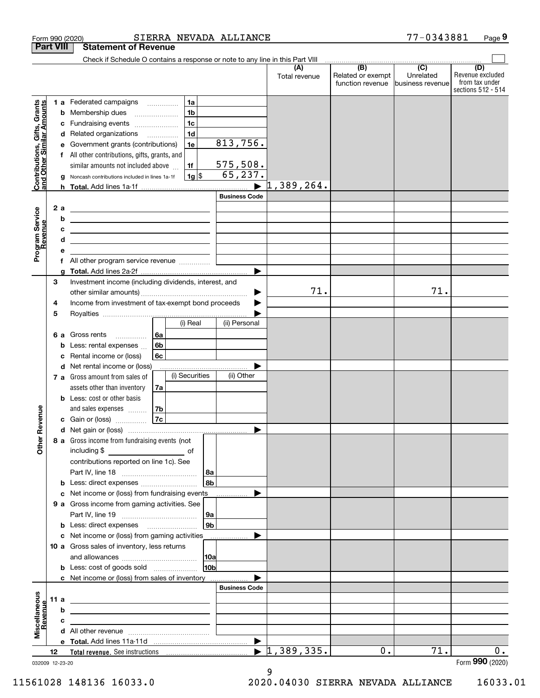|                                                           |      |   | SIERRA NEVADA ALLIANCE<br>Form 990 (2020)                                                                                                                                                                                                       |                      |                      |                                              | 77-0343881                                        | Page 9                                                          |
|-----------------------------------------------------------|------|---|-------------------------------------------------------------------------------------------------------------------------------------------------------------------------------------------------------------------------------------------------|----------------------|----------------------|----------------------------------------------|---------------------------------------------------|-----------------------------------------------------------------|
| <b>Part VIII</b>                                          |      |   | <b>Statement of Revenue</b>                                                                                                                                                                                                                     |                      |                      |                                              |                                                   |                                                                 |
|                                                           |      |   | Check if Schedule O contains a response or note to any line in this Part VIII                                                                                                                                                                   |                      |                      |                                              |                                                   |                                                                 |
|                                                           |      |   |                                                                                                                                                                                                                                                 |                      | (A)<br>Total revenue | (B)<br>Related or exempt<br>function revenue | $\overline{(C)}$<br>Unrelated<br>business revenue | (D)<br>Revenue excluded<br>from tax under<br>sections 512 - 514 |
|                                                           |      |   | 1a<br><b>1 a</b> Federated campaigns                                                                                                                                                                                                            |                      |                      |                                              |                                                   |                                                                 |
|                                                           |      |   | 1 <sub>b</sub><br><b>b</b> Membership dues                                                                                                                                                                                                      |                      |                      |                                              |                                                   |                                                                 |
|                                                           |      | с | 1 <sub>c</sub><br>Fundraising events                                                                                                                                                                                                            |                      |                      |                                              |                                                   |                                                                 |
|                                                           |      |   | 1 <sub>d</sub><br>d Related organizations                                                                                                                                                                                                       |                      |                      |                                              |                                                   |                                                                 |
| Contributions, Gifts, Grants<br>and Other Similar Amounts |      | е | 1e<br>Government grants (contributions)                                                                                                                                                                                                         | 813,756.             |                      |                                              |                                                   |                                                                 |
|                                                           |      |   | f All other contributions, gifts, grants, and                                                                                                                                                                                                   |                      |                      |                                              |                                                   |                                                                 |
|                                                           |      |   | similar amounts not included above<br>1f                                                                                                                                                                                                        | <u>575,508.</u>      |                      |                                              |                                                   |                                                                 |
|                                                           |      |   | $1g$ \$<br>g Noncash contributions included in lines 1a-1f                                                                                                                                                                                      | 65,237.              | 1,389,264.           |                                              |                                                   |                                                                 |
|                                                           |      |   |                                                                                                                                                                                                                                                 | <b>Business Code</b> |                      |                                              |                                                   |                                                                 |
|                                                           | 2a   |   |                                                                                                                                                                                                                                                 |                      |                      |                                              |                                                   |                                                                 |
|                                                           |      | b | <u> 1980 - Jan Sterling and Sterling and Sterling and Sterling and Sterling and Sterling and Sterling and Sterling</u><br><u> 1989 - Johann Harry Harry Harry Harry Harry Harry Harry Harry Harry Harry Harry Harry Harry Harry Harry Harry</u> |                      |                      |                                              |                                                   |                                                                 |
|                                                           |      | c |                                                                                                                                                                                                                                                 |                      |                      |                                              |                                                   |                                                                 |
|                                                           |      | d | <u> 1980 - Jan Barnett, fransk politiker (d. 1980)</u>                                                                                                                                                                                          |                      |                      |                                              |                                                   |                                                                 |
| Program Service<br>Revenue                                |      | е |                                                                                                                                                                                                                                                 |                      |                      |                                              |                                                   |                                                                 |
|                                                           |      |   |                                                                                                                                                                                                                                                 |                      |                      |                                              |                                                   |                                                                 |
|                                                           |      | a |                                                                                                                                                                                                                                                 |                      |                      |                                              |                                                   |                                                                 |
|                                                           | 3    |   | Investment income (including dividends, interest, and                                                                                                                                                                                           |                      |                      |                                              |                                                   |                                                                 |
|                                                           |      |   |                                                                                                                                                                                                                                                 | ▶                    | 71.                  |                                              | 71.                                               |                                                                 |
|                                                           | 4    |   | Income from investment of tax-exempt bond proceeds                                                                                                                                                                                              |                      |                      |                                              |                                                   |                                                                 |
|                                                           | 5    |   | (i) Real                                                                                                                                                                                                                                        | (ii) Personal        |                      |                                              |                                                   |                                                                 |
|                                                           |      |   |                                                                                                                                                                                                                                                 |                      |                      |                                              |                                                   |                                                                 |
|                                                           |      | b | 6a<br>6 a Gross rents<br>6b<br>Less: rental expenses                                                                                                                                                                                            |                      |                      |                                              |                                                   |                                                                 |
|                                                           |      | с | 6c<br>Rental income or (loss)                                                                                                                                                                                                                   |                      |                      |                                              |                                                   |                                                                 |
|                                                           |      |   | d Net rental income or (loss)                                                                                                                                                                                                                   |                      |                      |                                              |                                                   |                                                                 |
|                                                           |      |   | (i) Securities<br><b>7 a</b> Gross amount from sales of                                                                                                                                                                                         | (ii) Other           |                      |                                              |                                                   |                                                                 |
|                                                           |      |   | assets other than inventory<br>7a                                                                                                                                                                                                               |                      |                      |                                              |                                                   |                                                                 |
|                                                           |      |   | <b>b</b> Less: cost or other basis                                                                                                                                                                                                              |                      |                      |                                              |                                                   |                                                                 |
|                                                           |      |   | and sales expenses<br>7b                                                                                                                                                                                                                        |                      |                      |                                              |                                                   |                                                                 |
| venue                                                     |      |   | 7c<br><b>c</b> Gain or (loss) $\ldots$                                                                                                                                                                                                          |                      |                      |                                              |                                                   |                                                                 |
|                                                           |      |   |                                                                                                                                                                                                                                                 |                      |                      |                                              |                                                   |                                                                 |
| Other <sub>R</sub>                                        |      |   | 8 a Gross income from fundraising events (not                                                                                                                                                                                                   |                      |                      |                                              |                                                   |                                                                 |
|                                                           |      |   |                                                                                                                                                                                                                                                 |                      |                      |                                              |                                                   |                                                                 |
|                                                           |      |   | contributions reported on line 1c). See                                                                                                                                                                                                         |                      |                      |                                              |                                                   |                                                                 |
|                                                           |      |   | 8a<br>8 <sub>b</sub><br><b>b</b> Less: direct expenses                                                                                                                                                                                          |                      |                      |                                              |                                                   |                                                                 |
|                                                           |      |   | c Net income or (loss) from fundraising events                                                                                                                                                                                                  |                      |                      |                                              |                                                   |                                                                 |
|                                                           |      |   | 9 a Gross income from gaming activities. See                                                                                                                                                                                                    |                      |                      |                                              |                                                   |                                                                 |
|                                                           |      |   | 9a                                                                                                                                                                                                                                              |                      |                      |                                              |                                                   |                                                                 |
|                                                           |      |   | 9 <sub>b</sub>                                                                                                                                                                                                                                  |                      |                      |                                              |                                                   |                                                                 |
|                                                           |      |   | c Net income or (loss) from gaming activities                                                                                                                                                                                                   |                      |                      |                                              |                                                   |                                                                 |
|                                                           |      |   | 10 a Gross sales of inventory, less returns                                                                                                                                                                                                     |                      |                      |                                              |                                                   |                                                                 |
|                                                           |      |   | <b>10a</b>                                                                                                                                                                                                                                      |                      |                      |                                              |                                                   |                                                                 |
|                                                           |      |   | 10 <sub>b</sub>                                                                                                                                                                                                                                 |                      |                      |                                              |                                                   |                                                                 |
|                                                           |      |   | c Net income or (loss) from sales of inventory                                                                                                                                                                                                  |                      |                      |                                              |                                                   |                                                                 |
|                                                           |      |   |                                                                                                                                                                                                                                                 | <b>Business Code</b> |                      |                                              |                                                   |                                                                 |
|                                                           | 11 a | b |                                                                                                                                                                                                                                                 |                      |                      |                                              |                                                   |                                                                 |
|                                                           |      | c |                                                                                                                                                                                                                                                 |                      |                      |                                              |                                                   |                                                                 |
| Miscellaneous<br>Revenue                                  |      |   |                                                                                                                                                                                                                                                 |                      |                      |                                              |                                                   |                                                                 |
|                                                           |      |   |                                                                                                                                                                                                                                                 | ▶                    |                      |                                              |                                                   |                                                                 |
|                                                           | 12   |   |                                                                                                                                                                                                                                                 |                      | $\sqrt{1,389,335}$ . | 0.                                           | 71.                                               | 0.                                                              |
| 032009 12-23-20                                           |      |   |                                                                                                                                                                                                                                                 |                      |                      |                                              |                                                   | Form 990 (2020)                                                 |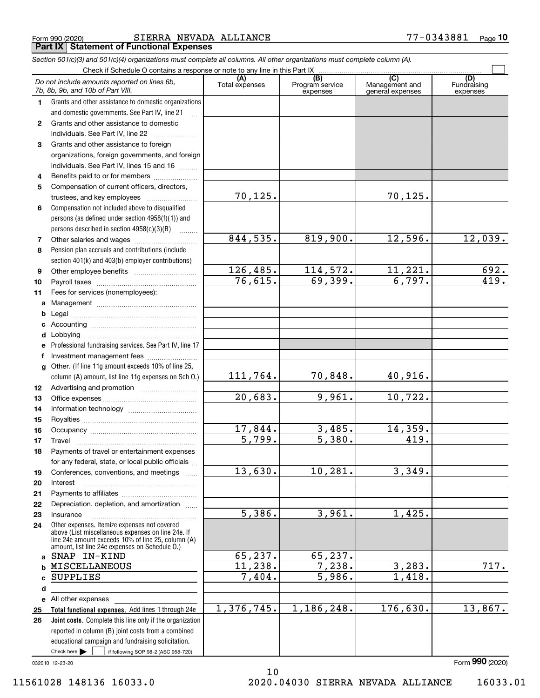|  | Form 990 (2020) |  |
|--|-----------------|--|
|  |                 |  |

Form 990 (2020) SIERRA NEVADA ALLIANCE 77-0343881 Page **Part IX Statement of Functional Expenses** 

|                  | Section 501(c)(3) and 501(c)(4) organizations must complete all columns. All other organizations must complete column (A).                                                                                 |                       |                                    |                                                      |                                |
|------------------|------------------------------------------------------------------------------------------------------------------------------------------------------------------------------------------------------------|-----------------------|------------------------------------|------------------------------------------------------|--------------------------------|
|                  | Check if Schedule O contains a response or note to any line in this Part IX                                                                                                                                |                       |                                    |                                                      |                                |
|                  | Do not include amounts reported on lines 6b,<br>7b, 8b, 9b, and 10b of Part VIII.                                                                                                                          | (A)<br>Total expenses | (B)<br>Program service<br>expenses | $\overline{C}$<br>Management and<br>general expenses | (D)<br>Fundraising<br>expenses |
| 1.               | Grants and other assistance to domestic organizations                                                                                                                                                      |                       |                                    |                                                      |                                |
|                  | and domestic governments. See Part IV, line 21                                                                                                                                                             |                       |                                    |                                                      |                                |
| $\mathbf{2}$     | Grants and other assistance to domestic                                                                                                                                                                    |                       |                                    |                                                      |                                |
|                  | individuals. See Part IV, line 22                                                                                                                                                                          |                       |                                    |                                                      |                                |
| 3                | Grants and other assistance to foreign                                                                                                                                                                     |                       |                                    |                                                      |                                |
|                  | organizations, foreign governments, and foreign                                                                                                                                                            |                       |                                    |                                                      |                                |
|                  | individuals. See Part IV, lines 15 and 16                                                                                                                                                                  |                       |                                    |                                                      |                                |
| 4                | Benefits paid to or for members                                                                                                                                                                            |                       |                                    |                                                      |                                |
| 5                | Compensation of current officers, directors,                                                                                                                                                               |                       |                                    |                                                      |                                |
|                  |                                                                                                                                                                                                            | 70,125.               |                                    | 70,125.                                              |                                |
| 6                | Compensation not included above to disqualified                                                                                                                                                            |                       |                                    |                                                      |                                |
|                  | persons (as defined under section 4958(f)(1)) and                                                                                                                                                          |                       |                                    |                                                      |                                |
|                  | persons described in section 4958(c)(3)(B)                                                                                                                                                                 |                       |                                    |                                                      |                                |
| 7                |                                                                                                                                                                                                            | 844,535.              | 819,900.                           | 12,596.                                              | 12,039.                        |
| 8                | Pension plan accruals and contributions (include                                                                                                                                                           |                       |                                    |                                                      |                                |
|                  | section 401(k) and 403(b) employer contributions)                                                                                                                                                          |                       |                                    |                                                      |                                |
| 9                |                                                                                                                                                                                                            | 126,485.              | 114,572.                           | 11,221.                                              | 692.                           |
| 10               |                                                                                                                                                                                                            | 76,615.               | 69,399.                            | 6,797.                                               | 419.                           |
| 11               | Fees for services (nonemployees):                                                                                                                                                                          |                       |                                    |                                                      |                                |
| a                |                                                                                                                                                                                                            |                       |                                    |                                                      |                                |
| b                |                                                                                                                                                                                                            |                       |                                    |                                                      |                                |
| c                |                                                                                                                                                                                                            |                       |                                    |                                                      |                                |
| d                |                                                                                                                                                                                                            |                       |                                    |                                                      |                                |
| е                | Professional fundraising services. See Part IV, line 17                                                                                                                                                    |                       |                                    |                                                      |                                |
| f                | Investment management fees                                                                                                                                                                                 |                       |                                    |                                                      |                                |
| g                | Other. (If line 11g amount exceeds 10% of line 25,                                                                                                                                                         |                       |                                    |                                                      |                                |
|                  | column (A) amount, list line 11g expenses on Sch O.)                                                                                                                                                       | 111,764.              | 70,848.                            | 40,916.                                              |                                |
| 12 <sup>12</sup> |                                                                                                                                                                                                            |                       |                                    |                                                      |                                |
| 13               |                                                                                                                                                                                                            | 20,683.               | 9,961.                             | 10,722.                                              |                                |
| 14               |                                                                                                                                                                                                            |                       |                                    |                                                      |                                |
| 15               |                                                                                                                                                                                                            |                       |                                    |                                                      |                                |
| 16               |                                                                                                                                                                                                            | 17,844.               | 3,485.                             | 14,359.                                              |                                |
| 17               |                                                                                                                                                                                                            | 5,799.                | 5,380.                             | 419.                                                 |                                |
| 18               | Payments of travel or entertainment expenses                                                                                                                                                               |                       |                                    |                                                      |                                |
|                  | for any federal, state, or local public officials                                                                                                                                                          |                       |                                    |                                                      |                                |
| 19               | Conferences, conventions, and meetings                                                                                                                                                                     | 13,630.               | 10,281.                            | 3,349.                                               |                                |
| 20               | Interest                                                                                                                                                                                                   |                       |                                    |                                                      |                                |
| 21               |                                                                                                                                                                                                            |                       |                                    |                                                      |                                |
| 22               | Depreciation, depletion, and amortization                                                                                                                                                                  |                       |                                    |                                                      |                                |
| 23               | Insurance                                                                                                                                                                                                  | 5,386.                | 3,961.                             | $\overline{1,425}$ .                                 |                                |
| 24               | Other expenses. Itemize expenses not covered<br>above (List miscellaneous expenses on line 24e. If<br>line 24e amount exceeds 10% of line 25, column (A)<br>amount, list line 24e expenses on Schedule O.) |                       |                                    |                                                      |                                |
|                  | a SNAP IN-KIND                                                                                                                                                                                             | 65,237.               | 65,237.                            |                                                      |                                |
| b                | MISCELLANEOUS                                                                                                                                                                                              | 11, 238.              | 7,238.                             | 3,283.                                               | 717.                           |
| c                | <b>SUPPLIES</b>                                                                                                                                                                                            | 7,404.                | 5,986.                             | 1,418.                                               |                                |
| d                |                                                                                                                                                                                                            |                       |                                    |                                                      |                                |
|                  | e All other expenses                                                                                                                                                                                       |                       |                                    |                                                      |                                |
| 25               | Total functional expenses. Add lines 1 through 24e                                                                                                                                                         | 1,376,745.            | 1,186,248.                         | 176,630.                                             | 13,867.                        |
| 26               | Joint costs. Complete this line only if the organization                                                                                                                                                   |                       |                                    |                                                      |                                |
|                  | reported in column (B) joint costs from a combined                                                                                                                                                         |                       |                                    |                                                      |                                |
|                  | educational campaign and fundraising solicitation.                                                                                                                                                         |                       |                                    |                                                      |                                |
|                  | Check here $\blacktriangleright$<br>if following SOP 98-2 (ASC 958-720)                                                                                                                                    |                       |                                    |                                                      |                                |

10

032010 12-23-20

Form 990 (2020)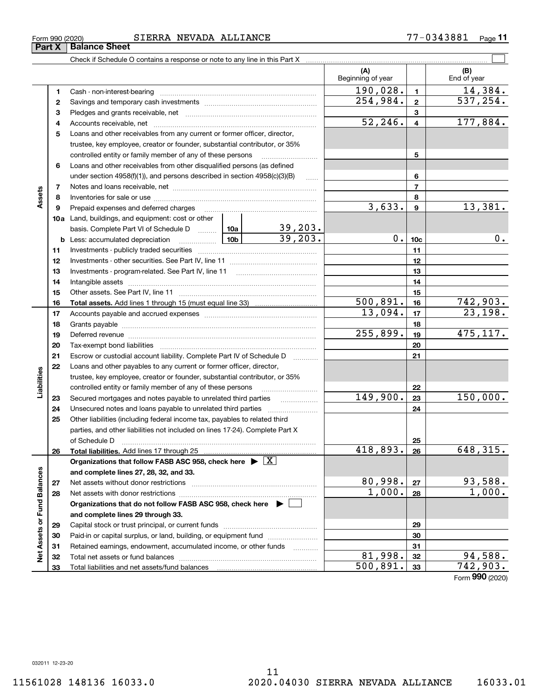33

Total liabilities and net assets/fund balances

33

500,891. 742,903.

Form 990 (2020)

## Form 990 (2020) SIERRA NEVADA ALLIANCE 77-0343881 Page

Check if Schedule O contains a response or note to any line in this Part X

|                             |              |                                                                                                                                                                                                                                |                         |                      | (A)<br>Beginning of year |                          | (B)<br>End of year |
|-----------------------------|--------------|--------------------------------------------------------------------------------------------------------------------------------------------------------------------------------------------------------------------------------|-------------------------|----------------------|--------------------------|--------------------------|--------------------|
|                             | 1            | Cash - non-interest-bearing                                                                                                                                                                                                    |                         |                      | 190,028.                 | 1                        | 14,384.            |
|                             | $\mathbf{2}$ |                                                                                                                                                                                                                                | $\overline{254}$ , 984. | $\overline{2}$       | 537,254.                 |                          |                    |
|                             | 3            |                                                                                                                                                                                                                                |                         | 3                    |                          |                          |                    |
|                             | 4            |                                                                                                                                                                                                                                |                         |                      | 52, 246.                 | $\overline{\mathbf{4}}$  | 177,884.           |
|                             | 5            | Loans and other receivables from any current or former officer, director,                                                                                                                                                      |                         |                      |                          |                          |                    |
|                             |              | trustee, key employee, creator or founder, substantial contributor, or 35%                                                                                                                                                     |                         |                      |                          |                          |                    |
|                             |              | controlled entity or family member of any of these persons                                                                                                                                                                     |                         |                      |                          | 5                        |                    |
|                             | 6            | Loans and other receivables from other disqualified persons (as defined                                                                                                                                                        |                         |                      |                          |                          |                    |
|                             |              | under section $4958(f)(1)$ , and persons described in section $4958(c)(3)(B)$                                                                                                                                                  |                         | $\ldots$             |                          | 6                        |                    |
|                             | 7            |                                                                                                                                                                                                                                |                         |                      |                          | $\overline{\phantom{a}}$ |                    |
| Assets                      | 8            |                                                                                                                                                                                                                                |                         |                      |                          | 8                        |                    |
|                             | 9            | Prepaid expenses and deferred charges [11] [11] prepaid expenses and deferred charges [11] [11] minimum materials                                                                                                              |                         |                      | 3,633.                   | 9                        | 13,381.            |
|                             |              | 10a Land, buildings, and equipment: cost or other                                                                                                                                                                              |                         |                      |                          |                          |                    |
|                             |              | basis. Complete Part VI of Schedule D  10a 39, 203.<br>Less: accumulated depreciation 10b 39, 203.                                                                                                                             |                         |                      |                          |                          |                    |
|                             |              | $\frac{10b}{10b}$<br><b>b</b> Less: accumulated depreciation                                                                                                                                                                   |                         |                      | $0$ .                    | 10 <sub>c</sub>          | 0.                 |
|                             | 11           |                                                                                                                                                                                                                                |                         |                      |                          | 11                       |                    |
|                             | 12           |                                                                                                                                                                                                                                |                         |                      |                          | 12                       |                    |
|                             | 13           |                                                                                                                                                                                                                                |                         | 13                   |                          |                          |                    |
|                             | 14           |                                                                                                                                                                                                                                |                         |                      | 14                       |                          |                    |
|                             | 15           |                                                                                                                                                                                                                                |                         |                      |                          | 15                       |                    |
|                             | 16           |                                                                                                                                                                                                                                |                         |                      | 500,891.                 | 16                       | 742,903.           |
|                             | 17           |                                                                                                                                                                                                                                |                         | $\overline{1}3,094.$ | 17                       | 23,198.                  |                    |
|                             | 18           |                                                                                                                                                                                                                                |                         | 18                   |                          |                          |                    |
|                             | 19           | Deferred revenue information and contain an area of the contained and area of the contained and contained and contain and contain and contain and contain and contain and contain and contain and contain and contain and cont |                         |                      | $\overline{255}$ , 899.  | 19                       | 475,117.           |
|                             | 20           |                                                                                                                                                                                                                                |                         |                      |                          | 20                       |                    |
|                             | 21           | Escrow or custodial account liability. Complete Part IV of Schedule D                                                                                                                                                          |                         | .                    |                          | 21                       |                    |
|                             | 22           | Loans and other payables to any current or former officer, director,                                                                                                                                                           |                         |                      |                          |                          |                    |
| Liabilities                 |              | trustee, key employee, creator or founder, substantial contributor, or 35%                                                                                                                                                     |                         |                      |                          |                          |                    |
|                             |              | controlled entity or family member of any of these persons                                                                                                                                                                     |                         |                      | 149,900.                 | 22                       | 150,000.           |
|                             | 23           |                                                                                                                                                                                                                                |                         |                      |                          | 23                       |                    |
|                             | 24           |                                                                                                                                                                                                                                |                         |                      |                          | 24                       |                    |
|                             | 25           | Other liabilities (including federal income tax, payables to related third<br>parties, and other liabilities not included on lines 17-24). Complete Part X                                                                     |                         |                      |                          |                          |                    |
|                             |              |                                                                                                                                                                                                                                |                         |                      |                          |                          |                    |
|                             | 26           | of Schedule D                                                                                                                                                                                                                  |                         |                      | 418,893.                 | 25<br>26                 | 648, 315.          |
|                             |              | Organizations that follow FASB ASC 958, check here $\blacktriangleright \boxed{X}$                                                                                                                                             |                         |                      |                          |                          |                    |
|                             |              | and complete lines 27, 28, 32, and 33.                                                                                                                                                                                         |                         |                      |                          |                          |                    |
|                             | 27           | Net assets without donor restrictions                                                                                                                                                                                          |                         |                      | 80,998.                  | 27                       | 93,588.            |
|                             | 28           |                                                                                                                                                                                                                                |                         |                      | 1,000.                   | 28                       | 1,000.             |
|                             |              | Organizations that do not follow FASB ASC 958, check here $\blacktriangleright$                                                                                                                                                |                         |                      |                          |                          |                    |
|                             |              | and complete lines 29 through 33.                                                                                                                                                                                              |                         |                      |                          |                          |                    |
| Net Assets or Fund Balances | 29           | Capital stock or trust principal, or current funds                                                                                                                                                                             |                         |                      | 29                       |                          |                    |
|                             | 30           | Paid-in or capital surplus, or land, building, or equipment fund                                                                                                                                                               |                         |                      |                          | 30                       |                    |
|                             | 31           | Retained earnings, endowment, accumulated income, or other funds                                                                                                                                                               |                         | .                    |                          | 31                       |                    |
|                             | 32           |                                                                                                                                                                                                                                |                         |                      | 81,998.                  | 32                       | 94,588.            |
|                             |              |                                                                                                                                                                                                                                |                         |                      |                          |                          |                    |

 $\boxed{\phantom{1}}$ 

Form 990 (2020)<br>**Part X | Balance Sheet** 

Liabilities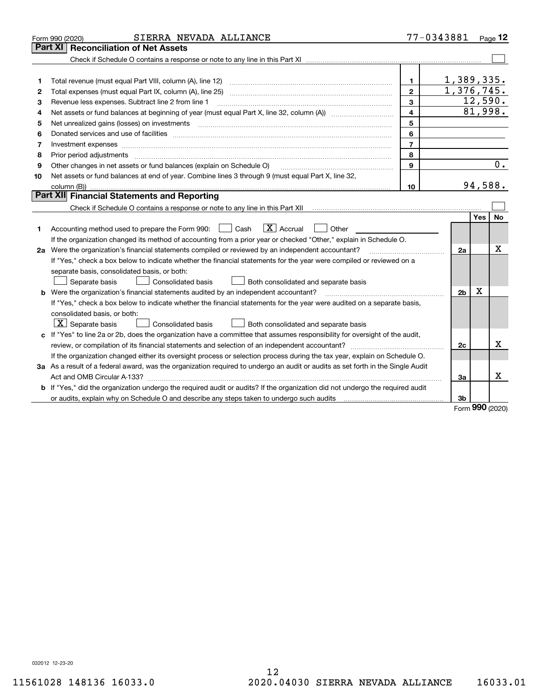| Part XI<br>1,389,335.<br>1.<br>1<br>1,376,745.<br>$\mathbf{2}$<br>2<br>12,590.<br>Revenue less expenses. Subtract line 2 from line 1<br>3<br>З<br>81,998.<br>4<br>4<br>5<br>5<br>6<br>6<br>$\overline{7}$<br>7<br>Investment expenses www.communication.communication.com/interaction.com/interaction.com/interaction.com/interaction.com<br>8<br>8<br>Prior period adjustments material contents and content of the content of the content of the content of the content of the content of the content of the content of the content of the content of the content of the content of<br>$\overline{0}$ .<br>9<br>Other changes in net assets or fund balances (explain on Schedule O)<br>9<br>Net assets or fund balances at end of year. Combine lines 3 through 9 (must equal Part X, line 32,<br>10<br>94,588.<br>10<br>column (B))<br>Part XII Financial Statements and Reporting<br>Check if Schedule O contains a response or note to any line in this Part XII [11] [12] Check if Schedule O contains a response or note to any line in this Part XII<br>Yes<br>No<br>$\boxed{\text{X}}$ Accrual $\boxed{\phantom{0}}$ Other<br>Accounting method used to prepare the Form 990: <u>I</u> Cash<br>1<br>If the organization changed its method of accounting from a prior year or checked "Other," explain in Schedule O.<br>Χ<br>2a Were the organization's financial statements compiled or reviewed by an independent accountant?<br>2a<br>If "Yes," check a box below to indicate whether the financial statements for the year were compiled or reviewed on a<br>separate basis, consolidated basis, or both:<br>Separate basis<br>Consolidated basis<br>Both consolidated and separate basis<br>$\mathbf X$<br>b Were the organization's financial statements audited by an independent accountant?<br>2 <sub>b</sub><br>If "Yes," check a box below to indicate whether the financial statements for the year were audited on a separate basis,<br>consolidated basis, or both:<br>$\lfloor x \rfloor$ Separate basis<br><b>Consolidated basis</b><br>Both consolidated and separate basis<br>c If "Yes" to line 2a or 2b, does the organization have a committee that assumes responsibility for oversight of the audit,<br>x<br>2c<br>If the organization changed either its oversight process or selection process during the tax year, explain on Schedule O.<br>3a As a result of a federal award, was the organization required to undergo an audit or audits as set forth in the Single Audit<br>x<br>3a<br><b>b</b> If "Yes," did the organization undergo the required audit or audits? If the organization did not undergo the required audit<br>3b<br>no o | SIERRA NEVADA ALLIANCE<br>Form 990 (2020) | 77-0343881 | Page $12$ |
|------------------------------------------------------------------------------------------------------------------------------------------------------------------------------------------------------------------------------------------------------------------------------------------------------------------------------------------------------------------------------------------------------------------------------------------------------------------------------------------------------------------------------------------------------------------------------------------------------------------------------------------------------------------------------------------------------------------------------------------------------------------------------------------------------------------------------------------------------------------------------------------------------------------------------------------------------------------------------------------------------------------------------------------------------------------------------------------------------------------------------------------------------------------------------------------------------------------------------------------------------------------------------------------------------------------------------------------------------------------------------------------------------------------------------------------------------------------------------------------------------------------------------------------------------------------------------------------------------------------------------------------------------------------------------------------------------------------------------------------------------------------------------------------------------------------------------------------------------------------------------------------------------------------------------------------------------------------------------------------------------------------------------------------------------------------------------------------------------------------------------------------------------------------------------------------------------------------------------------------------------------------------------------------------------------------------------------------------------------------------------------------------------------------------------------------------------------------------------------------------------------------------------------------------------------------------------------------------------------------------------------------------------------------------------------|-------------------------------------------|------------|-----------|
|                                                                                                                                                                                                                                                                                                                                                                                                                                                                                                                                                                                                                                                                                                                                                                                                                                                                                                                                                                                                                                                                                                                                                                                                                                                                                                                                                                                                                                                                                                                                                                                                                                                                                                                                                                                                                                                                                                                                                                                                                                                                                                                                                                                                                                                                                                                                                                                                                                                                                                                                                                                                                                                                                    | <b>Reconciliation of Net Assets</b>       |            |           |
|                                                                                                                                                                                                                                                                                                                                                                                                                                                                                                                                                                                                                                                                                                                                                                                                                                                                                                                                                                                                                                                                                                                                                                                                                                                                                                                                                                                                                                                                                                                                                                                                                                                                                                                                                                                                                                                                                                                                                                                                                                                                                                                                                                                                                                                                                                                                                                                                                                                                                                                                                                                                                                                                                    |                                           |            |           |
|                                                                                                                                                                                                                                                                                                                                                                                                                                                                                                                                                                                                                                                                                                                                                                                                                                                                                                                                                                                                                                                                                                                                                                                                                                                                                                                                                                                                                                                                                                                                                                                                                                                                                                                                                                                                                                                                                                                                                                                                                                                                                                                                                                                                                                                                                                                                                                                                                                                                                                                                                                                                                                                                                    |                                           |            |           |
|                                                                                                                                                                                                                                                                                                                                                                                                                                                                                                                                                                                                                                                                                                                                                                                                                                                                                                                                                                                                                                                                                                                                                                                                                                                                                                                                                                                                                                                                                                                                                                                                                                                                                                                                                                                                                                                                                                                                                                                                                                                                                                                                                                                                                                                                                                                                                                                                                                                                                                                                                                                                                                                                                    |                                           |            |           |
|                                                                                                                                                                                                                                                                                                                                                                                                                                                                                                                                                                                                                                                                                                                                                                                                                                                                                                                                                                                                                                                                                                                                                                                                                                                                                                                                                                                                                                                                                                                                                                                                                                                                                                                                                                                                                                                                                                                                                                                                                                                                                                                                                                                                                                                                                                                                                                                                                                                                                                                                                                                                                                                                                    |                                           |            |           |
|                                                                                                                                                                                                                                                                                                                                                                                                                                                                                                                                                                                                                                                                                                                                                                                                                                                                                                                                                                                                                                                                                                                                                                                                                                                                                                                                                                                                                                                                                                                                                                                                                                                                                                                                                                                                                                                                                                                                                                                                                                                                                                                                                                                                                                                                                                                                                                                                                                                                                                                                                                                                                                                                                    |                                           |            |           |
|                                                                                                                                                                                                                                                                                                                                                                                                                                                                                                                                                                                                                                                                                                                                                                                                                                                                                                                                                                                                                                                                                                                                                                                                                                                                                                                                                                                                                                                                                                                                                                                                                                                                                                                                                                                                                                                                                                                                                                                                                                                                                                                                                                                                                                                                                                                                                                                                                                                                                                                                                                                                                                                                                    |                                           |            |           |
|                                                                                                                                                                                                                                                                                                                                                                                                                                                                                                                                                                                                                                                                                                                                                                                                                                                                                                                                                                                                                                                                                                                                                                                                                                                                                                                                                                                                                                                                                                                                                                                                                                                                                                                                                                                                                                                                                                                                                                                                                                                                                                                                                                                                                                                                                                                                                                                                                                                                                                                                                                                                                                                                                    |                                           |            |           |
|                                                                                                                                                                                                                                                                                                                                                                                                                                                                                                                                                                                                                                                                                                                                                                                                                                                                                                                                                                                                                                                                                                                                                                                                                                                                                                                                                                                                                                                                                                                                                                                                                                                                                                                                                                                                                                                                                                                                                                                                                                                                                                                                                                                                                                                                                                                                                                                                                                                                                                                                                                                                                                                                                    |                                           |            |           |
|                                                                                                                                                                                                                                                                                                                                                                                                                                                                                                                                                                                                                                                                                                                                                                                                                                                                                                                                                                                                                                                                                                                                                                                                                                                                                                                                                                                                                                                                                                                                                                                                                                                                                                                                                                                                                                                                                                                                                                                                                                                                                                                                                                                                                                                                                                                                                                                                                                                                                                                                                                                                                                                                                    |                                           |            |           |
|                                                                                                                                                                                                                                                                                                                                                                                                                                                                                                                                                                                                                                                                                                                                                                                                                                                                                                                                                                                                                                                                                                                                                                                                                                                                                                                                                                                                                                                                                                                                                                                                                                                                                                                                                                                                                                                                                                                                                                                                                                                                                                                                                                                                                                                                                                                                                                                                                                                                                                                                                                                                                                                                                    |                                           |            |           |
|                                                                                                                                                                                                                                                                                                                                                                                                                                                                                                                                                                                                                                                                                                                                                                                                                                                                                                                                                                                                                                                                                                                                                                                                                                                                                                                                                                                                                                                                                                                                                                                                                                                                                                                                                                                                                                                                                                                                                                                                                                                                                                                                                                                                                                                                                                                                                                                                                                                                                                                                                                                                                                                                                    |                                           |            |           |
|                                                                                                                                                                                                                                                                                                                                                                                                                                                                                                                                                                                                                                                                                                                                                                                                                                                                                                                                                                                                                                                                                                                                                                                                                                                                                                                                                                                                                                                                                                                                                                                                                                                                                                                                                                                                                                                                                                                                                                                                                                                                                                                                                                                                                                                                                                                                                                                                                                                                                                                                                                                                                                                                                    |                                           |            |           |
|                                                                                                                                                                                                                                                                                                                                                                                                                                                                                                                                                                                                                                                                                                                                                                                                                                                                                                                                                                                                                                                                                                                                                                                                                                                                                                                                                                                                                                                                                                                                                                                                                                                                                                                                                                                                                                                                                                                                                                                                                                                                                                                                                                                                                                                                                                                                                                                                                                                                                                                                                                                                                                                                                    |                                           |            |           |
|                                                                                                                                                                                                                                                                                                                                                                                                                                                                                                                                                                                                                                                                                                                                                                                                                                                                                                                                                                                                                                                                                                                                                                                                                                                                                                                                                                                                                                                                                                                                                                                                                                                                                                                                                                                                                                                                                                                                                                                                                                                                                                                                                                                                                                                                                                                                                                                                                                                                                                                                                                                                                                                                                    |                                           |            |           |
|                                                                                                                                                                                                                                                                                                                                                                                                                                                                                                                                                                                                                                                                                                                                                                                                                                                                                                                                                                                                                                                                                                                                                                                                                                                                                                                                                                                                                                                                                                                                                                                                                                                                                                                                                                                                                                                                                                                                                                                                                                                                                                                                                                                                                                                                                                                                                                                                                                                                                                                                                                                                                                                                                    |                                           |            |           |
|                                                                                                                                                                                                                                                                                                                                                                                                                                                                                                                                                                                                                                                                                                                                                                                                                                                                                                                                                                                                                                                                                                                                                                                                                                                                                                                                                                                                                                                                                                                                                                                                                                                                                                                                                                                                                                                                                                                                                                                                                                                                                                                                                                                                                                                                                                                                                                                                                                                                                                                                                                                                                                                                                    |                                           |            |           |
|                                                                                                                                                                                                                                                                                                                                                                                                                                                                                                                                                                                                                                                                                                                                                                                                                                                                                                                                                                                                                                                                                                                                                                                                                                                                                                                                                                                                                                                                                                                                                                                                                                                                                                                                                                                                                                                                                                                                                                                                                                                                                                                                                                                                                                                                                                                                                                                                                                                                                                                                                                                                                                                                                    |                                           |            |           |
|                                                                                                                                                                                                                                                                                                                                                                                                                                                                                                                                                                                                                                                                                                                                                                                                                                                                                                                                                                                                                                                                                                                                                                                                                                                                                                                                                                                                                                                                                                                                                                                                                                                                                                                                                                                                                                                                                                                                                                                                                                                                                                                                                                                                                                                                                                                                                                                                                                                                                                                                                                                                                                                                                    |                                           |            |           |
|                                                                                                                                                                                                                                                                                                                                                                                                                                                                                                                                                                                                                                                                                                                                                                                                                                                                                                                                                                                                                                                                                                                                                                                                                                                                                                                                                                                                                                                                                                                                                                                                                                                                                                                                                                                                                                                                                                                                                                                                                                                                                                                                                                                                                                                                                                                                                                                                                                                                                                                                                                                                                                                                                    |                                           |            |           |
|                                                                                                                                                                                                                                                                                                                                                                                                                                                                                                                                                                                                                                                                                                                                                                                                                                                                                                                                                                                                                                                                                                                                                                                                                                                                                                                                                                                                                                                                                                                                                                                                                                                                                                                                                                                                                                                                                                                                                                                                                                                                                                                                                                                                                                                                                                                                                                                                                                                                                                                                                                                                                                                                                    |                                           |            |           |
|                                                                                                                                                                                                                                                                                                                                                                                                                                                                                                                                                                                                                                                                                                                                                                                                                                                                                                                                                                                                                                                                                                                                                                                                                                                                                                                                                                                                                                                                                                                                                                                                                                                                                                                                                                                                                                                                                                                                                                                                                                                                                                                                                                                                                                                                                                                                                                                                                                                                                                                                                                                                                                                                                    |                                           |            |           |
|                                                                                                                                                                                                                                                                                                                                                                                                                                                                                                                                                                                                                                                                                                                                                                                                                                                                                                                                                                                                                                                                                                                                                                                                                                                                                                                                                                                                                                                                                                                                                                                                                                                                                                                                                                                                                                                                                                                                                                                                                                                                                                                                                                                                                                                                                                                                                                                                                                                                                                                                                                                                                                                                                    |                                           |            |           |
|                                                                                                                                                                                                                                                                                                                                                                                                                                                                                                                                                                                                                                                                                                                                                                                                                                                                                                                                                                                                                                                                                                                                                                                                                                                                                                                                                                                                                                                                                                                                                                                                                                                                                                                                                                                                                                                                                                                                                                                                                                                                                                                                                                                                                                                                                                                                                                                                                                                                                                                                                                                                                                                                                    |                                           |            |           |
|                                                                                                                                                                                                                                                                                                                                                                                                                                                                                                                                                                                                                                                                                                                                                                                                                                                                                                                                                                                                                                                                                                                                                                                                                                                                                                                                                                                                                                                                                                                                                                                                                                                                                                                                                                                                                                                                                                                                                                                                                                                                                                                                                                                                                                                                                                                                                                                                                                                                                                                                                                                                                                                                                    |                                           |            |           |
|                                                                                                                                                                                                                                                                                                                                                                                                                                                                                                                                                                                                                                                                                                                                                                                                                                                                                                                                                                                                                                                                                                                                                                                                                                                                                                                                                                                                                                                                                                                                                                                                                                                                                                                                                                                                                                                                                                                                                                                                                                                                                                                                                                                                                                                                                                                                                                                                                                                                                                                                                                                                                                                                                    |                                           |            |           |
|                                                                                                                                                                                                                                                                                                                                                                                                                                                                                                                                                                                                                                                                                                                                                                                                                                                                                                                                                                                                                                                                                                                                                                                                                                                                                                                                                                                                                                                                                                                                                                                                                                                                                                                                                                                                                                                                                                                                                                                                                                                                                                                                                                                                                                                                                                                                                                                                                                                                                                                                                                                                                                                                                    |                                           |            |           |
|                                                                                                                                                                                                                                                                                                                                                                                                                                                                                                                                                                                                                                                                                                                                                                                                                                                                                                                                                                                                                                                                                                                                                                                                                                                                                                                                                                                                                                                                                                                                                                                                                                                                                                                                                                                                                                                                                                                                                                                                                                                                                                                                                                                                                                                                                                                                                                                                                                                                                                                                                                                                                                                                                    |                                           |            |           |
|                                                                                                                                                                                                                                                                                                                                                                                                                                                                                                                                                                                                                                                                                                                                                                                                                                                                                                                                                                                                                                                                                                                                                                                                                                                                                                                                                                                                                                                                                                                                                                                                                                                                                                                                                                                                                                                                                                                                                                                                                                                                                                                                                                                                                                                                                                                                                                                                                                                                                                                                                                                                                                                                                    |                                           |            |           |
|                                                                                                                                                                                                                                                                                                                                                                                                                                                                                                                                                                                                                                                                                                                                                                                                                                                                                                                                                                                                                                                                                                                                                                                                                                                                                                                                                                                                                                                                                                                                                                                                                                                                                                                                                                                                                                                                                                                                                                                                                                                                                                                                                                                                                                                                                                                                                                                                                                                                                                                                                                                                                                                                                    |                                           |            |           |
|                                                                                                                                                                                                                                                                                                                                                                                                                                                                                                                                                                                                                                                                                                                                                                                                                                                                                                                                                                                                                                                                                                                                                                                                                                                                                                                                                                                                                                                                                                                                                                                                                                                                                                                                                                                                                                                                                                                                                                                                                                                                                                                                                                                                                                                                                                                                                                                                                                                                                                                                                                                                                                                                                    |                                           |            |           |
|                                                                                                                                                                                                                                                                                                                                                                                                                                                                                                                                                                                                                                                                                                                                                                                                                                                                                                                                                                                                                                                                                                                                                                                                                                                                                                                                                                                                                                                                                                                                                                                                                                                                                                                                                                                                                                                                                                                                                                                                                                                                                                                                                                                                                                                                                                                                                                                                                                                                                                                                                                                                                                                                                    |                                           |            |           |
|                                                                                                                                                                                                                                                                                                                                                                                                                                                                                                                                                                                                                                                                                                                                                                                                                                                                                                                                                                                                                                                                                                                                                                                                                                                                                                                                                                                                                                                                                                                                                                                                                                                                                                                                                                                                                                                                                                                                                                                                                                                                                                                                                                                                                                                                                                                                                                                                                                                                                                                                                                                                                                                                                    |                                           |            |           |
|                                                                                                                                                                                                                                                                                                                                                                                                                                                                                                                                                                                                                                                                                                                                                                                                                                                                                                                                                                                                                                                                                                                                                                                                                                                                                                                                                                                                                                                                                                                                                                                                                                                                                                                                                                                                                                                                                                                                                                                                                                                                                                                                                                                                                                                                                                                                                                                                                                                                                                                                                                                                                                                                                    |                                           |            |           |

Form 990 (2020)

032012 12-23-20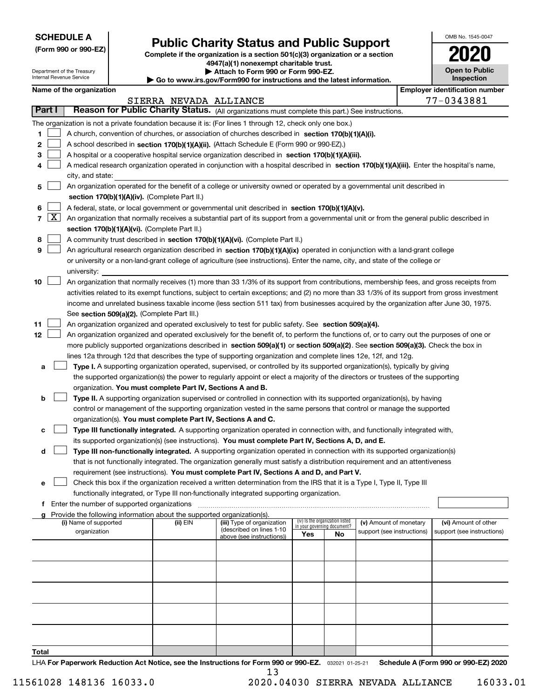## (Form 990 or 990-EZ) Complete if the organization is a section 501(c)(3) organization or a section Public Charity Status and Public Support

4947(a)(1) nonexempt charitable trust. Attach to Form 990 or Form 990-FZ

|  | Attach to Form 990 or Form 990-EZ.                          |  |  |
|--|-------------------------------------------------------------|--|--|
|  | uu iro qoy/Eorm000 for inotruotiona and the lateat informa; |  |  |

|  | Inspection | <b>Open to Public</b> |
|--|------------|-----------------------|
|  |            |                       |

OMB No. 1545-0047

| <b>INTERNATION</b> DELVICE |  |  |
|----------------------------|--|--|
|                            |  |  |
|                            |  |  |

|    |                 | Department of the Treasury<br>Internal Revenue Service |                                                                        | Attach to Form 990 or Form 990-EZ.                                                                                                           |     |                                                                |                            | <b>Open to Public</b><br><b>Inspection</b> |
|----|-----------------|--------------------------------------------------------|------------------------------------------------------------------------|----------------------------------------------------------------------------------------------------------------------------------------------|-----|----------------------------------------------------------------|----------------------------|--------------------------------------------|
|    |                 | Name of the organization                               |                                                                        | Go to www.irs.gov/Form990 for instructions and the latest information.                                                                       |     |                                                                |                            | <b>Employer identification number</b>      |
|    |                 |                                                        | SIERRA NEVADA ALLIANCE                                                 |                                                                                                                                              |     |                                                                |                            | 77-0343881                                 |
|    | Part I          |                                                        |                                                                        | Reason for Public Charity Status. (All organizations must complete this part.) See instructions.                                             |     |                                                                |                            |                                            |
|    |                 |                                                        |                                                                        |                                                                                                                                              |     |                                                                |                            |                                            |
|    |                 |                                                        |                                                                        | The organization is not a private foundation because it is: (For lines 1 through 12, check only one box.)                                    |     |                                                                |                            |                                            |
| 1  |                 |                                                        |                                                                        | A church, convention of churches, or association of churches described in section 170(b)(1)(A)(i).                                           |     |                                                                |                            |                                            |
| 2  |                 |                                                        |                                                                        | A school described in section 170(b)(1)(A)(ii). (Attach Schedule E (Form 990 or 990-EZ).)                                                    |     |                                                                |                            |                                            |
| 3  |                 |                                                        |                                                                        | A hospital or a cooperative hospital service organization described in section $170(b)(1)(A)(iii)$ .                                         |     |                                                                |                            |                                            |
| 4  |                 |                                                        |                                                                        | A medical research organization operated in conjunction with a hospital described in section 170(b)(1)(A)(iii). Enter the hospital's name,   |     |                                                                |                            |                                            |
|    |                 | city, and state:                                       |                                                                        |                                                                                                                                              |     |                                                                |                            |                                            |
| 5  |                 |                                                        |                                                                        | An organization operated for the benefit of a college or university owned or operated by a governmental unit described in                    |     |                                                                |                            |                                            |
|    |                 |                                                        | section 170(b)(1)(A)(iv). (Complete Part II.)                          |                                                                                                                                              |     |                                                                |                            |                                            |
| 6  |                 |                                                        |                                                                        | A federal, state, or local government or governmental unit described in section 170(b)(1)(A)(v).                                             |     |                                                                |                            |                                            |
|    | $7 \mid X \mid$ |                                                        |                                                                        | An organization that normally receives a substantial part of its support from a governmental unit or from the general public described in    |     |                                                                |                            |                                            |
|    |                 |                                                        | section 170(b)(1)(A)(vi). (Complete Part II.)                          |                                                                                                                                              |     |                                                                |                            |                                            |
| 8  |                 |                                                        |                                                                        | A community trust described in section 170(b)(1)(A)(vi). (Complete Part II.)                                                                 |     |                                                                |                            |                                            |
| 9  |                 |                                                        |                                                                        | An agricultural research organization described in section 170(b)(1)(A)(ix) operated in conjunction with a land-grant college                |     |                                                                |                            |                                            |
|    |                 |                                                        |                                                                        | or university or a non-land-grant college of agriculture (see instructions). Enter the name, city, and state of the college or               |     |                                                                |                            |                                            |
|    |                 | university:                                            |                                                                        | An organization that normally receives (1) more than 33 1/3% of its support from contributions, membership fees, and gross receipts from     |     |                                                                |                            |                                            |
| 10 |                 |                                                        |                                                                        |                                                                                                                                              |     |                                                                |                            |                                            |
|    |                 |                                                        |                                                                        | activities related to its exempt functions, subject to certain exceptions; and (2) no more than 33 1/3% of its support from gross investment |     |                                                                |                            |                                            |
|    |                 |                                                        | See section 509(a)(2). (Complete Part III.)                            | income and unrelated business taxable income (less section 511 tax) from businesses acquired by the organization after June 30, 1975.        |     |                                                                |                            |                                            |
| 11 |                 |                                                        |                                                                        | An organization organized and operated exclusively to test for public safety. See section 509(a)(4).                                         |     |                                                                |                            |                                            |
| 12 |                 |                                                        |                                                                        | An organization organized and operated exclusively for the benefit of, to perform the functions of, or to carry out the purposes of one or   |     |                                                                |                            |                                            |
|    |                 |                                                        |                                                                        | more publicly supported organizations described in section 509(a)(1) or section 509(a)(2). See section 509(a)(3). Check the box in           |     |                                                                |                            |                                            |
|    |                 |                                                        |                                                                        | lines 12a through 12d that describes the type of supporting organization and complete lines 12e, 12f, and 12g.                               |     |                                                                |                            |                                            |
| а  |                 |                                                        |                                                                        | Type I. A supporting organization operated, supervised, or controlled by its supported organization(s), typically by giving                  |     |                                                                |                            |                                            |
|    |                 |                                                        |                                                                        | the supported organization(s) the power to regularly appoint or elect a majority of the directors or trustees of the supporting              |     |                                                                |                            |                                            |
|    |                 |                                                        | organization. You must complete Part IV, Sections A and B.             |                                                                                                                                              |     |                                                                |                            |                                            |
| b  |                 |                                                        |                                                                        | Type II. A supporting organization supervised or controlled in connection with its supported organization(s), by having                      |     |                                                                |                            |                                            |
|    |                 |                                                        |                                                                        | control or management of the supporting organization vested in the same persons that control or manage the supported                         |     |                                                                |                            |                                            |
|    |                 |                                                        | organization(s). You must complete Part IV, Sections A and C.          |                                                                                                                                              |     |                                                                |                            |                                            |
| c  |                 |                                                        |                                                                        | Type III functionally integrated. A supporting organization operated in connection with, and functionally integrated with,                   |     |                                                                |                            |                                            |
|    |                 |                                                        |                                                                        | its supported organization(s) (see instructions). You must complete Part IV, Sections A, D, and E.                                           |     |                                                                |                            |                                            |
| d  |                 |                                                        |                                                                        | Type III non-functionally integrated. A supporting organization operated in connection with its supported organization(s)                    |     |                                                                |                            |                                            |
|    |                 |                                                        |                                                                        | that is not functionally integrated. The organization generally must satisfy a distribution requirement and an attentiveness                 |     |                                                                |                            |                                            |
|    |                 |                                                        |                                                                        | requirement (see instructions). You must complete Part IV, Sections A and D, and Part V.                                                     |     |                                                                |                            |                                            |
| е  |                 |                                                        |                                                                        | Check this box if the organization received a written determination from the IRS that it is a Type I, Type II, Type III                      |     |                                                                |                            |                                            |
|    |                 |                                                        |                                                                        | functionally integrated, or Type III non-functionally integrated supporting organization.                                                    |     |                                                                |                            |                                            |
|    |                 | Enter the number of supported organizations            |                                                                        |                                                                                                                                              |     |                                                                |                            |                                            |
|    |                 |                                                        | Provide the following information about the supported organization(s). |                                                                                                                                              |     |                                                                |                            |                                            |
|    |                 | (i) Name of supported                                  | (ii) $EIN$                                                             | (iii) Type of organization                                                                                                                   |     | (iv) Is the organization listed<br>in your governing document? | (v) Amount of monetary     | (vi) Amount of other                       |
|    |                 | organization                                           |                                                                        | (described on lines 1-10<br>above (see instructions))                                                                                        | Yes | No                                                             | support (see instructions) | support (see instructions)                 |
|    |                 |                                                        |                                                                        |                                                                                                                                              |     |                                                                |                            |                                            |
|    |                 |                                                        |                                                                        |                                                                                                                                              |     |                                                                |                            |                                            |
|    |                 |                                                        |                                                                        |                                                                                                                                              |     |                                                                |                            |                                            |
|    |                 |                                                        |                                                                        |                                                                                                                                              |     |                                                                |                            |                                            |
|    |                 |                                                        |                                                                        |                                                                                                                                              |     |                                                                |                            |                                            |
|    |                 |                                                        |                                                                        |                                                                                                                                              |     |                                                                |                            |                                            |
|    |                 |                                                        |                                                                        |                                                                                                                                              |     |                                                                |                            |                                            |
|    |                 |                                                        |                                                                        |                                                                                                                                              |     |                                                                |                            |                                            |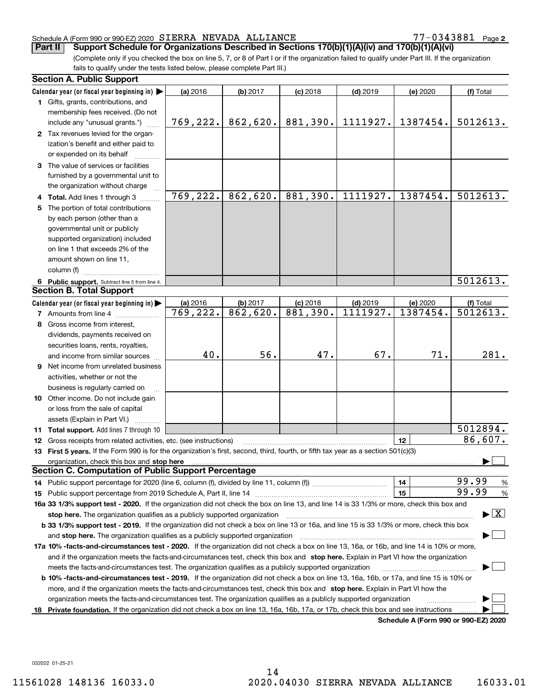$77 - 0343881$  Page 2

(Complete only if you checked the box on line 5, 7, or 8 of Part I or if the organization failed to qualify under Part III. If the organization fails to qualify under the tests listed below, please complete Part III.) Part II | Support Schedule for Organizations Described in Sections 170(b)(1)(A)(iv) and 170(b)(1)(A)(vi)

|    | <b>Section A. Public Support</b>                                                                                                                                                                                               |          |          |            |            |                                      |                                          |
|----|--------------------------------------------------------------------------------------------------------------------------------------------------------------------------------------------------------------------------------|----------|----------|------------|------------|--------------------------------------|------------------------------------------|
|    | Calendar year (or fiscal year beginning in) $\blacktriangleright$                                                                                                                                                              | (a) 2016 | (b) 2017 | $(c)$ 2018 | $(d)$ 2019 | (e) 2020                             | (f) Total                                |
|    | 1 Gifts, grants, contributions, and                                                                                                                                                                                            |          |          |            |            |                                      |                                          |
|    | membership fees received. (Do not                                                                                                                                                                                              |          |          |            |            |                                      |                                          |
|    | include any "unusual grants.")                                                                                                                                                                                                 | 769,222. | 862,620. | 881,390.   | 1111927.   | 1387454.                             | 5012613.                                 |
|    | 2 Tax revenues levied for the organ-                                                                                                                                                                                           |          |          |            |            |                                      |                                          |
|    | ization's benefit and either paid to                                                                                                                                                                                           |          |          |            |            |                                      |                                          |
|    | or expended on its behalf                                                                                                                                                                                                      |          |          |            |            |                                      |                                          |
|    | 3 The value of services or facilities                                                                                                                                                                                          |          |          |            |            |                                      |                                          |
|    | furnished by a governmental unit to                                                                                                                                                                                            |          |          |            |            |                                      |                                          |
|    | the organization without charge                                                                                                                                                                                                |          |          |            |            |                                      |                                          |
|    | 4 Total. Add lines 1 through 3                                                                                                                                                                                                 | 769,222. | 862,620. | 881,390.   | 1111927.   | 1387454.                             | 5012613.                                 |
| 5. | The portion of total contributions                                                                                                                                                                                             |          |          |            |            |                                      |                                          |
|    | by each person (other than a                                                                                                                                                                                                   |          |          |            |            |                                      |                                          |
|    | governmental unit or publicly                                                                                                                                                                                                  |          |          |            |            |                                      |                                          |
|    | supported organization) included                                                                                                                                                                                               |          |          |            |            |                                      |                                          |
|    | on line 1 that exceeds 2% of the                                                                                                                                                                                               |          |          |            |            |                                      |                                          |
|    | amount shown on line 11,                                                                                                                                                                                                       |          |          |            |            |                                      |                                          |
|    | column (f)                                                                                                                                                                                                                     |          |          |            |            |                                      |                                          |
|    | 6 Public support. Subtract line 5 from line 4.                                                                                                                                                                                 |          |          |            |            |                                      | 5012613.                                 |
|    | <b>Section B. Total Support</b>                                                                                                                                                                                                |          |          |            |            |                                      |                                          |
|    | Calendar year (or fiscal year beginning in)                                                                                                                                                                                    | (a) 2016 | (b) 2017 | $(c)$ 2018 | $(d)$ 2019 | (e) 2020                             | (f) Total                                |
|    | <b>7</b> Amounts from line 4                                                                                                                                                                                                   | 769,222. | 862,620. | 881,390.   | 1111927.   | 1387454.                             | 5012613.                                 |
| 8  | Gross income from interest.                                                                                                                                                                                                    |          |          |            |            |                                      |                                          |
|    | dividends, payments received on                                                                                                                                                                                                |          |          |            |            |                                      |                                          |
|    | securities loans, rents, royalties,                                                                                                                                                                                            |          |          |            |            |                                      |                                          |
|    | and income from similar sources                                                                                                                                                                                                | 40.      | 56.      | 47.        | 67.        | 71.                                  | 281.                                     |
| 9  | Net income from unrelated business                                                                                                                                                                                             |          |          |            |            |                                      |                                          |
|    | activities, whether or not the                                                                                                                                                                                                 |          |          |            |            |                                      |                                          |
|    | business is regularly carried on                                                                                                                                                                                               |          |          |            |            |                                      |                                          |
|    | 10 Other income. Do not include gain                                                                                                                                                                                           |          |          |            |            |                                      |                                          |
|    | or loss from the sale of capital                                                                                                                                                                                               |          |          |            |            |                                      |                                          |
|    | assets (Explain in Part VI.)                                                                                                                                                                                                   |          |          |            |            |                                      |                                          |
|    | 11 Total support. Add lines 7 through 10                                                                                                                                                                                       |          |          |            |            |                                      | 5012894.                                 |
|    | <b>12</b> Gross receipts from related activities, etc. (see instructions)                                                                                                                                                      |          |          |            |            | 12                                   | 86,607.                                  |
|    | 13 First 5 years. If the Form 990 is for the organization's first, second, third, fourth, or fifth tax year as a section 501(c)(3)                                                                                             |          |          |            |            |                                      |                                          |
|    | organization, check this box and stop here manufactured and according to the state of the state of the state of the state of the state of the state of the state of the state of the state of the state of the state of the st |          |          |            |            |                                      |                                          |
|    | <b>Section C. Computation of Public Support Percentage</b>                                                                                                                                                                     |          |          |            |            |                                      |                                          |
|    |                                                                                                                                                                                                                                |          |          |            |            | 14                                   | 99.99<br>$\frac{9}{6}$                   |
|    | <b>15</b> Public support percentage from 2019 Schedule A, Part II, line 14                                                                                                                                                     |          |          |            |            | 15                                   | 99.99<br>$\%$                            |
|    | 16a 33 1/3% support test - 2020. If the organization did not check the box on line 13, and line 14 is 33 1/3% or more, check this box and                                                                                      |          |          |            |            |                                      |                                          |
|    | stop here. The organization qualifies as a publicly supported organization                                                                                                                                                     |          |          |            |            |                                      | $\blacktriangleright$ $\boxed{\text{X}}$ |
|    | b 33 1/3% support test - 2019. If the organization did not check a box on line 13 or 16a, and line 15 is 33 1/3% or more, check this box                                                                                       |          |          |            |            |                                      |                                          |
|    | and stop here. The organization qualifies as a publicly supported organization                                                                                                                                                 |          |          |            |            |                                      |                                          |
|    | 17a 10% -facts-and-circumstances test - 2020. If the organization did not check a box on line 13, 16a, or 16b, and line 14 is 10% or more,                                                                                     |          |          |            |            |                                      |                                          |
|    | and if the organization meets the facts-and-circumstances test, check this box and stop here. Explain in Part VI how the organization                                                                                          |          |          |            |            |                                      |                                          |
|    | meets the facts-and-circumstances test. The organization qualifies as a publicly supported organization                                                                                                                        |          |          |            |            |                                      |                                          |
|    | <b>b 10% -facts-and-circumstances test - 2019.</b> If the organization did not check a box on line 13, 16a, 16b, or 17a, and line 15 is 10% or                                                                                 |          |          |            |            |                                      |                                          |
|    | more, and if the organization meets the facts-and-circumstances test, check this box and stop here. Explain in Part VI how the                                                                                                 |          |          |            |            |                                      |                                          |
|    | organization meets the facts-and-circumstances test. The organization qualifies as a publicly supported organization                                                                                                           |          |          |            |            |                                      |                                          |
| 18 | Private foundation. If the organization did not check a box on line 13, 16a, 16b, 17a, or 17b, check this box and see instructions                                                                                             |          |          |            |            |                                      |                                          |
|    |                                                                                                                                                                                                                                |          |          |            |            | Schedule A (Form 990 or 990-F7) 2020 |                                          |

Schedule A (Form 990 or 990-EZ) 2020

032022 01-25-21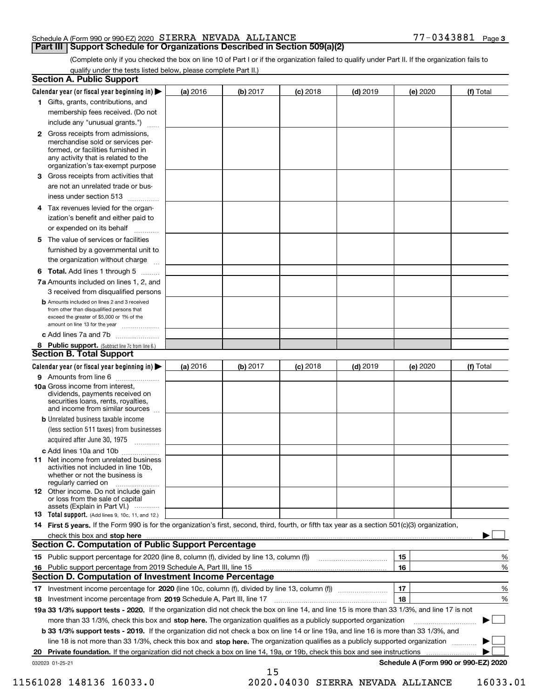## **Part III | Support Schedule for Organizations Described in Section 509(a)(2)**

(Complete only if you checked the box on line 10 of Part I or if the organization failed to qualify under Part II. If the organization fails to qualify under the tests listed below, please complete Part II.)

|    | <b>Section A. Public Support</b>                                                                                                                                                                |          |          |            |            |          |                                      |
|----|-------------------------------------------------------------------------------------------------------------------------------------------------------------------------------------------------|----------|----------|------------|------------|----------|--------------------------------------|
|    | Calendar year (or fiscal year beginning in) $\blacktriangleright$                                                                                                                               | (a) 2016 | (b) 2017 | $(c)$ 2018 | $(d)$ 2019 | (e) 2020 | (f) Total                            |
|    | 1 Gifts, grants, contributions, and                                                                                                                                                             |          |          |            |            |          |                                      |
|    | membership fees received. (Do not                                                                                                                                                               |          |          |            |            |          |                                      |
|    | include any "unusual grants.")                                                                                                                                                                  |          |          |            |            |          |                                      |
|    | <b>2</b> Gross receipts from admissions,<br>merchandise sold or services per-<br>formed, or facilities furnished in<br>any activity that is related to the<br>organization's tax-exempt purpose |          |          |            |            |          |                                      |
|    | 3 Gross receipts from activities that                                                                                                                                                           |          |          |            |            |          |                                      |
|    | are not an unrelated trade or bus-                                                                                                                                                              |          |          |            |            |          |                                      |
|    | iness under section 513                                                                                                                                                                         |          |          |            |            |          |                                      |
| 4  | Tax revenues levied for the organ-<br>ization's benefit and either paid to                                                                                                                      |          |          |            |            |          |                                      |
|    | or expended on its behalf                                                                                                                                                                       |          |          |            |            |          |                                      |
|    | .<br>5 The value of services or facilities                                                                                                                                                      |          |          |            |            |          |                                      |
|    | furnished by a governmental unit to                                                                                                                                                             |          |          |            |            |          |                                      |
|    | the organization without charge                                                                                                                                                                 |          |          |            |            |          |                                      |
|    |                                                                                                                                                                                                 |          |          |            |            |          |                                      |
|    | <b>6 Total.</b> Add lines 1 through 5<br>7a Amounts included on lines 1, 2, and                                                                                                                 |          |          |            |            |          |                                      |
|    | 3 received from disqualified persons                                                                                                                                                            |          |          |            |            |          |                                      |
|    | <b>b</b> Amounts included on lines 2 and 3 received<br>from other than disqualified persons that<br>exceed the greater of \$5,000 or 1% of the<br>amount on line 13 for the year                |          |          |            |            |          |                                      |
|    | c Add lines 7a and 7b                                                                                                                                                                           |          |          |            |            |          |                                      |
|    | 8 Public support. (Subtract line 7c from line 6.)                                                                                                                                               |          |          |            |            |          |                                      |
|    | <b>Section B. Total Support</b>                                                                                                                                                                 |          |          |            |            |          |                                      |
|    | Calendar year (or fiscal year beginning in) $\blacktriangleright$                                                                                                                               | (a) 2016 | (b) 2017 | $(c)$ 2018 | $(d)$ 2019 | (e) 2020 | (f) Total                            |
|    | 9 Amounts from line 6                                                                                                                                                                           |          |          |            |            |          |                                      |
|    | <b>10a Gross income from interest.</b><br>dividends, payments received on<br>securities loans, rents, royalties,<br>and income from similar sources                                             |          |          |            |            |          |                                      |
|    | <b>b</b> Unrelated business taxable income                                                                                                                                                      |          |          |            |            |          |                                      |
|    | (less section 511 taxes) from businesses                                                                                                                                                        |          |          |            |            |          |                                      |
|    | acquired after June 30, 1975                                                                                                                                                                    |          |          |            |            |          |                                      |
|    | c Add lines 10a and 10b                                                                                                                                                                         |          |          |            |            |          |                                      |
|    | <b>11</b> Net income from unrelated business<br>activities not included in line 10b.<br>whether or not the business is<br>regularly carried on                                                  |          |          |            |            |          |                                      |
|    | <b>12</b> Other income. Do not include gain<br>or loss from the sale of capital                                                                                                                 |          |          |            |            |          |                                      |
|    | assets (Explain in Part VI.)<br><b>13</b> Total support. (Add lines 9, 10c, 11, and 12.)                                                                                                        |          |          |            |            |          |                                      |
|    | 14 First 5 years. If the Form 990 is for the organization's first, second, third, fourth, or fifth tax year as a section 501(c)(3) organization,                                                |          |          |            |            |          |                                      |
|    | check this box and stop here measurements are constructed as the state of the state of the state of the state o                                                                                 |          |          |            |            |          |                                      |
|    | <b>Section C. Computation of Public Support Percentage</b>                                                                                                                                      |          |          |            |            |          |                                      |
|    |                                                                                                                                                                                                 |          |          |            |            | 15       | %                                    |
| 16 | Public support percentage from 2019 Schedule A, Part III, line 15                                                                                                                               |          |          |            |            | 16       | %                                    |
|    | Section D. Computation of Investment Income Percentage                                                                                                                                          |          |          |            |            |          |                                      |
|    |                                                                                                                                                                                                 |          |          |            |            | 17       | %                                    |
|    | 18 Investment income percentage from 2019 Schedule A, Part III, line 17                                                                                                                         |          |          |            |            | 18       | %                                    |
|    | 19a 33 1/3% support tests - 2020. If the organization did not check the box on line 14, and line 15 is more than 33 1/3%, and line 17 is not                                                    |          |          |            |            |          |                                      |
|    | more than 33 1/3%, check this box and stop here. The organization qualifies as a publicly supported organization                                                                                |          |          |            |            |          |                                      |
|    | b 33 1/3% support tests - 2019. If the organization did not check a box on line 14 or line 19a, and line 16 is more than 33 1/3%, and                                                           |          |          |            |            |          |                                      |
|    | line 18 is not more than 33 1/3%, check this box and stop here. The organization qualifies as a publicly supported organization                                                                 |          |          |            |            |          |                                      |
|    | 20 Private foundation. If the organization did not check a box on line 14, 19a, or 19b, check this box and see instructions                                                                     |          |          |            |            | .        |                                      |
|    | 032023 01-25-21                                                                                                                                                                                 |          |          |            |            |          | Schedule A (Form 990 or 990-EZ) 2020 |
|    |                                                                                                                                                                                                 |          | 15       |            |            |          |                                      |

11561028 148136 16033.0 2020.04030 SIERRA NEVADA ALLIANCE 16033.01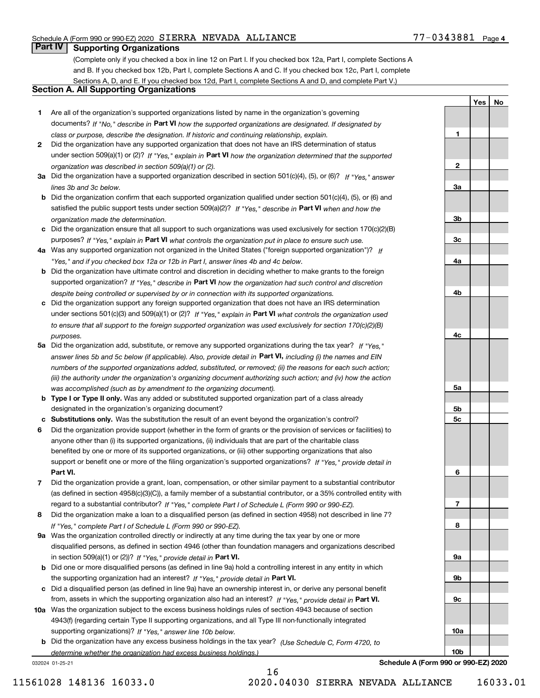## $77 - 0343881$  Page 4

1

2

3a

3b

3c

4a

4b

4c

5a

5b 5c

6

7

8

9a

9b

Yes | No

## **Part IV Supporting Organizations**

(Complete only if you checked a box in line 12 on Part I. If you checked box 12a, Part I, complete Sections A and B. If you checked box 12b, Part I, complete Sections A and C. If you checked box 12c, Part I, complete Sections A, D, and E. If you checked box 12d, Part I, complete Sections A and D, and complete Part V.)

## Section A. All Supporting Organizations

- 1 Are all of the organization's supported organizations listed by name in the organization's governing documents? If "No," describe in Part VI how the supported organizations are designated. If designated by class or purpose, describe the designation. If historic and continuing relationship, explain.
- 2 Did the organization have any supported organization that does not have an IRS determination of status under section 509(a)(1) or (2)? If "Yes," explain in Part VI how the organization determined that the supported organization was described in section 509(a)(1) or (2).
- 3a Did the organization have a supported organization described in section 501(c)(4), (5), or (6)? If "Yes," answer lines 3b and 3c below.
- b Did the organization confirm that each supported organization qualified under section 501(c)(4), (5), or (6) and satisfied the public support tests under section 509(a)(2)? If "Yes," describe in Part VI when and how the organization made the determination.
- c Did the organization ensure that all support to such organizations was used exclusively for section 170(c)(2)(B) purposes? If "Yes," explain in Part VI what controls the organization put in place to ensure such use.
- 4a Was any supported organization not organized in the United States ("foreign supported organization")? If "Yes," and if you checked box 12a or 12b in Part I, answer lines 4b and 4c below.
- b Did the organization have ultimate control and discretion in deciding whether to make grants to the foreign supported organization? If "Yes," describe in Part VI how the organization had such control and discretion despite being controlled or supervised by or in connection with its supported organizations.
- c Did the organization support any foreign supported organization that does not have an IRS determination under sections 501(c)(3) and 509(a)(1) or (2)? If "Yes," explain in Part VI what controls the organization used to ensure that all support to the foreign supported organization was used exclusively for section 170(c)(2)(B) purposes.
- 5a Did the organization add, substitute, or remove any supported organizations during the tax year? If "Yes," answer lines 5b and 5c below (if applicable). Also, provide detail in **Part VI,** including (i) the names and EIN numbers of the supported organizations added, substituted, or removed; (ii) the reasons for each such action; (iii) the authority under the organization's organizing document authorizing such action; and (iv) how the action was accomplished (such as by amendment to the organizing document).
- **b Type I or Type II only.** Was any added or substituted supported organization part of a class already designated in the organization's organizing document?
- c Substitutions only. Was the substitution the result of an event beyond the organization's control?
- 6 Did the organization provide support (whether in the form of grants or the provision of services or facilities) to Part VI. support or benefit one or more of the filing organization's supported organizations? If "Yes," provide detail in anyone other than (i) its supported organizations, (ii) individuals that are part of the charitable class benefited by one or more of its supported organizations, or (iii) other supporting organizations that also
- 7 Did the organization provide a grant, loan, compensation, or other similar payment to a substantial contributor regard to a substantial contributor? If "Yes," complete Part I of Schedule L (Form 990 or 990-EZ). (as defined in section 4958(c)(3)(C)), a family member of a substantial contributor, or a 35% controlled entity with
- 8 Did the organization make a loan to a disqualified person (as defined in section 4958) not described in line 7? If "Yes," complete Part I of Schedule L (Form 990 or 990-EZ).
- **9a** Was the organization controlled directly or indirectly at any time during the tax year by one or more in section 509(a)(1) or (2))? If "Yes," provide detail in Part VI. disqualified persons, as defined in section 4946 (other than foundation managers and organizations described
- b Did one or more disqualified persons (as defined in line 9a) hold a controlling interest in any entity in which the supporting organization had an interest? If "Yes," provide detail in Part VI.
- c Did a disqualified person (as defined in line 9a) have an ownership interest in, or derive any personal benefit from, assets in which the supporting organization also had an interest? If "Yes," provide detail in Part VI.
- 10a Was the organization subject to the excess business holdings rules of section 4943 because of section supporting organizations)? If "Yes," answer line 10b below. 4943(f) (regarding certain Type II supporting organizations, and all Type III non-functionally integrated
- **b** Did the organization have any excess business holdings in the tax year? (Use Schedule C, Form 4720, to determine whether the organization had excess business holdings.)

16

032024 01-25-21

9c 10a 10b Schedule A (Form 990 or 990-EZ) 2020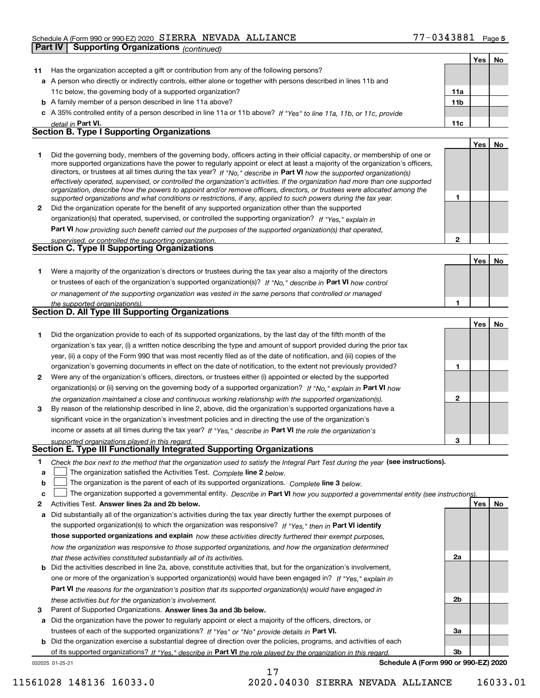|              | Part IV<br><b>Supporting Organizations (continued)</b>                                                                                                                                                                                                     |                 |            |    |
|--------------|------------------------------------------------------------------------------------------------------------------------------------------------------------------------------------------------------------------------------------------------------------|-----------------|------------|----|
|              |                                                                                                                                                                                                                                                            |                 | <b>Yes</b> | No |
| 11           | Has the organization accepted a gift or contribution from any of the following persons?                                                                                                                                                                    |                 |            |    |
|              | a A person who directly or indirectly controls, either alone or together with persons described in lines 11b and                                                                                                                                           |                 |            |    |
|              | 11c below, the governing body of a supported organization?                                                                                                                                                                                                 | 11a             |            |    |
|              | <b>b</b> A family member of a person described in line 11a above?                                                                                                                                                                                          | 11 <sub>b</sub> |            |    |
|              | A 35% controlled entity of a person described in line 11a or 11b above? If "Yes" to line 11a, 11b, or 11c, provide                                                                                                                                         |                 |            |    |
|              | detail in Part VI.                                                                                                                                                                                                                                         | 11c             |            |    |
|              | <b>Section B. Type I Supporting Organizations</b>                                                                                                                                                                                                          |                 |            |    |
|              |                                                                                                                                                                                                                                                            |                 | Yes        | No |
| 1            | Did the governing body, members of the governing body, officers acting in their official capacity, or membership of one or                                                                                                                                 |                 |            |    |
|              | more supported organizations have the power to regularly appoint or elect at least a majority of the organization's officers,                                                                                                                              |                 |            |    |
|              | directors, or trustees at all times during the tax year? If "No," describe in Part VI how the supported organization(s)                                                                                                                                    |                 |            |    |
|              | effectively operated, supervised, or controlled the organization's activities. If the organization had more than one supported<br>organization, describe how the powers to appoint and/or remove officers, directors, or trustees were allocated among the |                 |            |    |
|              | supported organizations and what conditions or restrictions, if any, applied to such powers during the tax year.                                                                                                                                           | 1               |            |    |
| $\mathbf{2}$ | Did the organization operate for the benefit of any supported organization other than the supported                                                                                                                                                        |                 |            |    |
|              | organization(s) that operated, supervised, or controlled the supporting organization? If "Yes," explain in                                                                                                                                                 |                 |            |    |
|              | Part VI how providing such benefit carried out the purposes of the supported organization(s) that operated,                                                                                                                                                |                 |            |    |
|              | supervised, or controlled the supporting organization.                                                                                                                                                                                                     | $\overline{2}$  |            |    |
|              | Section C. Type II Supporting Organizations                                                                                                                                                                                                                |                 |            |    |
|              |                                                                                                                                                                                                                                                            |                 | Yes        | No |
| 1.           | Were a majority of the organization's directors or trustees during the tax year also a majority of the directors                                                                                                                                           |                 |            |    |
|              | or trustees of each of the organization's supported organization(s)? If "No," describe in Part VI how control                                                                                                                                              |                 |            |    |
|              | or management of the supporting organization was vested in the same persons that controlled or managed                                                                                                                                                     |                 |            |    |
|              | the supported organization(s).                                                                                                                                                                                                                             | 1               |            |    |
|              | Section D. All Type III Supporting Organizations                                                                                                                                                                                                           |                 |            |    |
|              |                                                                                                                                                                                                                                                            |                 | <b>Yes</b> | No |
| 1.           | Did the organization provide to each of its supported organizations, by the last day of the fifth month of the                                                                                                                                             |                 |            |    |
|              | organization's tax year, (i) a written notice describing the type and amount of support provided during the prior tax                                                                                                                                      |                 |            |    |
|              | year, (ii) a copy of the Form 990 that was most recently filed as of the date of notification, and (iii) copies of the                                                                                                                                     |                 |            |    |
|              | organization's governing documents in effect on the date of notification, to the extent not previously provided?                                                                                                                                           | 1               |            |    |
| 2            | Were any of the organization's officers, directors, or trustees either (i) appointed or elected by the supported                                                                                                                                           |                 |            |    |
|              | organization(s) or (ii) serving on the governing body of a supported organization? If "No." explain in Part VI how                                                                                                                                         |                 |            |    |
|              | the organization maintained a close and continuous working relationship with the supported organization(s).                                                                                                                                                | $\mathbf{2}$    |            |    |
| 3            | By reason of the relationship described in line 2, above, did the organization's supported organizations have a                                                                                                                                            |                 |            |    |
|              | significant voice in the organization's investment policies and in directing the use of the organization's                                                                                                                                                 |                 |            |    |
|              | income or assets at all times during the tax year? If "Yes," describe in Part VI the role the organization's                                                                                                                                               |                 |            |    |
|              | supported organizations played in this regard.                                                                                                                                                                                                             | 3               |            |    |
|              | Section E. Type III Functionally Integrated Supporting Organizations                                                                                                                                                                                       |                 |            |    |
| 1.           | Check the box next to the method that the organization used to satisfy the Integral Part Test during the year (see instructions).                                                                                                                          |                 |            |    |
| a            | The organization satisfied the Activities Test. Complete line 2 below.                                                                                                                                                                                     |                 |            |    |
| þ            | The organization is the parent of each of its supported organizations. Complete line 3 below.                                                                                                                                                              |                 |            |    |
| c            | The organization supported a governmental entity. Describe in Part VI how you supported a governmental entity (see instructions)                                                                                                                           |                 |            |    |

- 2 Activities Test. Answer lines 2a and 2b below. No recorded the control of the control of the control of the control of the control of the control of the control of the control of the control of the control of the contro
- a Did substantially all of the organization's activities during the tax year directly further the exempt purposes of b Did the activities described in line 2a, above, constitute activities that, but for the organization's involvement, the supported organization(s) to which the organization was responsive? If "Yes," then in Part VI identify those supported organizations and explain how these activities directly furthered their exempt purposes, how the organization was responsive to those supported organizations, and how the organization determined that these activities constituted substantially all of its activities. one or more of the organization's supported organization(s) would have been engaged in? If "Yes," explain in
	- Part VI the reasons for the organization's position that its supported organization(s) would have engaged in these activities but for the organization's involvement.
- 3 Parent of Supported Organizations. Answer lines 3a and 3b below.

a Did the organization have the power to regularly appoint or elect a majority of the officers, directors, or trustees of each of the supported organizations? If "Yes" or "No" provide details in Part VI.

032025 01-25-21 b Did the organization exercise a substantial degree of direction over the policies, programs, and activities of each of its supported organizations? If "Yes," describe in Part VI the role played by the organization in this regard.

Schedule A (Form 990 or 990-EZ) 2020

2a

2b

3a

3b

11561028 148136 16033.0 2020.04030 SIERRA NEVADA ALLIANCE 16033.01

17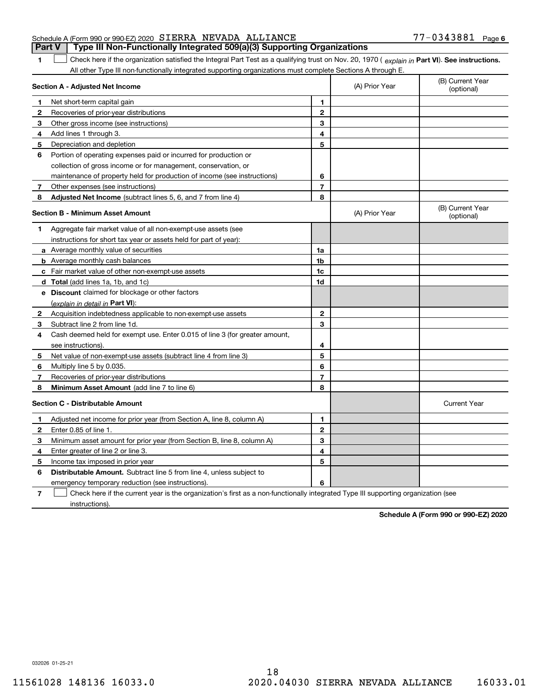## Schedule A (Form 990 or 990-EZ) 2020 Page SIERRA NEVADA ALLIANCE 77-0343881 **Part V** | Type III Non-Functionally Integrated 509(a)(3) Supporting Organizations

The Check here if the organization satisfied the Integral Part Test as a qualifying trust on Nov. 20, 1970 ( explain in Part VI). See instructions. All other Type III non-functionally integrated supporting organizations must complete Sections A through E.

|              | Section A - Adjusted Net Income                                                                                                   |                | (A) Prior Year | (B) Current Year<br>(optional) |
|--------------|-----------------------------------------------------------------------------------------------------------------------------------|----------------|----------------|--------------------------------|
| п.           | Net short-term capital gain                                                                                                       | 1              |                |                                |
| 2            | Recoveries of prior-year distributions                                                                                            | $\mathbf{2}$   |                |                                |
| 3            | Other gross income (see instructions)                                                                                             | 3              |                |                                |
| 4            | Add lines 1 through 3.                                                                                                            | 4              |                |                                |
| 5            | Depreciation and depletion                                                                                                        | 5              |                |                                |
| 6            | Portion of operating expenses paid or incurred for production or                                                                  |                |                |                                |
|              | collection of gross income or for management, conservation, or                                                                    |                |                |                                |
|              | maintenance of property held for production of income (see instructions)                                                          | 6              |                |                                |
| 7            | Other expenses (see instructions)                                                                                                 | $\overline{7}$ |                |                                |
| 8            | Adjusted Net Income (subtract lines 5, 6, and 7 from line 4)                                                                      | 8              |                |                                |
|              | <b>Section B - Minimum Asset Amount</b>                                                                                           |                | (A) Prior Year | (B) Current Year<br>(optional) |
| 1            | Aggregate fair market value of all non-exempt-use assets (see                                                                     |                |                |                                |
|              | instructions for short tax year or assets held for part of year):                                                                 |                |                |                                |
|              | a Average monthly value of securities                                                                                             | 1a             |                |                                |
|              | <b>b</b> Average monthly cash balances                                                                                            | 1b             |                |                                |
|              | c Fair market value of other non-exempt-use assets                                                                                | 1c             |                |                                |
|              | d Total (add lines 1a, 1b, and 1c)                                                                                                | 1d             |                |                                |
|              | e Discount claimed for blockage or other factors                                                                                  |                |                |                                |
|              | (explain in detail in <b>Part VI</b> ):                                                                                           |                |                |                                |
| $\mathbf{2}$ | Acquisition indebtedness applicable to non-exempt-use assets                                                                      | $\mathbf{2}$   |                |                                |
| 3            | Subtract line 2 from line 1d.                                                                                                     | 3              |                |                                |
| 4            | Cash deemed held for exempt use. Enter 0.015 of line 3 (for greater amount,                                                       |                |                |                                |
|              | see instructions).                                                                                                                | 4              |                |                                |
| 5            | Net value of non-exempt-use assets (subtract line 4 from line 3)                                                                  | 5              |                |                                |
| 6            | Multiply line 5 by 0.035.                                                                                                         | 6              |                |                                |
| 7            | Recoveries of prior-year distributions                                                                                            | $\overline{7}$ |                |                                |
| 8            | <b>Minimum Asset Amount</b> (add line 7 to line 6)                                                                                | 8              |                |                                |
|              | <b>Section C - Distributable Amount</b>                                                                                           |                |                | <b>Current Year</b>            |
| 1            | Adjusted net income for prior year (from Section A, line 8, column A)                                                             | 1              |                |                                |
| 2            | Enter 0.85 of line 1.                                                                                                             | $\overline{2}$ |                |                                |
| 3            | Minimum asset amount for prior year (from Section B, line 8, column A)                                                            | 3              |                |                                |
| 4            | Enter greater of line 2 or line 3.                                                                                                | 4              |                |                                |
| 5            | Income tax imposed in prior year                                                                                                  | 5              |                |                                |
| 6            | <b>Distributable Amount.</b> Subtract line 5 from line 4, unless subject to                                                       |                |                |                                |
|              | emergency temporary reduction (see instructions).                                                                                 | 6              |                |                                |
| 7            | Check here if the current year is the organization's first as a non-functionally integrated Type III supporting organization (see |                |                |                                |

instructions).

Schedule A (Form 990 or 990-EZ) 2020

032026 01-25-21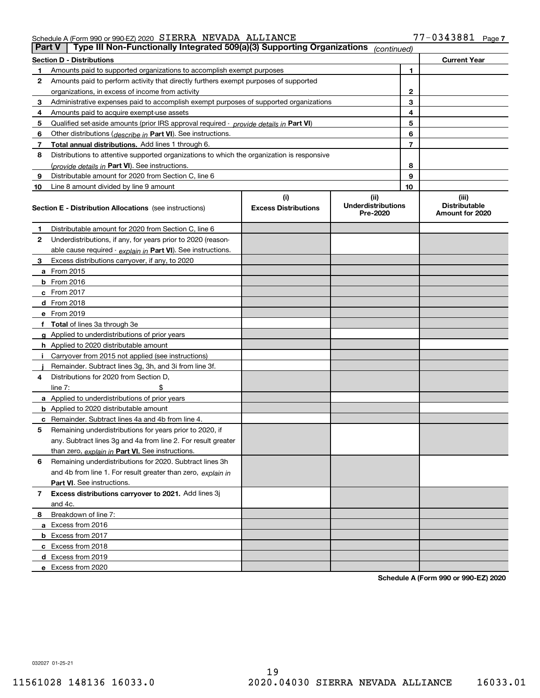|    | Type III Non-Functionally Integrated 509(a)(3) Supporting Organizations<br>Part V<br>(continued) |                                    |                                                |                                                  |
|----|--------------------------------------------------------------------------------------------------|------------------------------------|------------------------------------------------|--------------------------------------------------|
|    | <b>Section D - Distributions</b>                                                                 |                                    |                                                | <b>Current Year</b>                              |
| 1  | Amounts paid to supported organizations to accomplish exempt purposes                            |                                    | 1                                              |                                                  |
| 2  | Amounts paid to perform activity that directly furthers exempt purposes of supported             |                                    |                                                |                                                  |
|    | organizations, in excess of income from activity                                                 |                                    | 2                                              |                                                  |
| 3  | Administrative expenses paid to accomplish exempt purposes of supported organizations            |                                    | 3                                              |                                                  |
| 4  | Amounts paid to acquire exempt-use assets                                                        |                                    | 4                                              |                                                  |
| 5  | Qualified set-aside amounts (prior IRS approval required - provide details in Part VI)           |                                    | 5                                              |                                                  |
| 6  | Other distributions ( <i>describe in</i> Part VI). See instructions.                             |                                    | 6                                              |                                                  |
| 7  | Total annual distributions. Add lines 1 through 6.                                               |                                    | $\overline{7}$                                 |                                                  |
| 8  | Distributions to attentive supported organizations to which the organization is responsive       |                                    |                                                |                                                  |
|    | (provide details in Part VI). See instructions.                                                  |                                    | 8                                              |                                                  |
| 9  | Distributable amount for 2020 from Section C, line 6                                             |                                    | 9                                              |                                                  |
| 10 | Line 8 amount divided by line 9 amount                                                           |                                    | 10                                             |                                                  |
|    | <b>Section E - Distribution Allocations</b> (see instructions)                                   | (i)<br><b>Excess Distributions</b> | (iii)<br><b>Underdistributions</b><br>Pre-2020 | (iii)<br><b>Distributable</b><br>Amount for 2020 |
| 1  | Distributable amount for 2020 from Section C, line 6                                             |                                    |                                                |                                                  |
| 2  | Underdistributions, if any, for years prior to 2020 (reason-                                     |                                    |                                                |                                                  |
|    | able cause required - explain in Part VI). See instructions.                                     |                                    |                                                |                                                  |
| З  | Excess distributions carryover, if any, to 2020                                                  |                                    |                                                |                                                  |
|    | <b>a</b> From 2015                                                                               |                                    |                                                |                                                  |
|    | <b>b</b> From 2016                                                                               |                                    |                                                |                                                  |
|    | $c$ From 2017                                                                                    |                                    |                                                |                                                  |
|    | d From 2018                                                                                      |                                    |                                                |                                                  |
|    | e From 2019                                                                                      |                                    |                                                |                                                  |
|    | Total of lines 3a through 3e                                                                     |                                    |                                                |                                                  |
| g  | Applied to underdistributions of prior years                                                     |                                    |                                                |                                                  |
|    | <b>h</b> Applied to 2020 distributable amount                                                    |                                    |                                                |                                                  |
|    | Carryover from 2015 not applied (see instructions)                                               |                                    |                                                |                                                  |
|    | Remainder. Subtract lines 3g, 3h, and 3i from line 3f.                                           |                                    |                                                |                                                  |
| 4  | Distributions for 2020 from Section D,                                                           |                                    |                                                |                                                  |
|    | line $7:$                                                                                        |                                    |                                                |                                                  |
|    | <b>a</b> Applied to underdistributions of prior years                                            |                                    |                                                |                                                  |
|    | <b>b</b> Applied to 2020 distributable amount                                                    |                                    |                                                |                                                  |
|    | c Remainder. Subtract lines 4a and 4b from line 4.                                               |                                    |                                                |                                                  |
| 5  | Remaining underdistributions for years prior to 2020, if                                         |                                    |                                                |                                                  |
|    | any. Subtract lines 3g and 4a from line 2. For result greater                                    |                                    |                                                |                                                  |
|    | than zero, explain in Part VI. See instructions.                                                 |                                    |                                                |                                                  |
| 6  | Remaining underdistributions for 2020. Subtract lines 3h                                         |                                    |                                                |                                                  |
|    | and 4b from line 1. For result greater than zero, explain in                                     |                                    |                                                |                                                  |
|    | Part VI. See instructions.                                                                       |                                    |                                                |                                                  |
| 7  | Excess distributions carryover to 2021. Add lines 3j<br>and 4c.                                  |                                    |                                                |                                                  |
| 8  | Breakdown of line 7:                                                                             |                                    |                                                |                                                  |
|    | a Excess from 2016                                                                               |                                    |                                                |                                                  |
|    | <b>b</b> Excess from 2017                                                                        |                                    |                                                |                                                  |
|    | c Excess from 2018                                                                               |                                    |                                                |                                                  |
|    | d Excess from 2019                                                                               |                                    |                                                |                                                  |
|    | e Excess from 2020                                                                               |                                    |                                                |                                                  |
|    |                                                                                                  |                                    |                                                |                                                  |

Schedule A (Form 990 or 990-EZ) 2020

032027 01-25-21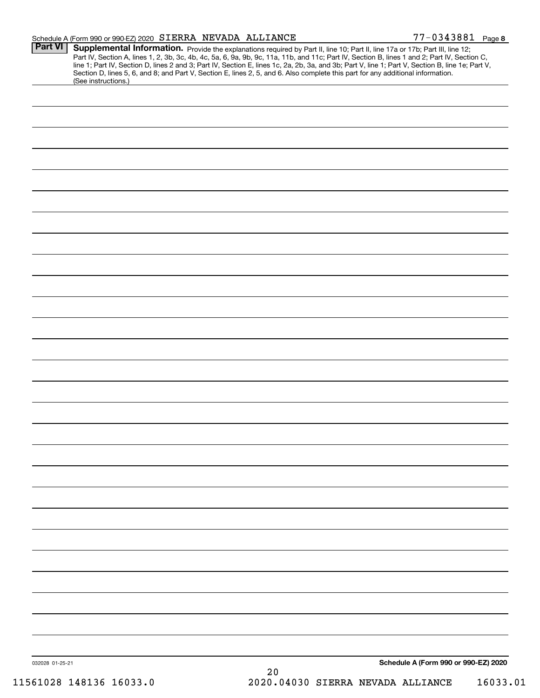|                 | Schedule A (Form 990 or 990-EZ) 2020 SIERRA NEVADA ALLIANCE |  |    |                                                                                                                                                                                                                                                                                                                                                                                                                                                                                                                                                                      | 77-0343881 Page 8                    |
|-----------------|-------------------------------------------------------------|--|----|----------------------------------------------------------------------------------------------------------------------------------------------------------------------------------------------------------------------------------------------------------------------------------------------------------------------------------------------------------------------------------------------------------------------------------------------------------------------------------------------------------------------------------------------------------------------|--------------------------------------|
| <b>Part VI</b>  |                                                             |  |    | Supplemental Information. Provide the explanations required by Part II, line 10; Part II, line 17a or 17b; Part III, line 12;<br>Part IV, Section A, lines 1, 2, 3b, 3c, 4b, 4c, 5a, 6, 9a, 9b, 9c, 11a, 11b, and 11c; Part IV, Section B, lines 1 and 2; Part IV, Section C,<br>line 1; Part IV, Section D, lines 2 and 3; Part IV, Section E, lines 1c, 2a, 2b, 3a, and 3b; Part V, line 1; Part V, Section B, line 1e; Part V,<br>Section D, lines 5, 6, and 8; and Part V, Section E, lines 2, 5, and 6. Also complete this part for any additional information. |                                      |
|                 | (See instructions.)                                         |  |    |                                                                                                                                                                                                                                                                                                                                                                                                                                                                                                                                                                      |                                      |
|                 |                                                             |  |    |                                                                                                                                                                                                                                                                                                                                                                                                                                                                                                                                                                      |                                      |
|                 |                                                             |  |    |                                                                                                                                                                                                                                                                                                                                                                                                                                                                                                                                                                      |                                      |
|                 |                                                             |  |    |                                                                                                                                                                                                                                                                                                                                                                                                                                                                                                                                                                      |                                      |
|                 |                                                             |  |    |                                                                                                                                                                                                                                                                                                                                                                                                                                                                                                                                                                      |                                      |
|                 |                                                             |  |    |                                                                                                                                                                                                                                                                                                                                                                                                                                                                                                                                                                      |                                      |
|                 |                                                             |  |    |                                                                                                                                                                                                                                                                                                                                                                                                                                                                                                                                                                      |                                      |
|                 |                                                             |  |    |                                                                                                                                                                                                                                                                                                                                                                                                                                                                                                                                                                      |                                      |
|                 |                                                             |  |    |                                                                                                                                                                                                                                                                                                                                                                                                                                                                                                                                                                      |                                      |
|                 |                                                             |  |    |                                                                                                                                                                                                                                                                                                                                                                                                                                                                                                                                                                      |                                      |
|                 |                                                             |  |    |                                                                                                                                                                                                                                                                                                                                                                                                                                                                                                                                                                      |                                      |
|                 |                                                             |  |    |                                                                                                                                                                                                                                                                                                                                                                                                                                                                                                                                                                      |                                      |
|                 |                                                             |  |    |                                                                                                                                                                                                                                                                                                                                                                                                                                                                                                                                                                      |                                      |
|                 |                                                             |  |    |                                                                                                                                                                                                                                                                                                                                                                                                                                                                                                                                                                      |                                      |
|                 |                                                             |  |    |                                                                                                                                                                                                                                                                                                                                                                                                                                                                                                                                                                      |                                      |
|                 |                                                             |  |    |                                                                                                                                                                                                                                                                                                                                                                                                                                                                                                                                                                      |                                      |
|                 |                                                             |  |    |                                                                                                                                                                                                                                                                                                                                                                                                                                                                                                                                                                      |                                      |
|                 |                                                             |  |    |                                                                                                                                                                                                                                                                                                                                                                                                                                                                                                                                                                      |                                      |
|                 |                                                             |  |    |                                                                                                                                                                                                                                                                                                                                                                                                                                                                                                                                                                      |                                      |
|                 |                                                             |  |    |                                                                                                                                                                                                                                                                                                                                                                                                                                                                                                                                                                      |                                      |
|                 |                                                             |  |    |                                                                                                                                                                                                                                                                                                                                                                                                                                                                                                                                                                      |                                      |
|                 |                                                             |  |    |                                                                                                                                                                                                                                                                                                                                                                                                                                                                                                                                                                      |                                      |
|                 |                                                             |  |    |                                                                                                                                                                                                                                                                                                                                                                                                                                                                                                                                                                      |                                      |
|                 |                                                             |  |    |                                                                                                                                                                                                                                                                                                                                                                                                                                                                                                                                                                      |                                      |
|                 |                                                             |  |    |                                                                                                                                                                                                                                                                                                                                                                                                                                                                                                                                                                      |                                      |
|                 |                                                             |  |    |                                                                                                                                                                                                                                                                                                                                                                                                                                                                                                                                                                      |                                      |
|                 |                                                             |  |    |                                                                                                                                                                                                                                                                                                                                                                                                                                                                                                                                                                      |                                      |
|                 |                                                             |  |    |                                                                                                                                                                                                                                                                                                                                                                                                                                                                                                                                                                      |                                      |
|                 |                                                             |  |    |                                                                                                                                                                                                                                                                                                                                                                                                                                                                                                                                                                      |                                      |
| 032028 01-25-21 |                                                             |  | 20 |                                                                                                                                                                                                                                                                                                                                                                                                                                                                                                                                                                      | Schedule A (Form 990 or 990-EZ) 2020 |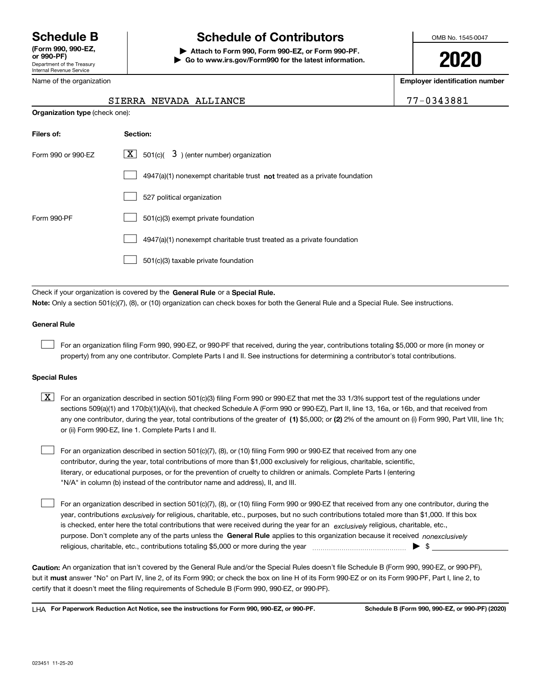Department of the Treasury Internal Revenue Service (Form 990, 990-EZ, Name of the organization

## Schedule B The Schedule of Contributors

Attach to Form 990, Form 990-EZ, or Form 990-PF. | Go to www.irs.gov/Form990 for the latest information. OMB No. 1545-0047

2020

Employer identification number

77-0343881

|                    | <b>Organization type (check one):</b>                                              |  |  |  |  |
|--------------------|------------------------------------------------------------------------------------|--|--|--|--|
| Filers of:         | Section:                                                                           |  |  |  |  |
| Form 990 or 990-EZ | $ \mathbf{X} $ 501(c)( 3) (enter number) organization                              |  |  |  |  |
|                    | $4947(a)(1)$ nonexempt charitable trust <b>not</b> treated as a private foundation |  |  |  |  |
|                    | 527 political organization                                                         |  |  |  |  |
| Form 990-PF        | 501(c)(3) exempt private foundation                                                |  |  |  |  |
|                    | 4947(a)(1) nonexempt charitable trust treated as a private foundation              |  |  |  |  |
|                    | 501(c)(3) taxable private foundation                                               |  |  |  |  |
|                    |                                                                                    |  |  |  |  |

Check if your organization is covered by the General Rule or a Special Rule. Note: Only a section 501(c)(7), (8), or (10) organization can check boxes for both the General Rule and a Special Rule. See instructions.

## General Rule

 $\begin{array}{c} \hline \end{array}$ 

For an organization filing Form 990, 990-EZ, or 990-PF that received, during the year, contributions totaling \$5,000 or more (in money or property) from any one contributor. Complete Parts I and II. See instructions for determining a contributor's total contributions.

### Special Rules

any one contributor, during the year, total contributions of the greater of  $\,$  (1) \$5,000; or (2) 2% of the amount on (i) Form 990, Part VIII, line 1h;  $\boxed{\textbf{X}}$  For an organization described in section 501(c)(3) filing Form 990 or 990-EZ that met the 33 1/3% support test of the regulations under sections 509(a)(1) and 170(b)(1)(A)(vi), that checked Schedule A (Form 990 or 990-EZ), Part II, line 13, 16a, or 16b, and that received from or (ii) Form 990-EZ, line 1. Complete Parts I and II.

For an organization described in section 501(c)(7), (8), or (10) filing Form 990 or 990-EZ that received from any one contributor, during the year, total contributions of more than \$1,000 exclusively for religious, charitable, scientific, literary, or educational purposes, or for the prevention of cruelty to children or animals. Complete Parts I (entering "N/A" in column (b) instead of the contributor name and address), II, and III.  $\begin{array}{c} \hline \end{array}$ 

purpose. Don't complete any of the parts unless the General Rule applies to this organization because it received nonexclusively year, contributions <sub>exclusively</sub> for religious, charitable, etc., purposes, but no such contributions totaled more than \$1,000. If this box is checked, enter here the total contributions that were received during the year for an exclusively religious, charitable, etc., For an organization described in section 501(c)(7), (8), or (10) filing Form 990 or 990-EZ that received from any one contributor, during the religious, charitable, etc., contributions totaling \$5,000 or more during the year  $\Box$ — $\Box$   $\Box$   $\Box$  $\begin{array}{c} \hline \end{array}$ 

Caution: An organization that isn't covered by the General Rule and/or the Special Rules doesn't file Schedule B (Form 990, 990-EZ, or 990-PF), but it **must** answer "No" on Part IV, line 2, of its Form 990; or check the box on line H of its Form 990-EZ or on its Form 990-PF, Part I, line 2, to certify that it doesn't meet the filing requirements of Schedule B (Form 990, 990-EZ, or 990-PF).

LHA For Paperwork Reduction Act Notice, see the instructions for Form 990, 990-EZ, or 990-PF. Schedule B (Form 990, 990-EZ, or 990-PF) (2020)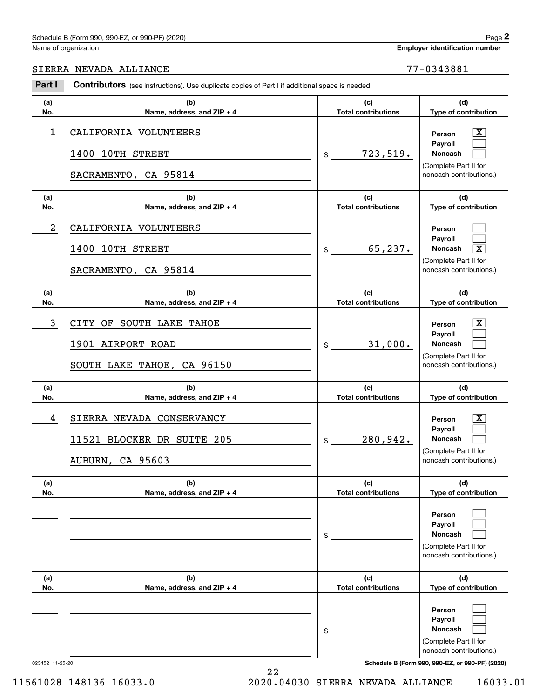## Schedule B (Form 990, 990-EZ, or 990-PF) (2020)

Name of organization

 $\lceil \text{X} \rceil$  $\begin{array}{c} \hline \end{array}$  $\begin{array}{c} \hline \end{array}$ 

 $\begin{array}{c} \hline \end{array}$  $\begin{array}{c} \hline \end{array}$  $\overline{\mathbf{X}}$ 

 $|X|$  $\begin{array}{c} \hline \end{array}$  $\begin{array}{c} \hline \end{array}$ 

 $|X|$  $\begin{array}{c} \hline \end{array}$  $\begin{array}{c} \hline \end{array}$ 

 $\begin{array}{c} \hline \end{array}$  $\begin{array}{c} \hline \end{array}$  $\begin{array}{c} \hline \end{array}$ 

 $\begin{array}{c} \hline \end{array}$  $\begin{array}{c} \hline \end{array}$  $\begin{array}{c} \hline \end{array}$ 

Employer identification number

SIERRA NEVADA ALLIANCE 77-0343881

#### (a) No. (b) Name, address, and ZIP + 4 (c) Total contributions (d) Type of contribution Person Payroll Noncash (a) No. (b) Name, address, and ZIP + 4 (c) Total contributions (d) Type of contribution Person Payroll Noncash (a) No. (b) Name, address, and ZIP + 4 (c) Total contributions (d) Type of contribution Person Payroll Noncash (a) No. (b) Name, address, and ZIP + 4 (c) Total contributions (d) Type of contribution Person Payroll Noncash (a) No. (b) Name, address, and ZIP + 4 (c) Total contributions (d) Type of contribution Person Payroll Noncash (a) No. (b) Name, address, and ZIP + 4 (c) Total contributions (d) Type of contribution Person Payroll Noncash Part I Contributors (see instructions). Use duplicate copies of Part I if additional space is needed. \$ (Complete Part II for noncash contributions.) \$ (Complete Part II for noncash contributions.) \$ (Complete Part II for noncash contributions.) \$ (Complete Part II for noncash contributions.) \$ (Complete Part II for noncash contributions.) \$ (Complete Part II for  $1$  | CALIFORNIA VOLUNTEERS |  $\qquad$  |  $\qquad$  |  $\qquad$  |  $\qquad$  Person  $\qquad \overline{\text{X}}$ 723,519. 1400 10TH STREET SACRAMENTO, CA 95814 2 65,237. X CALIFORNIA VOLUNTEERS 1400 10TH STREET SACRAMENTO, CA 95814 3 X CITY OF SOUTH LAKE TAHOE 31,000. 1901 AIRPORT ROAD SOUTH LAKE TAHOE, CA 96150 4 X SIERRA NEVADA CONSERVANCY 280,942. 11521 BLOCKER DR SUITE 205 AUBURN, CA 95603

22

023452 11-25-20 Schedule B (Form 990, 990-EZ, or 990-PF) (2020)

noncash contributions.)

11561028 148136 16033.0 2020.04030 SIERRA NEVADA ALLIANCE 16033.01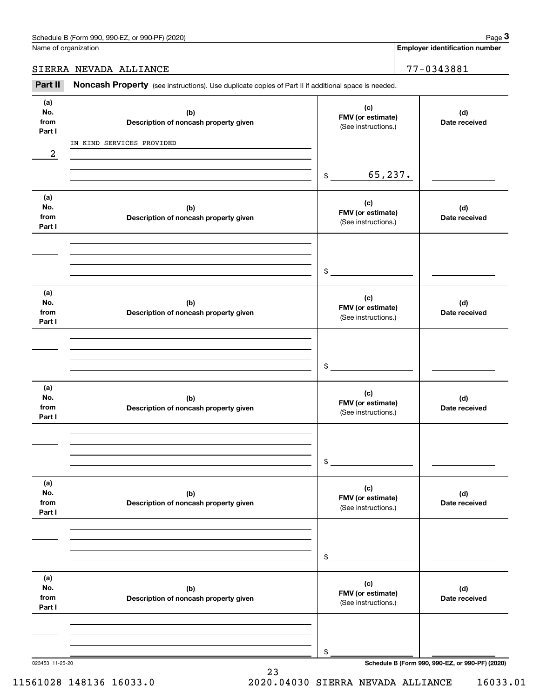Employer identification number

## SIERRA NEVADA ALLIANCE 77-0343881

Part II Noncash Property (see instructions). Use duplicate copies of Part II if additional space is needed.

| (a)<br>No.<br>from<br>Part I | (b)<br>Description of noncash property given | (c)<br>FMV (or estimate)<br>(See instructions.) | (d)<br>Date received                            |
|------------------------------|----------------------------------------------|-------------------------------------------------|-------------------------------------------------|
| 2                            | IN KIND SERVICES PROVIDED                    | 65, 237.<br>$\frac{1}{2}$                       |                                                 |
| (a)<br>No.<br>from<br>Part I | (b)<br>Description of noncash property given | (c)<br>FMV (or estimate)<br>(See instructions.) | (d)<br>Date received                            |
|                              |                                              | $$\circ$$                                       |                                                 |
| (a)<br>No.<br>from<br>Part I | (b)<br>Description of noncash property given | (c)<br>FMV (or estimate)<br>(See instructions.) | (d)<br>Date received                            |
|                              |                                              | \$                                              |                                                 |
| (a)<br>No.<br>from<br>Part I | (b)<br>Description of noncash property given | (c)<br>FMV (or estimate)<br>(See instructions.) | (d)<br>Date received                            |
|                              |                                              | \$                                              |                                                 |
| (a)<br>No.<br>from<br>Part I | (b)<br>Description of noncash property given | (c)<br>FMV (or estimate)<br>(See instructions.) | (d)<br>Date received                            |
|                              |                                              | \$                                              |                                                 |
| (a)<br>No.<br>from<br>Part I | (b)<br>Description of noncash property given | (c)<br>FMV (or estimate)<br>(See instructions.) | (d)<br>Date received                            |
| 023453 11-25-20              |                                              | \$                                              | Schedule B (Form 990, 990-EZ, or 990-PF) (2020) |

23

11561028 148136 16033.0 2020.04030 SIERRA NEVADA ALLIANCE 16033.01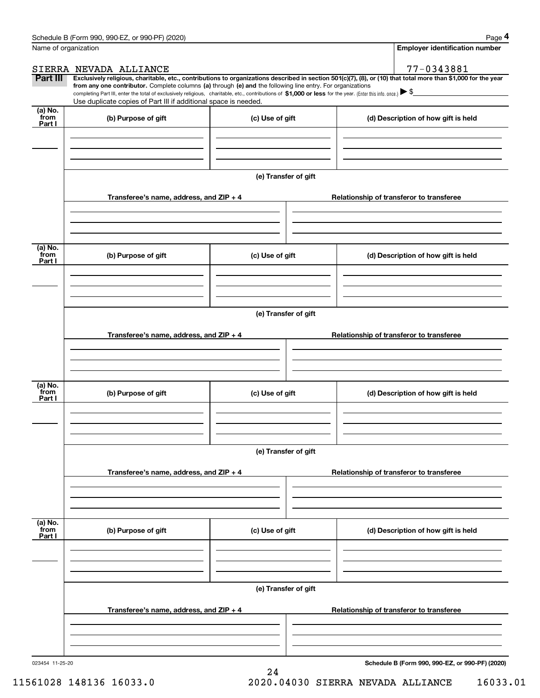| Name of organization      |                                                                                                                                                                                                                                                                                                                                                                                                                                                                                                                 |                      | Employer identification number                  |
|---------------------------|-----------------------------------------------------------------------------------------------------------------------------------------------------------------------------------------------------------------------------------------------------------------------------------------------------------------------------------------------------------------------------------------------------------------------------------------------------------------------------------------------------------------|----------------------|-------------------------------------------------|
|                           | SIERRA NEVADA ALLIANCE                                                                                                                                                                                                                                                                                                                                                                                                                                                                                          |                      | 77-0343881                                      |
| Part III                  | Exclusively religious, charitable, etc., contributions to organizations described in section 501(c)(7), (8), or (10) that total more than \$1,000 for the year<br>from any one contributor. Complete columns (a) through (e) and the following line entry. For organizations<br>completing Part III, enter the total of exclusively religious, charitable, etc., contributions of \$1,000 or less for the year. (Enter this info. once.) \\$<br>Use duplicate copies of Part III if additional space is needed. |                      |                                                 |
| (a) No.<br>from<br>Part I | (b) Purpose of gift                                                                                                                                                                                                                                                                                                                                                                                                                                                                                             | (c) Use of gift      | (d) Description of how gift is held             |
|                           |                                                                                                                                                                                                                                                                                                                                                                                                                                                                                                                 |                      |                                                 |
|                           |                                                                                                                                                                                                                                                                                                                                                                                                                                                                                                                 | (e) Transfer of gift |                                                 |
|                           | Transferee's name, address, and ZIP + 4                                                                                                                                                                                                                                                                                                                                                                                                                                                                         |                      | Relationship of transferor to transferee        |
|                           |                                                                                                                                                                                                                                                                                                                                                                                                                                                                                                                 |                      |                                                 |
| (a) No.<br>from<br>Part I | (b) Purpose of gift                                                                                                                                                                                                                                                                                                                                                                                                                                                                                             | (c) Use of gift      | (d) Description of how gift is held             |
|                           |                                                                                                                                                                                                                                                                                                                                                                                                                                                                                                                 |                      |                                                 |
|                           |                                                                                                                                                                                                                                                                                                                                                                                                                                                                                                                 | (e) Transfer of gift |                                                 |
|                           | Transferee's name, address, and ZIP + 4                                                                                                                                                                                                                                                                                                                                                                                                                                                                         |                      | Relationship of transferor to transferee        |
|                           |                                                                                                                                                                                                                                                                                                                                                                                                                                                                                                                 |                      |                                                 |
| (a) No.<br>from<br>Part I | (b) Purpose of gift                                                                                                                                                                                                                                                                                                                                                                                                                                                                                             | (c) Use of gift      | (d) Description of how gift is held             |
|                           |                                                                                                                                                                                                                                                                                                                                                                                                                                                                                                                 |                      |                                                 |
|                           |                                                                                                                                                                                                                                                                                                                                                                                                                                                                                                                 | (e) Transfer of gift |                                                 |
|                           | Transferee's name, address, and ZIP + 4                                                                                                                                                                                                                                                                                                                                                                                                                                                                         |                      | Relationship of transferor to transferee        |
|                           |                                                                                                                                                                                                                                                                                                                                                                                                                                                                                                                 |                      |                                                 |
| (a) No.<br>from<br>Part I | (b) Purpose of gift                                                                                                                                                                                                                                                                                                                                                                                                                                                                                             | (c) Use of gift      | (d) Description of how gift is held             |
|                           |                                                                                                                                                                                                                                                                                                                                                                                                                                                                                                                 |                      |                                                 |
|                           |                                                                                                                                                                                                                                                                                                                                                                                                                                                                                                                 | (e) Transfer of gift |                                                 |
|                           | Transferee's name, address, and ZIP + 4                                                                                                                                                                                                                                                                                                                                                                                                                                                                         |                      | Relationship of transferor to transferee        |
|                           |                                                                                                                                                                                                                                                                                                                                                                                                                                                                                                                 |                      |                                                 |
| 023454 11-25-20           |                                                                                                                                                                                                                                                                                                                                                                                                                                                                                                                 |                      | Schedule B (Form 990, 990-EZ, or 990-PF) (2020) |

24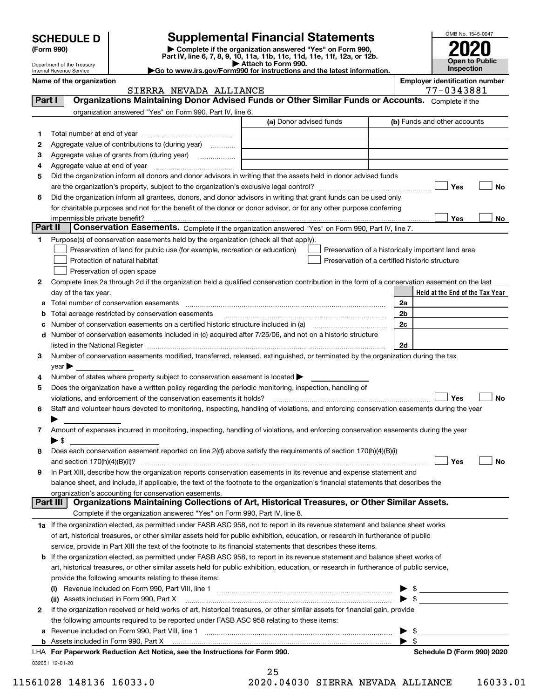|         | <b>SCHEDULE D</b>                                                      |                                                                                                                                                                               | <b>Supplemental Financial Statements</b>                                                                                                                                                                                                                             |                         | OMB No. 1545-0047                                  |  |
|---------|------------------------------------------------------------------------|-------------------------------------------------------------------------------------------------------------------------------------------------------------------------------|----------------------------------------------------------------------------------------------------------------------------------------------------------------------------------------------------------------------------------------------------------------------|-------------------------|----------------------------------------------------|--|
|         | Complete if the organization answered "Yes" on Form 990,<br>(Form 990) |                                                                                                                                                                               |                                                                                                                                                                                                                                                                      |                         |                                                    |  |
|         |                                                                        |                                                                                                                                                                               | Part IV, line 6, 7, 8, 9, 10, 11a, 11b, 11c, 11d, 11e, 11f, 12a, or 12b.<br>Attach to Form 990.                                                                                                                                                                      |                         | Open to Public                                     |  |
|         | Department of the Treasury<br>Internal Revenue Service                 |                                                                                                                                                                               | Go to www.irs.gov/Form990 for instructions and the latest information.                                                                                                                                                                                               |                         | Inspection                                         |  |
|         | Name of the organization                                               |                                                                                                                                                                               |                                                                                                                                                                                                                                                                      |                         | <b>Employer identification number</b>              |  |
|         |                                                                        | SIERRA NEVADA ALLIANCE                                                                                                                                                        |                                                                                                                                                                                                                                                                      |                         | 77-0343881                                         |  |
| Part I  |                                                                        |                                                                                                                                                                               | Organizations Maintaining Donor Advised Funds or Other Similar Funds or Accounts. Complete if the                                                                                                                                                                    |                         |                                                    |  |
|         |                                                                        | organization answered "Yes" on Form 990, Part IV, line 6.                                                                                                                     | (a) Donor advised funds                                                                                                                                                                                                                                              |                         | (b) Funds and other accounts                       |  |
| 1       |                                                                        |                                                                                                                                                                               |                                                                                                                                                                                                                                                                      |                         |                                                    |  |
| 2       |                                                                        | Aggregate value of contributions to (during year)                                                                                                                             |                                                                                                                                                                                                                                                                      |                         |                                                    |  |
| 3       |                                                                        |                                                                                                                                                                               | <u> 1980 - Johann Barbara, martxa alemaniar amerikan a</u>                                                                                                                                                                                                           |                         |                                                    |  |
| 4       |                                                                        |                                                                                                                                                                               |                                                                                                                                                                                                                                                                      |                         |                                                    |  |
| 5       |                                                                        |                                                                                                                                                                               | Did the organization inform all donors and donor advisors in writing that the assets held in donor advised funds                                                                                                                                                     |                         |                                                    |  |
|         |                                                                        |                                                                                                                                                                               |                                                                                                                                                                                                                                                                      |                         | Yes<br><b>No</b>                                   |  |
| 6       |                                                                        |                                                                                                                                                                               | Did the organization inform all grantees, donors, and donor advisors in writing that grant funds can be used only                                                                                                                                                    |                         |                                                    |  |
|         |                                                                        |                                                                                                                                                                               | for charitable purposes and not for the benefit of the donor or donor advisor, or for any other purpose conferring                                                                                                                                                   |                         |                                                    |  |
|         |                                                                        |                                                                                                                                                                               |                                                                                                                                                                                                                                                                      |                         | Yes<br>No                                          |  |
| Part II |                                                                        |                                                                                                                                                                               | Conservation Easements. Complete if the organization answered "Yes" on Form 990, Part IV, line 7.                                                                                                                                                                    |                         |                                                    |  |
| 1       |                                                                        | Purpose(s) of conservation easements held by the organization (check all that apply).                                                                                         |                                                                                                                                                                                                                                                                      |                         |                                                    |  |
|         |                                                                        | Preservation of land for public use (for example, recreation or education)<br>Protection of natural habitat                                                                   | Preservation of a certified historic structure                                                                                                                                                                                                                       |                         | Preservation of a historically important land area |  |
|         |                                                                        | Preservation of open space                                                                                                                                                    |                                                                                                                                                                                                                                                                      |                         |                                                    |  |
| 2       |                                                                        |                                                                                                                                                                               | Complete lines 2a through 2d if the organization held a qualified conservation contribution in the form of a conservation easement on the last                                                                                                                       |                         |                                                    |  |
|         | day of the tax year.                                                   |                                                                                                                                                                               |                                                                                                                                                                                                                                                                      |                         | Held at the End of the Tax Year                    |  |
| a       |                                                                        |                                                                                                                                                                               |                                                                                                                                                                                                                                                                      | 2a                      |                                                    |  |
| b       |                                                                        | Total acreage restricted by conservation easements                                                                                                                            |                                                                                                                                                                                                                                                                      | 2 <sub>b</sub>          |                                                    |  |
| c       |                                                                        |                                                                                                                                                                               |                                                                                                                                                                                                                                                                      | 2c                      |                                                    |  |
| d       |                                                                        |                                                                                                                                                                               | Number of conservation easements included in (c) acquired after 7/25/06, and not on a historic structure                                                                                                                                                             |                         |                                                    |  |
|         |                                                                        |                                                                                                                                                                               |                                                                                                                                                                                                                                                                      | 2d                      |                                                    |  |
| 3       |                                                                        |                                                                                                                                                                               | Number of conservation easements modified, transferred, released, extinguished, or terminated by the organization during the tax                                                                                                                                     |                         |                                                    |  |
|         | $year \blacktriangleright$                                             |                                                                                                                                                                               |                                                                                                                                                                                                                                                                      |                         |                                                    |  |
| 4       |                                                                        | Number of states where property subject to conservation easement is located $\blacktriangleright$                                                                             |                                                                                                                                                                                                                                                                      |                         |                                                    |  |
| 5       |                                                                        | Does the organization have a written policy regarding the periodic monitoring, inspection, handling of<br>violations, and enforcement of the conservation easements it holds? |                                                                                                                                                                                                                                                                      |                         | Yes<br><b>No</b>                                   |  |
| 6       |                                                                        |                                                                                                                                                                               | Staff and volunteer hours devoted to monitoring, inspecting, handling of violations, and enforcing conservation easements during the year                                                                                                                            |                         |                                                    |  |
|         |                                                                        |                                                                                                                                                                               |                                                                                                                                                                                                                                                                      |                         |                                                    |  |
| 7       |                                                                        |                                                                                                                                                                               | Amount of expenses incurred in monitoring, inspecting, handling of violations, and enforcing conservation easements during the year                                                                                                                                  |                         |                                                    |  |
|         | $\blacktriangleright$ \$                                               |                                                                                                                                                                               |                                                                                                                                                                                                                                                                      |                         |                                                    |  |
| 8       |                                                                        |                                                                                                                                                                               | Does each conservation easement reported on line 2(d) above satisfy the requirements of section 170(h)(4)(B)(i)                                                                                                                                                      |                         |                                                    |  |
|         |                                                                        |                                                                                                                                                                               |                                                                                                                                                                                                                                                                      |                         | Yes<br>No                                          |  |
| 9       |                                                                        |                                                                                                                                                                               | In Part XIII, describe how the organization reports conservation easements in its revenue and expense statement and                                                                                                                                                  |                         |                                                    |  |
|         |                                                                        |                                                                                                                                                                               | balance sheet, and include, if applicable, the text of the footnote to the organization's financial statements that describes the                                                                                                                                    |                         |                                                    |  |
|         |                                                                        | organization's accounting for conservation easements.                                                                                                                         |                                                                                                                                                                                                                                                                      |                         |                                                    |  |
|         | Part III                                                               |                                                                                                                                                                               | Organizations Maintaining Collections of Art, Historical Treasures, or Other Similar Assets.                                                                                                                                                                         |                         |                                                    |  |
|         |                                                                        | Complete if the organization answered "Yes" on Form 990, Part IV, line 8.                                                                                                     |                                                                                                                                                                                                                                                                      |                         |                                                    |  |
|         |                                                                        |                                                                                                                                                                               | 1a If the organization elected, as permitted under FASB ASC 958, not to report in its revenue statement and balance sheet works<br>of art, historical treasures, or other similar assets held for public exhibition, education, or research in furtherance of public |                         |                                                    |  |
|         |                                                                        |                                                                                                                                                                               | service, provide in Part XIII the text of the footnote to its financial statements that describes these items.                                                                                                                                                       |                         |                                                    |  |
| b       |                                                                        |                                                                                                                                                                               | If the organization elected, as permitted under FASB ASC 958, to report in its revenue statement and balance sheet works of                                                                                                                                          |                         |                                                    |  |
|         |                                                                        |                                                                                                                                                                               | art, historical treasures, or other similar assets held for public exhibition, education, or research in furtherance of public service,                                                                                                                              |                         |                                                    |  |
|         |                                                                        | provide the following amounts relating to these items:                                                                                                                        |                                                                                                                                                                                                                                                                      |                         |                                                    |  |
|         |                                                                        |                                                                                                                                                                               |                                                                                                                                                                                                                                                                      |                         | $\frac{1}{2}$                                      |  |
|         |                                                                        | (ii) Assets included in Form 990, Part X                                                                                                                                      |                                                                                                                                                                                                                                                                      |                         | $\triangleright$ \$                                |  |
| 2       |                                                                        |                                                                                                                                                                               | If the organization received or held works of art, historical treasures, or other similar assets for financial gain, provide                                                                                                                                         |                         |                                                    |  |
|         |                                                                        | the following amounts required to be reported under FASB ASC 958 relating to these items:                                                                                     |                                                                                                                                                                                                                                                                      |                         |                                                    |  |
| а       |                                                                        |                                                                                                                                                                               |                                                                                                                                                                                                                                                                      |                         | - \$                                               |  |
|         |                                                                        |                                                                                                                                                                               |                                                                                                                                                                                                                                                                      | $\blacktriangleright$ s |                                                    |  |

**b** Assets included in Form 990, Part X

032051 12-01-20 LHA For Paperwork Reduction Act Notice, see the Instructions for Form 990. Shank the Schedule D (Form 990) 2020 L

25

11561028 148136 16033.0 2020.04030 SIERRA NEVADA ALLIANCE 16033.01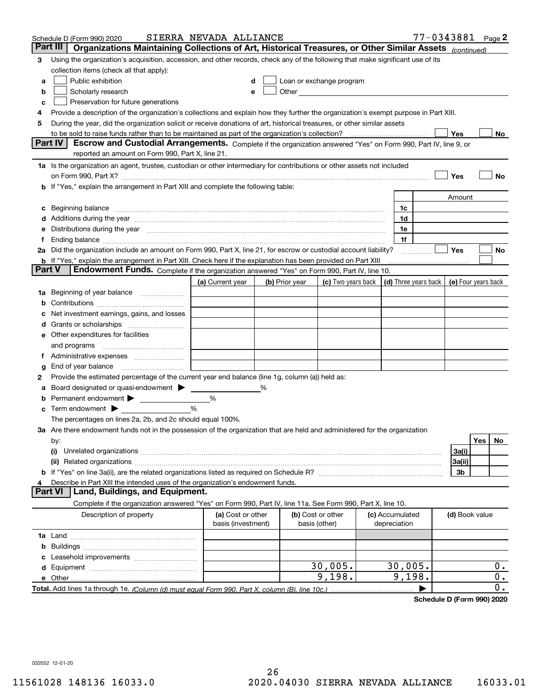| Part III<br>Organizations Maintaining Collections of Art, Historical Treasures, or Other Similar Assets (continued)<br>Using the organization's acquisition, accession, and other records, check any of the following that make significant use of its<br>3<br>collection items (check all that apply):<br>Public exhibition<br>Loan or exchange program<br>a<br>Other and the contract of the contract of the contract of the contract of the contract of the contract of the contract of the contract of the contract of the contract of the contract of the contract of the contract of the<br>Scholarly research<br>b<br>Preservation for future generations<br>с<br>Provide a description of the organization's collections and explain how they further the organization's exempt purpose in Part XIII.<br>4<br>During the year, did the organization solicit or receive donations of art, historical treasures, or other similar assets<br>5<br>to be sold to raise funds rather than to be maintained as part of the organization's collection?<br>Yes<br>No<br>Escrow and Custodial Arrangements. Complete if the organization answered "Yes" on Form 990, Part IV, line 9, or<br><b>Part IV</b><br>reported an amount on Form 990, Part X, line 21.<br>1a Is the organization an agent, trustee, custodian or other intermediary for contributions or other assets not included<br>Yes<br>No<br>on Form 990, Part X? [11] matter contracts and contracts and contracts are contracted as a form 990, Part X?<br><b>b</b> If "Yes," explain the arrangement in Part XIII and complete the following table:<br>Amount<br>Beginning balance <u>manual membershare communication</u> and the set of the set of the set of the set of the set of the set of the set of the set of the set of the set of the set of the set of the set of the set of the set of<br>1c<br>c<br>1d<br>e Distributions during the year manufactured and an according to the year manufactured and the year manufactur<br>1e<br>1f<br>2a Did the organization include an amount on Form 990, Part X, line 21, for escrow or custodial account liability?<br>Yes<br>No<br>.<br><b>b</b> If "Yes," explain the arrangement in Part XIII. Check here if the explanation has been provided on Part XIII<br>Part V<br>Endowment Funds. Complete if the organization answered "Yes" on Form 990, Part IV, line 10.<br>(c) Two years back $\vert$ (d) Three years back $\vert$<br>(a) Current year<br>(b) Prior year<br>(e) Four years back<br>1a Beginning of year balance<br>b<br>Net investment earnings, gains, and losses<br>e Other expenditures for facilities<br>and programs<br>f Administrative expenses<br>End of year balance <i>manually contained</i><br>g<br>Provide the estimated percentage of the current year end balance (line 1g, column (a)) held as:<br>2<br>Board designated or quasi-endowment<br>%<br>а<br>Permanent endowment ><br>%<br>b<br>Term endowment $\blacktriangleright$<br>%<br>c<br>The percentages on lines 2a, 2b, and 2c should equal 100%.<br>3a Are there endowment funds not in the possession of the organization that are held and administered for the organization<br>Yes<br>No<br>by:<br>3a(i)<br>(i)<br>3a(ii)<br>3b<br>Describe in Part XIII the intended uses of the organization's endowment funds.<br>Land, Buildings, and Equipment.<br>Part VI<br>Complete if the organization answered "Yes" on Form 990, Part IV, line 11a. See Form 990, Part X, line 10.<br>Description of property<br>(a) Cost or other<br>(b) Cost or other<br>(c) Accumulated<br>(d) Book value<br>basis (investment)<br>basis (other)<br>depreciation<br>b<br>30,005.<br>30,005.<br>0.<br>0.<br>9,198.<br>9,198.<br>0. | 77-0343881<br>SIERRA NEVADA ALLIANCE<br>Page 2<br>Schedule D (Form 990) 2020 |  |  |  |  |  |  |  |  |
|---------------------------------------------------------------------------------------------------------------------------------------------------------------------------------------------------------------------------------------------------------------------------------------------------------------------------------------------------------------------------------------------------------------------------------------------------------------------------------------------------------------------------------------------------------------------------------------------------------------------------------------------------------------------------------------------------------------------------------------------------------------------------------------------------------------------------------------------------------------------------------------------------------------------------------------------------------------------------------------------------------------------------------------------------------------------------------------------------------------------------------------------------------------------------------------------------------------------------------------------------------------------------------------------------------------------------------------------------------------------------------------------------------------------------------------------------------------------------------------------------------------------------------------------------------------------------------------------------------------------------------------------------------------------------------------------------------------------------------------------------------------------------------------------------------------------------------------------------------------------------------------------------------------------------------------------------------------------------------------------------------------------------------------------------------------------------------------------------------------------------------------------------------------------------------------------------------------------------------------------------------------------------------------------------------------------------------------------------------------------------------------------------------------------------------------------------------------------------------------------------------------------------------------------------------------------------------------------------------------------------------------------------------------------------------------------------------------------------------------------------------------------------------------------------------------------------------------------------------------------------------------------------------------------------------------------------------------------------------------------------------------------------------------------------------------------------------------------------------------------------------------------------------------------------------------------------------------------------------------------------------------------------------------------------------------------------------------------------------------------------------------------------------------------------------------------------------------------------------------------------------------------------------------------------------------------------------------------------------------------------------------------------------------------------------------------------------------------------------|------------------------------------------------------------------------------|--|--|--|--|--|--|--|--|
|                                                                                                                                                                                                                                                                                                                                                                                                                                                                                                                                                                                                                                                                                                                                                                                                                                                                                                                                                                                                                                                                                                                                                                                                                                                                                                                                                                                                                                                                                                                                                                                                                                                                                                                                                                                                                                                                                                                                                                                                                                                                                                                                                                                                                                                                                                                                                                                                                                                                                                                                                                                                                                                                                                                                                                                                                                                                                                                                                                                                                                                                                                                                                                                                                                                                                                                                                                                                                                                                                                                                                                                                                                                                                                                                 |                                                                              |  |  |  |  |  |  |  |  |
|                                                                                                                                                                                                                                                                                                                                                                                                                                                                                                                                                                                                                                                                                                                                                                                                                                                                                                                                                                                                                                                                                                                                                                                                                                                                                                                                                                                                                                                                                                                                                                                                                                                                                                                                                                                                                                                                                                                                                                                                                                                                                                                                                                                                                                                                                                                                                                                                                                                                                                                                                                                                                                                                                                                                                                                                                                                                                                                                                                                                                                                                                                                                                                                                                                                                                                                                                                                                                                                                                                                                                                                                                                                                                                                                 |                                                                              |  |  |  |  |  |  |  |  |
|                                                                                                                                                                                                                                                                                                                                                                                                                                                                                                                                                                                                                                                                                                                                                                                                                                                                                                                                                                                                                                                                                                                                                                                                                                                                                                                                                                                                                                                                                                                                                                                                                                                                                                                                                                                                                                                                                                                                                                                                                                                                                                                                                                                                                                                                                                                                                                                                                                                                                                                                                                                                                                                                                                                                                                                                                                                                                                                                                                                                                                                                                                                                                                                                                                                                                                                                                                                                                                                                                                                                                                                                                                                                                                                                 |                                                                              |  |  |  |  |  |  |  |  |
|                                                                                                                                                                                                                                                                                                                                                                                                                                                                                                                                                                                                                                                                                                                                                                                                                                                                                                                                                                                                                                                                                                                                                                                                                                                                                                                                                                                                                                                                                                                                                                                                                                                                                                                                                                                                                                                                                                                                                                                                                                                                                                                                                                                                                                                                                                                                                                                                                                                                                                                                                                                                                                                                                                                                                                                                                                                                                                                                                                                                                                                                                                                                                                                                                                                                                                                                                                                                                                                                                                                                                                                                                                                                                                                                 |                                                                              |  |  |  |  |  |  |  |  |
|                                                                                                                                                                                                                                                                                                                                                                                                                                                                                                                                                                                                                                                                                                                                                                                                                                                                                                                                                                                                                                                                                                                                                                                                                                                                                                                                                                                                                                                                                                                                                                                                                                                                                                                                                                                                                                                                                                                                                                                                                                                                                                                                                                                                                                                                                                                                                                                                                                                                                                                                                                                                                                                                                                                                                                                                                                                                                                                                                                                                                                                                                                                                                                                                                                                                                                                                                                                                                                                                                                                                                                                                                                                                                                                                 |                                                                              |  |  |  |  |  |  |  |  |
|                                                                                                                                                                                                                                                                                                                                                                                                                                                                                                                                                                                                                                                                                                                                                                                                                                                                                                                                                                                                                                                                                                                                                                                                                                                                                                                                                                                                                                                                                                                                                                                                                                                                                                                                                                                                                                                                                                                                                                                                                                                                                                                                                                                                                                                                                                                                                                                                                                                                                                                                                                                                                                                                                                                                                                                                                                                                                                                                                                                                                                                                                                                                                                                                                                                                                                                                                                                                                                                                                                                                                                                                                                                                                                                                 |                                                                              |  |  |  |  |  |  |  |  |
|                                                                                                                                                                                                                                                                                                                                                                                                                                                                                                                                                                                                                                                                                                                                                                                                                                                                                                                                                                                                                                                                                                                                                                                                                                                                                                                                                                                                                                                                                                                                                                                                                                                                                                                                                                                                                                                                                                                                                                                                                                                                                                                                                                                                                                                                                                                                                                                                                                                                                                                                                                                                                                                                                                                                                                                                                                                                                                                                                                                                                                                                                                                                                                                                                                                                                                                                                                                                                                                                                                                                                                                                                                                                                                                                 |                                                                              |  |  |  |  |  |  |  |  |
|                                                                                                                                                                                                                                                                                                                                                                                                                                                                                                                                                                                                                                                                                                                                                                                                                                                                                                                                                                                                                                                                                                                                                                                                                                                                                                                                                                                                                                                                                                                                                                                                                                                                                                                                                                                                                                                                                                                                                                                                                                                                                                                                                                                                                                                                                                                                                                                                                                                                                                                                                                                                                                                                                                                                                                                                                                                                                                                                                                                                                                                                                                                                                                                                                                                                                                                                                                                                                                                                                                                                                                                                                                                                                                                                 |                                                                              |  |  |  |  |  |  |  |  |
|                                                                                                                                                                                                                                                                                                                                                                                                                                                                                                                                                                                                                                                                                                                                                                                                                                                                                                                                                                                                                                                                                                                                                                                                                                                                                                                                                                                                                                                                                                                                                                                                                                                                                                                                                                                                                                                                                                                                                                                                                                                                                                                                                                                                                                                                                                                                                                                                                                                                                                                                                                                                                                                                                                                                                                                                                                                                                                                                                                                                                                                                                                                                                                                                                                                                                                                                                                                                                                                                                                                                                                                                                                                                                                                                 |                                                                              |  |  |  |  |  |  |  |  |
|                                                                                                                                                                                                                                                                                                                                                                                                                                                                                                                                                                                                                                                                                                                                                                                                                                                                                                                                                                                                                                                                                                                                                                                                                                                                                                                                                                                                                                                                                                                                                                                                                                                                                                                                                                                                                                                                                                                                                                                                                                                                                                                                                                                                                                                                                                                                                                                                                                                                                                                                                                                                                                                                                                                                                                                                                                                                                                                                                                                                                                                                                                                                                                                                                                                                                                                                                                                                                                                                                                                                                                                                                                                                                                                                 |                                                                              |  |  |  |  |  |  |  |  |
|                                                                                                                                                                                                                                                                                                                                                                                                                                                                                                                                                                                                                                                                                                                                                                                                                                                                                                                                                                                                                                                                                                                                                                                                                                                                                                                                                                                                                                                                                                                                                                                                                                                                                                                                                                                                                                                                                                                                                                                                                                                                                                                                                                                                                                                                                                                                                                                                                                                                                                                                                                                                                                                                                                                                                                                                                                                                                                                                                                                                                                                                                                                                                                                                                                                                                                                                                                                                                                                                                                                                                                                                                                                                                                                                 |                                                                              |  |  |  |  |  |  |  |  |
|                                                                                                                                                                                                                                                                                                                                                                                                                                                                                                                                                                                                                                                                                                                                                                                                                                                                                                                                                                                                                                                                                                                                                                                                                                                                                                                                                                                                                                                                                                                                                                                                                                                                                                                                                                                                                                                                                                                                                                                                                                                                                                                                                                                                                                                                                                                                                                                                                                                                                                                                                                                                                                                                                                                                                                                                                                                                                                                                                                                                                                                                                                                                                                                                                                                                                                                                                                                                                                                                                                                                                                                                                                                                                                                                 |                                                                              |  |  |  |  |  |  |  |  |
|                                                                                                                                                                                                                                                                                                                                                                                                                                                                                                                                                                                                                                                                                                                                                                                                                                                                                                                                                                                                                                                                                                                                                                                                                                                                                                                                                                                                                                                                                                                                                                                                                                                                                                                                                                                                                                                                                                                                                                                                                                                                                                                                                                                                                                                                                                                                                                                                                                                                                                                                                                                                                                                                                                                                                                                                                                                                                                                                                                                                                                                                                                                                                                                                                                                                                                                                                                                                                                                                                                                                                                                                                                                                                                                                 |                                                                              |  |  |  |  |  |  |  |  |
|                                                                                                                                                                                                                                                                                                                                                                                                                                                                                                                                                                                                                                                                                                                                                                                                                                                                                                                                                                                                                                                                                                                                                                                                                                                                                                                                                                                                                                                                                                                                                                                                                                                                                                                                                                                                                                                                                                                                                                                                                                                                                                                                                                                                                                                                                                                                                                                                                                                                                                                                                                                                                                                                                                                                                                                                                                                                                                                                                                                                                                                                                                                                                                                                                                                                                                                                                                                                                                                                                                                                                                                                                                                                                                                                 |                                                                              |  |  |  |  |  |  |  |  |
|                                                                                                                                                                                                                                                                                                                                                                                                                                                                                                                                                                                                                                                                                                                                                                                                                                                                                                                                                                                                                                                                                                                                                                                                                                                                                                                                                                                                                                                                                                                                                                                                                                                                                                                                                                                                                                                                                                                                                                                                                                                                                                                                                                                                                                                                                                                                                                                                                                                                                                                                                                                                                                                                                                                                                                                                                                                                                                                                                                                                                                                                                                                                                                                                                                                                                                                                                                                                                                                                                                                                                                                                                                                                                                                                 |                                                                              |  |  |  |  |  |  |  |  |
|                                                                                                                                                                                                                                                                                                                                                                                                                                                                                                                                                                                                                                                                                                                                                                                                                                                                                                                                                                                                                                                                                                                                                                                                                                                                                                                                                                                                                                                                                                                                                                                                                                                                                                                                                                                                                                                                                                                                                                                                                                                                                                                                                                                                                                                                                                                                                                                                                                                                                                                                                                                                                                                                                                                                                                                                                                                                                                                                                                                                                                                                                                                                                                                                                                                                                                                                                                                                                                                                                                                                                                                                                                                                                                                                 |                                                                              |  |  |  |  |  |  |  |  |
|                                                                                                                                                                                                                                                                                                                                                                                                                                                                                                                                                                                                                                                                                                                                                                                                                                                                                                                                                                                                                                                                                                                                                                                                                                                                                                                                                                                                                                                                                                                                                                                                                                                                                                                                                                                                                                                                                                                                                                                                                                                                                                                                                                                                                                                                                                                                                                                                                                                                                                                                                                                                                                                                                                                                                                                                                                                                                                                                                                                                                                                                                                                                                                                                                                                                                                                                                                                                                                                                                                                                                                                                                                                                                                                                 |                                                                              |  |  |  |  |  |  |  |  |
|                                                                                                                                                                                                                                                                                                                                                                                                                                                                                                                                                                                                                                                                                                                                                                                                                                                                                                                                                                                                                                                                                                                                                                                                                                                                                                                                                                                                                                                                                                                                                                                                                                                                                                                                                                                                                                                                                                                                                                                                                                                                                                                                                                                                                                                                                                                                                                                                                                                                                                                                                                                                                                                                                                                                                                                                                                                                                                                                                                                                                                                                                                                                                                                                                                                                                                                                                                                                                                                                                                                                                                                                                                                                                                                                 |                                                                              |  |  |  |  |  |  |  |  |
|                                                                                                                                                                                                                                                                                                                                                                                                                                                                                                                                                                                                                                                                                                                                                                                                                                                                                                                                                                                                                                                                                                                                                                                                                                                                                                                                                                                                                                                                                                                                                                                                                                                                                                                                                                                                                                                                                                                                                                                                                                                                                                                                                                                                                                                                                                                                                                                                                                                                                                                                                                                                                                                                                                                                                                                                                                                                                                                                                                                                                                                                                                                                                                                                                                                                                                                                                                                                                                                                                                                                                                                                                                                                                                                                 |                                                                              |  |  |  |  |  |  |  |  |
|                                                                                                                                                                                                                                                                                                                                                                                                                                                                                                                                                                                                                                                                                                                                                                                                                                                                                                                                                                                                                                                                                                                                                                                                                                                                                                                                                                                                                                                                                                                                                                                                                                                                                                                                                                                                                                                                                                                                                                                                                                                                                                                                                                                                                                                                                                                                                                                                                                                                                                                                                                                                                                                                                                                                                                                                                                                                                                                                                                                                                                                                                                                                                                                                                                                                                                                                                                                                                                                                                                                                                                                                                                                                                                                                 |                                                                              |  |  |  |  |  |  |  |  |
|                                                                                                                                                                                                                                                                                                                                                                                                                                                                                                                                                                                                                                                                                                                                                                                                                                                                                                                                                                                                                                                                                                                                                                                                                                                                                                                                                                                                                                                                                                                                                                                                                                                                                                                                                                                                                                                                                                                                                                                                                                                                                                                                                                                                                                                                                                                                                                                                                                                                                                                                                                                                                                                                                                                                                                                                                                                                                                                                                                                                                                                                                                                                                                                                                                                                                                                                                                                                                                                                                                                                                                                                                                                                                                                                 |                                                                              |  |  |  |  |  |  |  |  |
|                                                                                                                                                                                                                                                                                                                                                                                                                                                                                                                                                                                                                                                                                                                                                                                                                                                                                                                                                                                                                                                                                                                                                                                                                                                                                                                                                                                                                                                                                                                                                                                                                                                                                                                                                                                                                                                                                                                                                                                                                                                                                                                                                                                                                                                                                                                                                                                                                                                                                                                                                                                                                                                                                                                                                                                                                                                                                                                                                                                                                                                                                                                                                                                                                                                                                                                                                                                                                                                                                                                                                                                                                                                                                                                                 |                                                                              |  |  |  |  |  |  |  |  |
|                                                                                                                                                                                                                                                                                                                                                                                                                                                                                                                                                                                                                                                                                                                                                                                                                                                                                                                                                                                                                                                                                                                                                                                                                                                                                                                                                                                                                                                                                                                                                                                                                                                                                                                                                                                                                                                                                                                                                                                                                                                                                                                                                                                                                                                                                                                                                                                                                                                                                                                                                                                                                                                                                                                                                                                                                                                                                                                                                                                                                                                                                                                                                                                                                                                                                                                                                                                                                                                                                                                                                                                                                                                                                                                                 |                                                                              |  |  |  |  |  |  |  |  |
|                                                                                                                                                                                                                                                                                                                                                                                                                                                                                                                                                                                                                                                                                                                                                                                                                                                                                                                                                                                                                                                                                                                                                                                                                                                                                                                                                                                                                                                                                                                                                                                                                                                                                                                                                                                                                                                                                                                                                                                                                                                                                                                                                                                                                                                                                                                                                                                                                                                                                                                                                                                                                                                                                                                                                                                                                                                                                                                                                                                                                                                                                                                                                                                                                                                                                                                                                                                                                                                                                                                                                                                                                                                                                                                                 |                                                                              |  |  |  |  |  |  |  |  |
|                                                                                                                                                                                                                                                                                                                                                                                                                                                                                                                                                                                                                                                                                                                                                                                                                                                                                                                                                                                                                                                                                                                                                                                                                                                                                                                                                                                                                                                                                                                                                                                                                                                                                                                                                                                                                                                                                                                                                                                                                                                                                                                                                                                                                                                                                                                                                                                                                                                                                                                                                                                                                                                                                                                                                                                                                                                                                                                                                                                                                                                                                                                                                                                                                                                                                                                                                                                                                                                                                                                                                                                                                                                                                                                                 |                                                                              |  |  |  |  |  |  |  |  |
|                                                                                                                                                                                                                                                                                                                                                                                                                                                                                                                                                                                                                                                                                                                                                                                                                                                                                                                                                                                                                                                                                                                                                                                                                                                                                                                                                                                                                                                                                                                                                                                                                                                                                                                                                                                                                                                                                                                                                                                                                                                                                                                                                                                                                                                                                                                                                                                                                                                                                                                                                                                                                                                                                                                                                                                                                                                                                                                                                                                                                                                                                                                                                                                                                                                                                                                                                                                                                                                                                                                                                                                                                                                                                                                                 |                                                                              |  |  |  |  |  |  |  |  |
|                                                                                                                                                                                                                                                                                                                                                                                                                                                                                                                                                                                                                                                                                                                                                                                                                                                                                                                                                                                                                                                                                                                                                                                                                                                                                                                                                                                                                                                                                                                                                                                                                                                                                                                                                                                                                                                                                                                                                                                                                                                                                                                                                                                                                                                                                                                                                                                                                                                                                                                                                                                                                                                                                                                                                                                                                                                                                                                                                                                                                                                                                                                                                                                                                                                                                                                                                                                                                                                                                                                                                                                                                                                                                                                                 |                                                                              |  |  |  |  |  |  |  |  |
|                                                                                                                                                                                                                                                                                                                                                                                                                                                                                                                                                                                                                                                                                                                                                                                                                                                                                                                                                                                                                                                                                                                                                                                                                                                                                                                                                                                                                                                                                                                                                                                                                                                                                                                                                                                                                                                                                                                                                                                                                                                                                                                                                                                                                                                                                                                                                                                                                                                                                                                                                                                                                                                                                                                                                                                                                                                                                                                                                                                                                                                                                                                                                                                                                                                                                                                                                                                                                                                                                                                                                                                                                                                                                                                                 |                                                                              |  |  |  |  |  |  |  |  |
|                                                                                                                                                                                                                                                                                                                                                                                                                                                                                                                                                                                                                                                                                                                                                                                                                                                                                                                                                                                                                                                                                                                                                                                                                                                                                                                                                                                                                                                                                                                                                                                                                                                                                                                                                                                                                                                                                                                                                                                                                                                                                                                                                                                                                                                                                                                                                                                                                                                                                                                                                                                                                                                                                                                                                                                                                                                                                                                                                                                                                                                                                                                                                                                                                                                                                                                                                                                                                                                                                                                                                                                                                                                                                                                                 |                                                                              |  |  |  |  |  |  |  |  |
|                                                                                                                                                                                                                                                                                                                                                                                                                                                                                                                                                                                                                                                                                                                                                                                                                                                                                                                                                                                                                                                                                                                                                                                                                                                                                                                                                                                                                                                                                                                                                                                                                                                                                                                                                                                                                                                                                                                                                                                                                                                                                                                                                                                                                                                                                                                                                                                                                                                                                                                                                                                                                                                                                                                                                                                                                                                                                                                                                                                                                                                                                                                                                                                                                                                                                                                                                                                                                                                                                                                                                                                                                                                                                                                                 |                                                                              |  |  |  |  |  |  |  |  |
|                                                                                                                                                                                                                                                                                                                                                                                                                                                                                                                                                                                                                                                                                                                                                                                                                                                                                                                                                                                                                                                                                                                                                                                                                                                                                                                                                                                                                                                                                                                                                                                                                                                                                                                                                                                                                                                                                                                                                                                                                                                                                                                                                                                                                                                                                                                                                                                                                                                                                                                                                                                                                                                                                                                                                                                                                                                                                                                                                                                                                                                                                                                                                                                                                                                                                                                                                                                                                                                                                                                                                                                                                                                                                                                                 |                                                                              |  |  |  |  |  |  |  |  |
|                                                                                                                                                                                                                                                                                                                                                                                                                                                                                                                                                                                                                                                                                                                                                                                                                                                                                                                                                                                                                                                                                                                                                                                                                                                                                                                                                                                                                                                                                                                                                                                                                                                                                                                                                                                                                                                                                                                                                                                                                                                                                                                                                                                                                                                                                                                                                                                                                                                                                                                                                                                                                                                                                                                                                                                                                                                                                                                                                                                                                                                                                                                                                                                                                                                                                                                                                                                                                                                                                                                                                                                                                                                                                                                                 |                                                                              |  |  |  |  |  |  |  |  |
|                                                                                                                                                                                                                                                                                                                                                                                                                                                                                                                                                                                                                                                                                                                                                                                                                                                                                                                                                                                                                                                                                                                                                                                                                                                                                                                                                                                                                                                                                                                                                                                                                                                                                                                                                                                                                                                                                                                                                                                                                                                                                                                                                                                                                                                                                                                                                                                                                                                                                                                                                                                                                                                                                                                                                                                                                                                                                                                                                                                                                                                                                                                                                                                                                                                                                                                                                                                                                                                                                                                                                                                                                                                                                                                                 |                                                                              |  |  |  |  |  |  |  |  |
|                                                                                                                                                                                                                                                                                                                                                                                                                                                                                                                                                                                                                                                                                                                                                                                                                                                                                                                                                                                                                                                                                                                                                                                                                                                                                                                                                                                                                                                                                                                                                                                                                                                                                                                                                                                                                                                                                                                                                                                                                                                                                                                                                                                                                                                                                                                                                                                                                                                                                                                                                                                                                                                                                                                                                                                                                                                                                                                                                                                                                                                                                                                                                                                                                                                                                                                                                                                                                                                                                                                                                                                                                                                                                                                                 |                                                                              |  |  |  |  |  |  |  |  |
|                                                                                                                                                                                                                                                                                                                                                                                                                                                                                                                                                                                                                                                                                                                                                                                                                                                                                                                                                                                                                                                                                                                                                                                                                                                                                                                                                                                                                                                                                                                                                                                                                                                                                                                                                                                                                                                                                                                                                                                                                                                                                                                                                                                                                                                                                                                                                                                                                                                                                                                                                                                                                                                                                                                                                                                                                                                                                                                                                                                                                                                                                                                                                                                                                                                                                                                                                                                                                                                                                                                                                                                                                                                                                                                                 |                                                                              |  |  |  |  |  |  |  |  |
|                                                                                                                                                                                                                                                                                                                                                                                                                                                                                                                                                                                                                                                                                                                                                                                                                                                                                                                                                                                                                                                                                                                                                                                                                                                                                                                                                                                                                                                                                                                                                                                                                                                                                                                                                                                                                                                                                                                                                                                                                                                                                                                                                                                                                                                                                                                                                                                                                                                                                                                                                                                                                                                                                                                                                                                                                                                                                                                                                                                                                                                                                                                                                                                                                                                                                                                                                                                                                                                                                                                                                                                                                                                                                                                                 |                                                                              |  |  |  |  |  |  |  |  |
|                                                                                                                                                                                                                                                                                                                                                                                                                                                                                                                                                                                                                                                                                                                                                                                                                                                                                                                                                                                                                                                                                                                                                                                                                                                                                                                                                                                                                                                                                                                                                                                                                                                                                                                                                                                                                                                                                                                                                                                                                                                                                                                                                                                                                                                                                                                                                                                                                                                                                                                                                                                                                                                                                                                                                                                                                                                                                                                                                                                                                                                                                                                                                                                                                                                                                                                                                                                                                                                                                                                                                                                                                                                                                                                                 |                                                                              |  |  |  |  |  |  |  |  |
|                                                                                                                                                                                                                                                                                                                                                                                                                                                                                                                                                                                                                                                                                                                                                                                                                                                                                                                                                                                                                                                                                                                                                                                                                                                                                                                                                                                                                                                                                                                                                                                                                                                                                                                                                                                                                                                                                                                                                                                                                                                                                                                                                                                                                                                                                                                                                                                                                                                                                                                                                                                                                                                                                                                                                                                                                                                                                                                                                                                                                                                                                                                                                                                                                                                                                                                                                                                                                                                                                                                                                                                                                                                                                                                                 |                                                                              |  |  |  |  |  |  |  |  |
|                                                                                                                                                                                                                                                                                                                                                                                                                                                                                                                                                                                                                                                                                                                                                                                                                                                                                                                                                                                                                                                                                                                                                                                                                                                                                                                                                                                                                                                                                                                                                                                                                                                                                                                                                                                                                                                                                                                                                                                                                                                                                                                                                                                                                                                                                                                                                                                                                                                                                                                                                                                                                                                                                                                                                                                                                                                                                                                                                                                                                                                                                                                                                                                                                                                                                                                                                                                                                                                                                                                                                                                                                                                                                                                                 |                                                                              |  |  |  |  |  |  |  |  |
|                                                                                                                                                                                                                                                                                                                                                                                                                                                                                                                                                                                                                                                                                                                                                                                                                                                                                                                                                                                                                                                                                                                                                                                                                                                                                                                                                                                                                                                                                                                                                                                                                                                                                                                                                                                                                                                                                                                                                                                                                                                                                                                                                                                                                                                                                                                                                                                                                                                                                                                                                                                                                                                                                                                                                                                                                                                                                                                                                                                                                                                                                                                                                                                                                                                                                                                                                                                                                                                                                                                                                                                                                                                                                                                                 |                                                                              |  |  |  |  |  |  |  |  |
|                                                                                                                                                                                                                                                                                                                                                                                                                                                                                                                                                                                                                                                                                                                                                                                                                                                                                                                                                                                                                                                                                                                                                                                                                                                                                                                                                                                                                                                                                                                                                                                                                                                                                                                                                                                                                                                                                                                                                                                                                                                                                                                                                                                                                                                                                                                                                                                                                                                                                                                                                                                                                                                                                                                                                                                                                                                                                                                                                                                                                                                                                                                                                                                                                                                                                                                                                                                                                                                                                                                                                                                                                                                                                                                                 |                                                                              |  |  |  |  |  |  |  |  |
|                                                                                                                                                                                                                                                                                                                                                                                                                                                                                                                                                                                                                                                                                                                                                                                                                                                                                                                                                                                                                                                                                                                                                                                                                                                                                                                                                                                                                                                                                                                                                                                                                                                                                                                                                                                                                                                                                                                                                                                                                                                                                                                                                                                                                                                                                                                                                                                                                                                                                                                                                                                                                                                                                                                                                                                                                                                                                                                                                                                                                                                                                                                                                                                                                                                                                                                                                                                                                                                                                                                                                                                                                                                                                                                                 |                                                                              |  |  |  |  |  |  |  |  |
|                                                                                                                                                                                                                                                                                                                                                                                                                                                                                                                                                                                                                                                                                                                                                                                                                                                                                                                                                                                                                                                                                                                                                                                                                                                                                                                                                                                                                                                                                                                                                                                                                                                                                                                                                                                                                                                                                                                                                                                                                                                                                                                                                                                                                                                                                                                                                                                                                                                                                                                                                                                                                                                                                                                                                                                                                                                                                                                                                                                                                                                                                                                                                                                                                                                                                                                                                                                                                                                                                                                                                                                                                                                                                                                                 |                                                                              |  |  |  |  |  |  |  |  |
|                                                                                                                                                                                                                                                                                                                                                                                                                                                                                                                                                                                                                                                                                                                                                                                                                                                                                                                                                                                                                                                                                                                                                                                                                                                                                                                                                                                                                                                                                                                                                                                                                                                                                                                                                                                                                                                                                                                                                                                                                                                                                                                                                                                                                                                                                                                                                                                                                                                                                                                                                                                                                                                                                                                                                                                                                                                                                                                                                                                                                                                                                                                                                                                                                                                                                                                                                                                                                                                                                                                                                                                                                                                                                                                                 |                                                                              |  |  |  |  |  |  |  |  |
|                                                                                                                                                                                                                                                                                                                                                                                                                                                                                                                                                                                                                                                                                                                                                                                                                                                                                                                                                                                                                                                                                                                                                                                                                                                                                                                                                                                                                                                                                                                                                                                                                                                                                                                                                                                                                                                                                                                                                                                                                                                                                                                                                                                                                                                                                                                                                                                                                                                                                                                                                                                                                                                                                                                                                                                                                                                                                                                                                                                                                                                                                                                                                                                                                                                                                                                                                                                                                                                                                                                                                                                                                                                                                                                                 |                                                                              |  |  |  |  |  |  |  |  |
|                                                                                                                                                                                                                                                                                                                                                                                                                                                                                                                                                                                                                                                                                                                                                                                                                                                                                                                                                                                                                                                                                                                                                                                                                                                                                                                                                                                                                                                                                                                                                                                                                                                                                                                                                                                                                                                                                                                                                                                                                                                                                                                                                                                                                                                                                                                                                                                                                                                                                                                                                                                                                                                                                                                                                                                                                                                                                                                                                                                                                                                                                                                                                                                                                                                                                                                                                                                                                                                                                                                                                                                                                                                                                                                                 |                                                                              |  |  |  |  |  |  |  |  |
|                                                                                                                                                                                                                                                                                                                                                                                                                                                                                                                                                                                                                                                                                                                                                                                                                                                                                                                                                                                                                                                                                                                                                                                                                                                                                                                                                                                                                                                                                                                                                                                                                                                                                                                                                                                                                                                                                                                                                                                                                                                                                                                                                                                                                                                                                                                                                                                                                                                                                                                                                                                                                                                                                                                                                                                                                                                                                                                                                                                                                                                                                                                                                                                                                                                                                                                                                                                                                                                                                                                                                                                                                                                                                                                                 |                                                                              |  |  |  |  |  |  |  |  |
|                                                                                                                                                                                                                                                                                                                                                                                                                                                                                                                                                                                                                                                                                                                                                                                                                                                                                                                                                                                                                                                                                                                                                                                                                                                                                                                                                                                                                                                                                                                                                                                                                                                                                                                                                                                                                                                                                                                                                                                                                                                                                                                                                                                                                                                                                                                                                                                                                                                                                                                                                                                                                                                                                                                                                                                                                                                                                                                                                                                                                                                                                                                                                                                                                                                                                                                                                                                                                                                                                                                                                                                                                                                                                                                                 |                                                                              |  |  |  |  |  |  |  |  |
|                                                                                                                                                                                                                                                                                                                                                                                                                                                                                                                                                                                                                                                                                                                                                                                                                                                                                                                                                                                                                                                                                                                                                                                                                                                                                                                                                                                                                                                                                                                                                                                                                                                                                                                                                                                                                                                                                                                                                                                                                                                                                                                                                                                                                                                                                                                                                                                                                                                                                                                                                                                                                                                                                                                                                                                                                                                                                                                                                                                                                                                                                                                                                                                                                                                                                                                                                                                                                                                                                                                                                                                                                                                                                                                                 |                                                                              |  |  |  |  |  |  |  |  |

Schedule D (Form 990) 2020

032052 12-01-20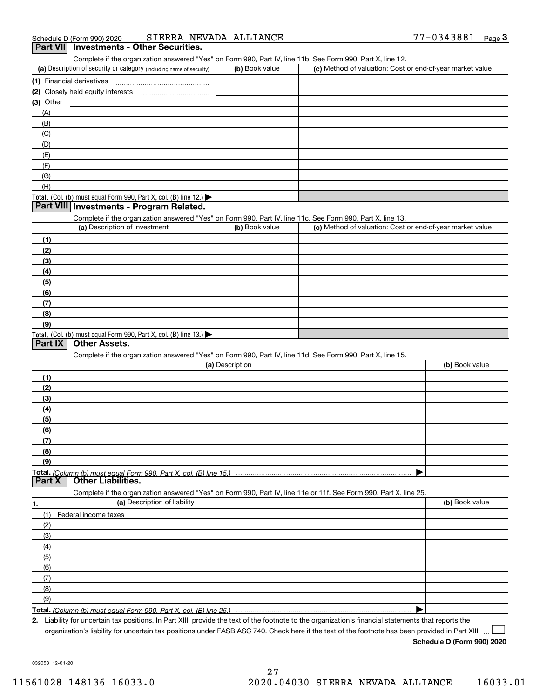# Schedule D (Form 990) 2020 SIERRA NE<br>**Part VII** Investments - Other Securities.

Complete if the organization answered "Yes" on Form 990, Part IV, line 11b. See Form 990, Part X, line 12.

| (a) Description of security or category (including name of security)                          | (b) Book value | (c) Method of valuation: Cost or end-of-year market value |
|-----------------------------------------------------------------------------------------------|----------------|-----------------------------------------------------------|
| (1) Financial derivatives                                                                     |                |                                                           |
| (2) Closely held equity interests                                                             |                |                                                           |
| $(3)$ Other                                                                                   |                |                                                           |
| (A)                                                                                           |                |                                                           |
| (B)                                                                                           |                |                                                           |
| (C)                                                                                           |                |                                                           |
| (D)                                                                                           |                |                                                           |
| (E)                                                                                           |                |                                                           |
| (F)                                                                                           |                |                                                           |
| (G)                                                                                           |                |                                                           |
| (H)                                                                                           |                |                                                           |
| <b>Total.</b> (Col. (b) must equal Form 990, Part X, col. (B) line 12.) $\blacktriangleright$ |                |                                                           |

## **Part VIII Investments - Program Related.**

Complete if the organization answered "Yes" on Form 990, Part IV, line 11c. See Form 990, Part X, line 13.

| (a) Description of investment                                                                 | (b) Book value | (c) Method of valuation: Cost or end-of-year market value |
|-----------------------------------------------------------------------------------------------|----------------|-----------------------------------------------------------|
| (1)                                                                                           |                |                                                           |
| (2)                                                                                           |                |                                                           |
| $\left(3\right)$                                                                              |                |                                                           |
| (4)                                                                                           |                |                                                           |
| (5)                                                                                           |                |                                                           |
| (6)                                                                                           |                |                                                           |
| $\sqrt{(7)}$                                                                                  |                |                                                           |
| (8)                                                                                           |                |                                                           |
| (9)                                                                                           |                |                                                           |
| <b>Total.</b> (Col. (b) must equal Form 990, Part X, col. (B) line 13.) $\blacktriangleright$ |                |                                                           |

## **Part IX | Other Assets.**

Complete if the organization answered "Yes" on Form 990, Part IV, line 11d. See Form 990, Part X, line 15.

| (a) Description                    |                                                                                                                   | (b) Book value |
|------------------------------------|-------------------------------------------------------------------------------------------------------------------|----------------|
| (1)                                |                                                                                                                   |                |
| (2)                                |                                                                                                                   |                |
| (3)                                |                                                                                                                   |                |
| (4)                                |                                                                                                                   |                |
| (5)                                |                                                                                                                   |                |
| (6)                                |                                                                                                                   |                |
| (7)                                |                                                                                                                   |                |
| (8)                                |                                                                                                                   |                |
| (9)                                |                                                                                                                   |                |
|                                    |                                                                                                                   |                |
| <b>Part X   Other Liabilities.</b> |                                                                                                                   |                |
|                                    | Complete if the organization answered "Yes" on Form 990, Part IV, line 11e or 11f. See Form 990, Part X, line 25. |                |

| 1.                  | (a) Description of liability | (b) Book value |
|---------------------|------------------------------|----------------|
|                     | (1) Federal income taxes     |                |
| (2)                 |                              |                |
| $\qquad \qquad (3)$ |                              |                |
| (4)                 |                              |                |
| $\frac{1}{2}$ (5)   |                              |                |
| (6)                 |                              |                |
| (7)                 |                              |                |
| (8)                 |                              |                |
| (9)                 |                              |                |
|                     |                              |                |

2. Liability for uncertain tax positions. In Part XIII, provide the text of the footnote to the organization's financial statements that reports the organization's liability for uncertain tax positions under FASB ASC 740. Check here if the text of the footnote has been provided in Part XIII

Schedule D (Form 990) 2020

 $\Box$ 

032053 12-01-20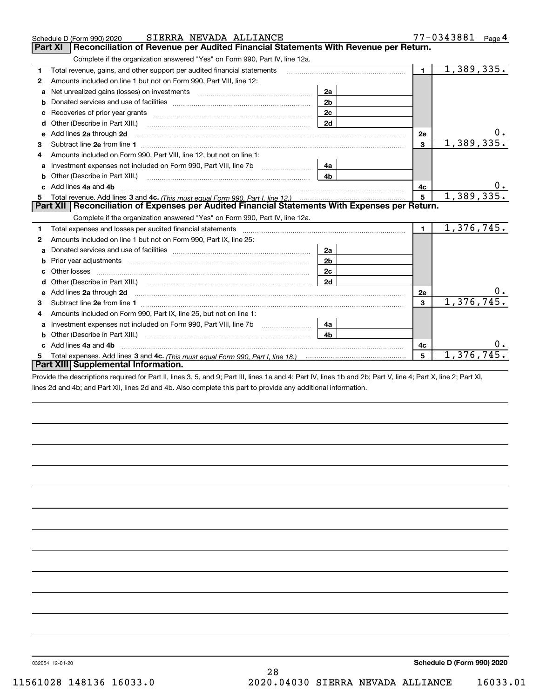|   | SIERRA NEVADA ALLIANCE<br>Schedule D (Form 990) 2020                                                                                                                                                                                 |                | 77-0343881<br>Page $4$ |                         |
|---|--------------------------------------------------------------------------------------------------------------------------------------------------------------------------------------------------------------------------------------|----------------|------------------------|-------------------------|
|   | Reconciliation of Revenue per Audited Financial Statements With Revenue per Return.<br>Part XI                                                                                                                                       |                |                        |                         |
|   | Complete if the organization answered "Yes" on Form 990, Part IV, line 12a.                                                                                                                                                          |                |                        |                         |
| 1 | Total revenue, gains, and other support per audited financial statements                                                                                                                                                             |                | $\blacksquare$         | $\overline{1,389},335.$ |
| 2 | Amounts included on line 1 but not on Form 990, Part VIII, line 12:                                                                                                                                                                  |                |                        |                         |
| a | Net unrealized gains (losses) on investments [11] matter contracts and the unrealized gains (losses) on investments                                                                                                                  | 2a             |                        |                         |
| b |                                                                                                                                                                                                                                      | 2 <sub>b</sub> |                        |                         |
|   |                                                                                                                                                                                                                                      | 2c             |                        |                         |
| d | Other (Describe in Part XIII.) <b>Construction Construction</b> Chern Construction Chern Chern Chern Chern Chern Chern                                                                                                               | 2d             |                        |                         |
| e | Add lines 2a through 2d                                                                                                                                                                                                              |                | <b>2e</b>              | $0_{.}$                 |
| з |                                                                                                                                                                                                                                      |                | $\overline{3}$         | 1,389,335.              |
| 4 | Amounts included on Form 990, Part VIII, line 12, but not on line 1:                                                                                                                                                                 |                |                        |                         |
| a |                                                                                                                                                                                                                                      | 4a             |                        |                         |
|   | Other (Describe in Part XIII.) <b>Construction Construction</b> Chern Construction Chern Chern Chern Chern Chern Chern                                                                                                               | 4 <sub>b</sub> |                        |                         |
|   | c Add lines 4a and 4b                                                                                                                                                                                                                |                | 4c                     |                         |
| 5 |                                                                                                                                                                                                                                      | 5 <sup>5</sup> | 1,389,335.             |                         |
|   | Part XII   Reconciliation of Expenses per Audited Financial Statements With Expenses per Return.                                                                                                                                     |                |                        |                         |
|   | Complete if the organization answered "Yes" on Form 990, Part IV, line 12a.                                                                                                                                                          |                |                        |                         |
| 1 | Total expenses and losses per audited financial statements                                                                                                                                                                           |                | $\mathbf{1}$           | 1,376,745.              |
| 2 | Amounts included on line 1 but not on Form 990, Part IX, line 25:                                                                                                                                                                    |                |                        |                         |
| a | Donated services and use of facilities <b>EXAMPLE 2008</b>                                                                                                                                                                           | 2a             |                        |                         |
| b |                                                                                                                                                                                                                                      | 2 <sub>b</sub> |                        |                         |
| с | Other losses                                                                                                                                                                                                                         | 2c             |                        |                         |
| d |                                                                                                                                                                                                                                      | 2d             |                        |                         |
| e | Add lines 2a through 2d <b>contained a contained a contained a contained a contained a contained a contained a contained a contact a contact a contact a contact a contact a contact a contact a contact a contact a contact a c</b> |                | 2e                     |                         |
| з |                                                                                                                                                                                                                                      |                | 3                      | 1,376,745.              |
| 4 | Amounts included on Form 990, Part IX, line 25, but not on line 1:                                                                                                                                                                   |                |                        |                         |
| a | Investment expenses not included on Form 990, Part VIII, line 7b [100] [100] [100] [100] [100] [100] [100] [10                                                                                                                       | 4a             |                        |                         |
| b | Other (Describe in Part XIII.)                                                                                                                                                                                                       | 4 <sub>b</sub> |                        |                         |
|   | Add lines 4a and 4b                                                                                                                                                                                                                  |                | 4c                     |                         |
| 5 |                                                                                                                                                                                                                                      |                | 5                      | 1,376,745.              |
|   | Part XIII Supplemental Information.                                                                                                                                                                                                  |                |                        |                         |
|   |                                                                                                                                                                                                                                      |                |                        |                         |

Provide the descriptions required for Part II, lines 3, 5, and 9; Part III, lines 1a and 4; Part IV, lines 1b and 2b; Part V, line 4; Part X, line 2; Part XI, lines 2d and 4b; and Part XII, lines 2d and 4b. Also complete this part to provide any additional information.

032054 12-01-20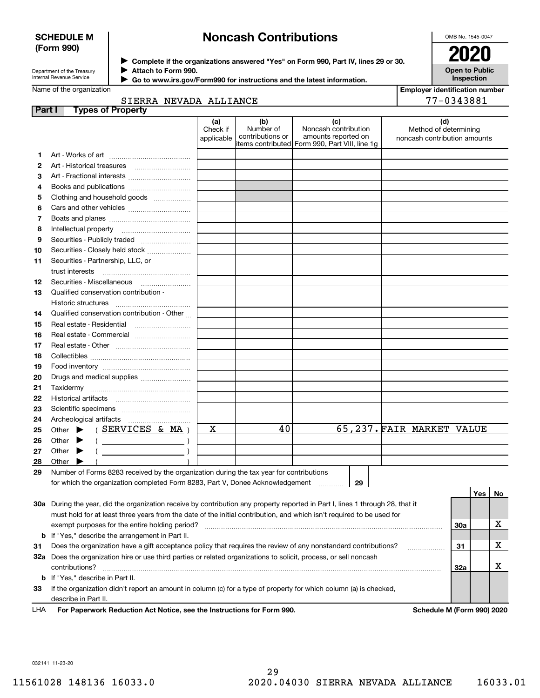## SCHEDULE M (Form 990)

## Noncash Contributions

OMB No. 1545-0047

| Department of the Treasury      |
|---------------------------------|
| <b>Internal Revenue Service</b> |

Complete if the organizations answered "Yes" on Form 990, Part IV, lines 29 or 30. 2020 Attach to Form 990.

Open to Public Inspection

Employer identification number

|  | Name of the organization |  |
|--|--------------------------|--|

Go to www.irs.gov/Form990 for instructions and the latest information. J

| Name of the organization |  |
|--------------------------|--|
|--------------------------|--|

SIERRA NEVADA ALLIANCE

|               | SIERRA NEVADA ALLIANCE                                                                                                         |                               |                                      |                                                                                                        |                                                              | 77-0343881 |    |
|---------------|--------------------------------------------------------------------------------------------------------------------------------|-------------------------------|--------------------------------------|--------------------------------------------------------------------------------------------------------|--------------------------------------------------------------|------------|----|
| <b>Part I</b> | <b>Types of Property</b>                                                                                                       |                               |                                      |                                                                                                        |                                                              |            |    |
|               |                                                                                                                                | (a)<br>Check if<br>applicable | (b)<br>Number of<br>contributions or | (c)<br>Noncash contribution<br>amounts reported on<br> items contributed  Form 990, Part VIII, line 1g | (d)<br>Method of determining<br>noncash contribution amounts |            |    |
| 1             |                                                                                                                                |                               |                                      |                                                                                                        |                                                              |            |    |
| 2             |                                                                                                                                |                               |                                      |                                                                                                        |                                                              |            |    |
| З             | Art - Fractional interests                                                                                                     |                               |                                      |                                                                                                        |                                                              |            |    |
| 4             |                                                                                                                                |                               |                                      |                                                                                                        |                                                              |            |    |
| 5             | Clothing and household goods                                                                                                   |                               |                                      |                                                                                                        |                                                              |            |    |
| 6             |                                                                                                                                |                               |                                      |                                                                                                        |                                                              |            |    |
| 7             |                                                                                                                                |                               |                                      |                                                                                                        |                                                              |            |    |
| 8             |                                                                                                                                |                               |                                      |                                                                                                        |                                                              |            |    |
| 9             | Securities - Publicly traded                                                                                                   |                               |                                      |                                                                                                        |                                                              |            |    |
| 10            | Securities - Closely held stock                                                                                                |                               |                                      |                                                                                                        |                                                              |            |    |
| 11            | Securities - Partnership, LLC, or                                                                                              |                               |                                      |                                                                                                        |                                                              |            |    |
|               | trust interests                                                                                                                |                               |                                      |                                                                                                        |                                                              |            |    |
| 12            | Securities - Miscellaneous                                                                                                     |                               |                                      |                                                                                                        |                                                              |            |    |
| 13            | Qualified conservation contribution -                                                                                          |                               |                                      |                                                                                                        |                                                              |            |    |
|               | Historic structures                                                                                                            |                               |                                      |                                                                                                        |                                                              |            |    |
| 14            | Qualified conservation contribution - Other                                                                                    |                               |                                      |                                                                                                        |                                                              |            |    |
| 15            | Real estate - Residential                                                                                                      |                               |                                      |                                                                                                        |                                                              |            |    |
| 16            | Real estate - Commercial                                                                                                       |                               |                                      |                                                                                                        |                                                              |            |    |
| 17            |                                                                                                                                |                               |                                      |                                                                                                        |                                                              |            |    |
| 18            |                                                                                                                                |                               |                                      |                                                                                                        |                                                              |            |    |
| 19            |                                                                                                                                |                               |                                      |                                                                                                        |                                                              |            |    |
| 20            | Drugs and medical supplies                                                                                                     |                               |                                      |                                                                                                        |                                                              |            |    |
| 21            |                                                                                                                                |                               |                                      |                                                                                                        |                                                              |            |    |
| 22            |                                                                                                                                |                               |                                      |                                                                                                        |                                                              |            |    |
| 23            |                                                                                                                                |                               |                                      |                                                                                                        |                                                              |            |    |
| 24            |                                                                                                                                |                               |                                      |                                                                                                        |                                                              |            |    |
| 25            | (SERVICES & MA)<br>Other $\blacktriangleright$                                                                                 | х                             | 40                                   |                                                                                                        | 65,237. FAIR MARKET VALUE                                    |            |    |
| 26            | Other<br>$\left(\begin{array}{ccc}\n&\n&\n\end{array}\right)$                                                                  |                               |                                      |                                                                                                        |                                                              |            |    |
| 27            | $($ $)$<br>Other<br>▶                                                                                                          |                               |                                      |                                                                                                        |                                                              |            |    |
| 28            | Other                                                                                                                          |                               |                                      |                                                                                                        |                                                              |            |    |
| 29            | Number of Forms 8283 received by the organization during the tax year for contributions                                        |                               |                                      |                                                                                                        |                                                              |            |    |
|               | for which the organization completed Form 8283, Part V, Donee Acknowledgement                                                  |                               |                                      | 29                                                                                                     |                                                              |            |    |
|               |                                                                                                                                |                               |                                      |                                                                                                        |                                                              | Yes        | No |
|               | 30a During the year, did the organization receive by contribution any property reported in Part I, lines 1 through 28, that it |                               |                                      |                                                                                                        |                                                              |            |    |
|               | must hold for at least three years from the date of the initial contribution, and which isn't required to be used for          |                               |                                      |                                                                                                        |                                                              |            |    |
|               | exempt purposes for the entire holding period?                                                                                 |                               |                                      |                                                                                                        |                                                              | 30a        | х  |
| b             | If "Yes," describe the arrangement in Part II.                                                                                 |                               |                                      |                                                                                                        |                                                              |            |    |
| 31            | Does the organization have a gift acceptance policy that requires the review of any nonstandard contributions?                 |                               |                                      |                                                                                                        |                                                              | 31         | х  |
|               | 32a Does the organization hire or use third parties or related organizations to solicit, process, or sell noncash              |                               |                                      |                                                                                                        |                                                              |            |    |
|               | contributions?                                                                                                                 |                               |                                      |                                                                                                        |                                                              | 32a        | х  |
| b             | If "Yes," describe in Part II.                                                                                                 |                               |                                      |                                                                                                        |                                                              |            |    |
| 33            | If the organization didn't report an amount in column (c) for a type of property for which column (a) is checked,              |                               |                                      |                                                                                                        |                                                              |            |    |
|               | describe in Part II.<br>For Departments Reduction Act Notice, eac the Instructions for Form 000                                |                               |                                      |                                                                                                        | Schodule M (Form 000) 2020                                   |            |    |

LHA Grow Paperwork Reduction Act Notice, see the Instructions for Form 990. Noting the Schedule M (Form 990) 2020 L

032141 11-23-20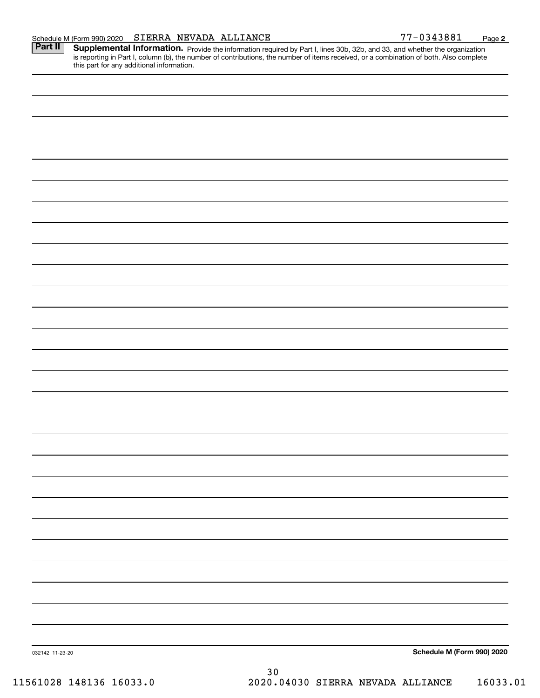|  | Schedule M (Form 990) 2020 |  |  | SIERRA NEVADA ALLIANCE | $-0343881$ | Page |  |
|--|----------------------------|--|--|------------------------|------------|------|--|
|--|----------------------------|--|--|------------------------|------------|------|--|

Part II | Supplemental Information. Provide the information required by Part I, lines 30b, 32b, and 33, and whether the organization is reporting in Part I, column (b), the number of contributions, the number of items received, or a combination of both. Also complete this part for any additional information.

| 032142 11-23-20<br>(61020, 140126, 16022, 0) | Schedule M (Form 990) 2020<br>$30\,$<br>2020 04020 STEPPA NEWARA ATTIANCE $16022$ |
|----------------------------------------------|-----------------------------------------------------------------------------------|
|                                              |                                                                                   |
|                                              |                                                                                   |
|                                              |                                                                                   |
|                                              |                                                                                   |
|                                              |                                                                                   |
|                                              |                                                                                   |
|                                              |                                                                                   |
|                                              |                                                                                   |
|                                              |                                                                                   |
|                                              |                                                                                   |
|                                              |                                                                                   |
|                                              |                                                                                   |
|                                              |                                                                                   |
|                                              |                                                                                   |
|                                              |                                                                                   |
|                                              |                                                                                   |
|                                              |                                                                                   |
|                                              |                                                                                   |
|                                              |                                                                                   |
|                                              |                                                                                   |
|                                              |                                                                                   |
|                                              |                                                                                   |
|                                              |                                                                                   |
|                                              |                                                                                   |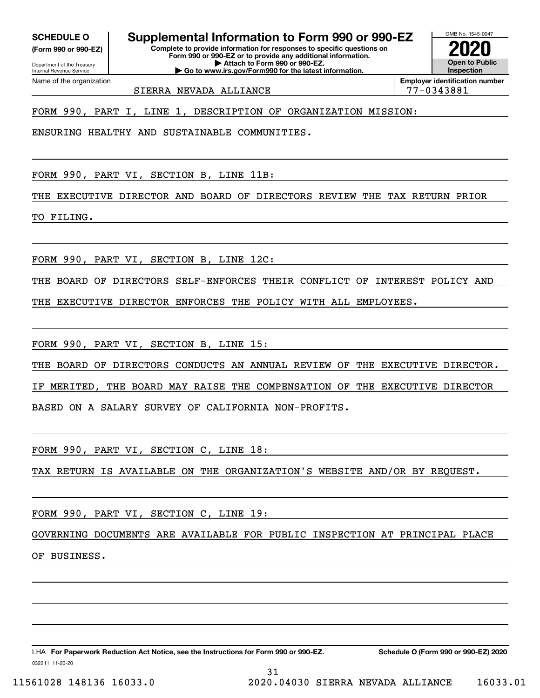(Form 990 or 990-EZ)

Department of the Treasury Internal Revenue Service Name of the organization

SCHEDULE 0 | Supplemental Information to Form 990 or 990-EZ

Complete to provide information for responses to specific questions on Form 990 or 990-EZ or to provide any additional information. | Attach to Form 990 or 990-EZ. | Go to www.irs.gov/Form990 for the latest information.



SIERRA NEVADA ALLIANCE | 77-0343881

FORM 990, PART I, LINE 1, DESCRIPTION OF ORGANIZATION MISSION:

ENSURING HEALTHY AND SUSTAINABLE COMMUNITIES.

FORM 990, PART VI, SECTION B, LINE 11B:

THE EXECUTIVE DIRECTOR AND BOARD OF DIRECTORS REVIEW THE TAX RETURN PRIOR

TO FILING.

FORM 990, PART VI, SECTION B, LINE 12C:

THE BOARD OF DIRECTORS SELF-ENFORCES THEIR CONFLICT OF INTEREST POLICY AND

THE EXECUTIVE DIRECTOR ENFORCES THE POLICY WITH ALL EMPLOYEES.

FORM 990, PART VI, SECTION B, LINE 15:

THE BOARD OF DIRECTORS CONDUCTS AN ANNUAL REVIEW OF THE EXECUTIVE DIRECTOR.

IF MERITED, THE BOARD MAY RAISE THE COMPENSATION OF THE EXECUTIVE DIRECTOR

BASED ON A SALARY SURVEY OF CALIFORNIA NON-PROFITS.

FORM 990, PART VI, SECTION C, LINE 18:

TAX RETURN IS AVAILABLE ON THE ORGANIZATION'S WEBSITE AND/OR BY REQUEST.

FORM 990, PART VI, SECTION C, LINE 19:

GOVERNING DOCUMENTS ARE AVAILABLE FOR PUBLIC INSPECTION AT PRINCIPAL PLACE

31

OF BUSINESS.

032211 11-20-20 LHA For Paperwork Reduction Act Notice, see the Instructions for Form 990 or 990-EZ. Schedule O (Form 990 or 990-EZ) 2020

11561028 148136 16033.0 2020.04030 SIERRA NEVADA ALLIANCE 16033.01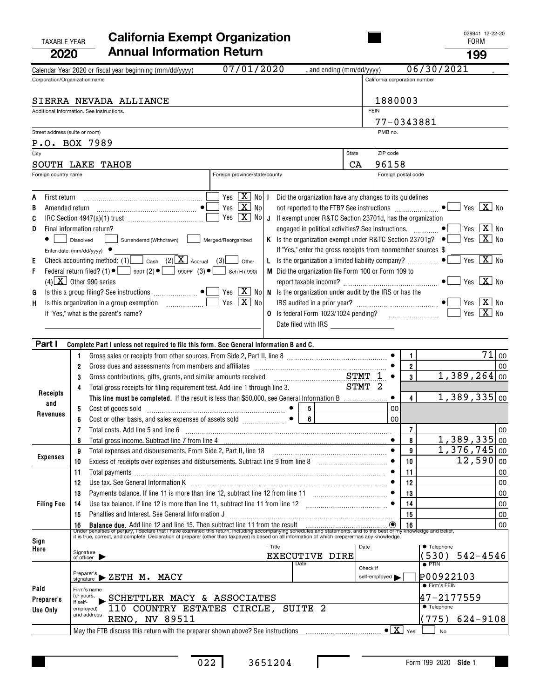## TAXABLE YEAR **California Exempt Organization Taxable Year According Cass**<sup>028941</sup> 2020 Annual Information Return **199** and the set of the set of the set of the set of the set of the set of the s

| LVLV                           |                                                                                                                                                                                                                                  |                                                                    |                               |                                           | פט ו                                                                                                  |       |
|--------------------------------|----------------------------------------------------------------------------------------------------------------------------------------------------------------------------------------------------------------------------------|--------------------------------------------------------------------|-------------------------------|-------------------------------------------|-------------------------------------------------------------------------------------------------------|-------|
|                                | 07/01/2020<br>Calendar Year 2020 or fiscal year beginning (mm/dd/yyyy)                                                                                                                                                           | , and ending (mm/dd/yyyy)                                          |                               |                                           | 06/30/2021                                                                                            |       |
| Corporation/Organization name  |                                                                                                                                                                                                                                  |                                                                    | California corporation number |                                           |                                                                                                       |       |
|                                | SIERRA NEVADA ALLIANCE                                                                                                                                                                                                           |                                                                    | 1880003                       |                                           |                                                                                                       |       |
|                                | Additional information. See instructions.                                                                                                                                                                                        |                                                                    | <b>FEIN</b>                   |                                           |                                                                                                       |       |
|                                |                                                                                                                                                                                                                                  |                                                                    | 77-0343881                    |                                           |                                                                                                       |       |
| Street address (suite or room) |                                                                                                                                                                                                                                  |                                                                    | PMB no.                       |                                           |                                                                                                       |       |
|                                | P.O. BOX 7989                                                                                                                                                                                                                    |                                                                    |                               |                                           |                                                                                                       |       |
| City                           |                                                                                                                                                                                                                                  | State                                                              | ZIP code                      |                                           |                                                                                                       |       |
|                                | SOUTH LAKE TAHOE                                                                                                                                                                                                                 | CA                                                                 | 96158                         |                                           |                                                                                                       |       |
| Foreign country name           | Foreign province/state/county                                                                                                                                                                                                    |                                                                    |                               | Foreign postal code                       |                                                                                                       |       |
| First return<br>A              | Yes $X$ No I                                                                                                                                                                                                                     | Did the organization have any changes to its guidelines            |                               |                                           |                                                                                                       |       |
| В<br>Amended return            | Yes $\boxed{\mathbf{X}}$ No<br>$\bullet$                                                                                                                                                                                         |                                                                    |                               |                                           | $X$ No<br>Yes                                                                                         |       |
| C                              | Yes $\boxed{\mathbf{X}}$ No J                                                                                                                                                                                                    | If exempt under R&TC Section 23701d, has the organization          |                               |                                           |                                                                                                       |       |
| D                              | Final information return?                                                                                                                                                                                                        | engaged in political activities? See instructions.                 |                               |                                           | $\overline{\mathbf{X}}$ No<br>Yes                                                                     |       |
|                                | Surrendered (Withdrawn)<br>Merged/Reorganized<br>Dissolved                                                                                                                                                                       |                                                                    |                               |                                           | Is the organization exempt under R&TC Section 23701g? $\bullet$ $\bullet$ Yes $\boxed{\mathbf{X}}$ No |       |
|                                | Enter date: (mm/dd/yyyy) ●                                                                                                                                                                                                       | If "Yes," enter the gross receipts from nonmember sources \$       |                               |                                           |                                                                                                       |       |
| E                              | Check accounting method: (1) Cash (2) $X$ Accrual (3)<br>L.<br>Other                                                                                                                                                             | Is the organization a limited liability company?                   |                               |                                           | $\boxed{\mathbf{X}}$ No<br>Yes                                                                        |       |
| F                              | Federal return filed? (1) $\bullet$ $\Box$ 990T (2) $\bullet$ $\Box$ 990PF (3) $\bullet$ $\Box$<br>Sch H (990)                                                                                                                   | M Did the organization file Form 100 or Form 109 to                |                               |                                           |                                                                                                       |       |
|                                | $(4)$ $\boxed{\mathbf{X}}$ Other 990 series                                                                                                                                                                                      |                                                                    |                               |                                           | $\boxed{\text{X}}$ No<br>Yes                                                                          |       |
| G                              | $\frac{1}{2}$ Yes $\frac{X}{X}$ No $\left  \right.$ N $\,$ Is the organization under audit by the IRS or has the<br>Is this a group filing? See instructions $\Box$                                                              |                                                                    |                               |                                           |                                                                                                       |       |
| H                              | Yes $\boxed{\mathbf{X}}$ No<br>Is this organization in a group exemption [1] [1] Is this organization in a group exemption                                                                                                       |                                                                    |                               |                                           | $X$ No<br>Yes $X$ No                                                                                  |       |
|                                | If "Yes," what is the parent's name?                                                                                                                                                                                             | <b>0</b> Is federal Form 1023/1024 pending?<br>Date filed with IRS |                               |                                           |                                                                                                       |       |
|                                |                                                                                                                                                                                                                                  |                                                                    |                               |                                           |                                                                                                       |       |
| Part I                         | Complete Part I unless not required to file this form. See General Information B and C.                                                                                                                                          |                                                                    |                               |                                           |                                                                                                       |       |
|                                | Gross sales or receipts from other sources. From Side 2, Part II, line 8 [11] [11] [12] [12] [12] [12] [12] [1<br>1                                                                                                              |                                                                    |                               | 1                                         |                                                                                                       | 71 00 |
|                                | Gross dues and assessments from members and affiliates<br>2                                                                                                                                                                      |                                                                    |                               | $\overline{2}$                            |                                                                                                       | 00    |
|                                | Gross contributions, gifts, grants, and similar amounts received<br>3                                                                                                                                                            | $STMT$ 1                                                           |                               | 3                                         | $1,389,264$ 00                                                                                        |       |
| Receipts                       | Total gross receipts for filing requirement test. Add line 1 through line 3.<br>4                                                                                                                                                |                                                                    | STMT 2                        |                                           |                                                                                                       |       |
| and                            | This line must be completed. If the result is less than \$50,000, see General Information B                                                                                                                                      |                                                                    |                               | $\overline{4}$                            | 1,389,335 00                                                                                          |       |
| Revenues                       | Cost of goods sold<br>5                                                                                                                                                                                                          | 5                                                                  | 00                            |                                           |                                                                                                       |       |
|                                | Cost or other basis, and sales expenses of assets sold<br>6                                                                                                                                                                      | 6                                                                  | 0 <sub>0</sub>                |                                           |                                                                                                       |       |
|                                | Total costs. Add line 5 and line 6<br>7                                                                                                                                                                                          |                                                                    |                               | $\overline{7}$<br>8                       | 1,389,335 00                                                                                          | 00    |
|                                | Total gross income. Subtract line 7 from line 4 [11] manufactured and substitutions income.<br>9<br>Total expenses and disbursements. From Side 2, Part II, line 18                                                              |                                                                    |                               | 9                                         | $1,376,745$ 00                                                                                        |       |
| <b>Expenses</b>                | 10                                                                                                                                                                                                                               |                                                                    |                               | 10                                        | $\overline{12}$ , 590 00                                                                              |       |
|                                | 11<br>Total payments                                                                                                                                                                                                             |                                                                    |                               | 11                                        |                                                                                                       | 00    |
|                                | 12                                                                                                                                                                                                                               |                                                                    |                               | 12                                        |                                                                                                       | 00    |
|                                | 13                                                                                                                                                                                                                               |                                                                    |                               | 13                                        |                                                                                                       | 00    |
| <b>Filing Fee</b>              | Use tax balance. If line 12 is more than line 11, subtract line 11 from line 12 [11] [12] [11] [12] [11] Use tax balance. If line 12 [11] [11] Use tax balance. If line 12<br>14                                                 |                                                                    |                               | 14                                        |                                                                                                       | 00    |
|                                | Penalties and Interest. See General Information J<br>15                                                                                                                                                                          |                                                                    |                               | 15                                        |                                                                                                       | 00    |
|                                | 16 Balance due. Add line 12 and line 15. Then subtract line 11 from the result<br>Under penalties of perjury, I declare that I have examined this return, including accompanying schedules and statements, and to the best of my |                                                                    |                               |                                           |                                                                                                       | 00    |
| Sign                           | it is true, correct, and complete. Declaration of preparer (other than taxpayer) is based on all information of which preparer has any knowledge.                                                                                |                                                                    |                               |                                           |                                                                                                       |       |
| Here                           | Title<br>Signature<br>of officer                                                                                                                                                                                                 | <b>EXECUTIVE DIRE</b>                                              | Date                          |                                           | <b>• Telephone</b><br>(530) 542-4546                                                                  |       |
|                                |                                                                                                                                                                                                                                  | Date                                                               |                               |                                           | $\overline{\bullet}$ PTIN                                                                             |       |
|                                | $P_{\text{signature}}$ $\triangleright$ ZETH $M$ . MACY                                                                                                                                                                          |                                                                    | Check if<br>self-employed     |                                           | P00922103                                                                                             |       |
| Paid                           | Firm's name                                                                                                                                                                                                                      |                                                                    |                               |                                           | <b>•</b> Firm's FEIN                                                                                  |       |
| Preparer's                     | (or yours,<br>SCHETTLER MACY & ASSOCIATES                                                                                                                                                                                        |                                                                    |                               |                                           | 47-2177559                                                                                            |       |
| Use Only                       | if self-<br>110 COUNTRY ESTATES CIRCLE, SUITE 2<br>employed)                                                                                                                                                                     |                                                                    |                               |                                           | ● Telephone                                                                                           |       |
|                                | and address<br><b>RENO, NV 89511</b>                                                                                                                                                                                             |                                                                    |                               |                                           | (775)<br>$624 - 9108$                                                                                 |       |
|                                |                                                                                                                                                                                                                                  |                                                                    |                               | $\bullet$ $\boxed{\text{X}}$ $\text{Yes}$ | <b>No</b>                                                                                             |       |

Ι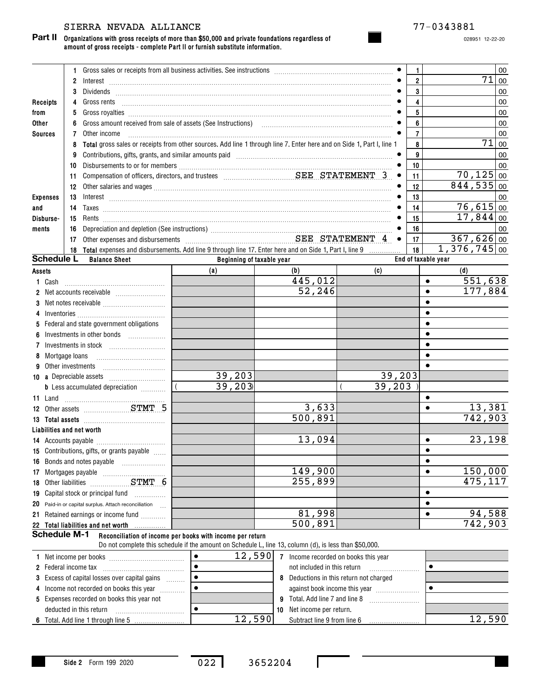## SIERRA NEVADA ALLIANCE 77-0343881

Part II Organizations with gross receipts of more than \$50,000 and private foundations regardless of amount of gross receipts - complete Part II or furnish substitute information.

028951 12-22-20

|                             | $\mathbf{1}$   |                                                                                                                                                                                                                                                                                                                                                                                      |                                                                                                                                                                     |                                                |                                                                                                                                                                                                                                | 1                       |                                     | 00     |
|-----------------------------|----------------|--------------------------------------------------------------------------------------------------------------------------------------------------------------------------------------------------------------------------------------------------------------------------------------------------------------------------------------------------------------------------------------|---------------------------------------------------------------------------------------------------------------------------------------------------------------------|------------------------------------------------|--------------------------------------------------------------------------------------------------------------------------------------------------------------------------------------------------------------------------------|-------------------------|-------------------------------------|--------|
|                             | $\overline{2}$ |                                                                                                                                                                                                                                                                                                                                                                                      |                                                                                                                                                                     |                                                |                                                                                                                                                                                                                                | $\overline{\mathbf{2}}$ | 71                                  | 00     |
|                             | 3              | Dividends                                                                                                                                                                                                                                                                                                                                                                            |                                                                                                                                                                     |                                                |                                                                                                                                                                                                                                | 3                       |                                     | 00     |
| Receipts                    | 4              | Gross rents                                                                                                                                                                                                                                                                                                                                                                          |                                                                                                                                                                     |                                                |                                                                                                                                                                                                                                | 4                       |                                     | 00     |
| from                        | 5              | Gross royalties <b>construction and construction of the construction of the construction of the construction</b> of the construction of the construction of the construction of the construction of the construction of the constru                                                                                                                                                  |                                                                                                                                                                     |                                                |                                                                                                                                                                                                                                | 5                       |                                     | 00     |
| Other                       | 6              |                                                                                                                                                                                                                                                                                                                                                                                      |                                                                                                                                                                     |                                                |                                                                                                                                                                                                                                | 6                       |                                     | 00     |
| <b>Sources</b>              | 7              | Other income                                                                                                                                                                                                                                                                                                                                                                         |                                                                                                                                                                     |                                                |                                                                                                                                                                                                                                | $\overline{7}$          |                                     | 00     |
|                             | 8              | Total gross sales or receipts from other sources. Add line 1 through line 7. Enter here and on Side 1, Part I, line 1                                                                                                                                                                                                                                                                |                                                                                                                                                                     |                                                |                                                                                                                                                                                                                                | 8                       | 71                                  | 00     |
|                             | 9              | Contributions, gifts, grants, and similar amounts paid manufactured contractions and contributions, gifts, grants, and similar amounts paid manufactured contractions.                                                                                                                                                                                                               |                                                                                                                                                                     |                                                |                                                                                                                                                                                                                                | 9                       |                                     | 00     |
|                             | 10             |                                                                                                                                                                                                                                                                                                                                                                                      |                                                                                                                                                                     |                                                |                                                                                                                                                                                                                                | 10                      |                                     | 00     |
|                             | 11             |                                                                                                                                                                                                                                                                                                                                                                                      |                                                                                                                                                                     |                                                | $\bullet$                                                                                                                                                                                                                      | 11                      | $70, 125$ 00                        |        |
|                             | 12             | Other salaries and wages [11] manufactured and wages [11] manufactured and wages [11] manufactured and wages [11] manufactured and wages [11] manufactured and wages [11] manufactured and wages [11] manufactured and wages [                                                                                                                                                       |                                                                                                                                                                     |                                                |                                                                                                                                                                                                                                | 12                      | $844,535$ 00                        |        |
| <b>Expenses</b>             | 13             | $Interest \begin{tabular}{l} \hline \textbf{Interest} \\ \hline \end{tabular}$                                                                                                                                                                                                                                                                                                       |                                                                                                                                                                     |                                                |                                                                                                                                                                                                                                | 13                      |                                     | 00     |
| and                         | 14             |                                                                                                                                                                                                                                                                                                                                                                                      |                                                                                                                                                                     |                                                |                                                                                                                                                                                                                                | 14                      | $76,615$ 00                         |        |
| Disburse-                   | 15             |                                                                                                                                                                                                                                                                                                                                                                                      |                                                                                                                                                                     |                                                |                                                                                                                                                                                                                                | 15                      | 17,844 00                           |        |
| ments                       | 16             |                                                                                                                                                                                                                                                                                                                                                                                      |                                                                                                                                                                     |                                                |                                                                                                                                                                                                                                | 16                      |                                     | $00\,$ |
|                             | 17             | Other expenses and disbursements Material Material SEE STATEMENT 4                                                                                                                                                                                                                                                                                                                   |                                                                                                                                                                     |                                                | $\bullet$                                                                                                                                                                                                                      | 17                      | $367,626$ 00                        |        |
|                             |                | 18 Total expenses and disbursements. Add line 9 through line 17. Enter here and on Side 1, Part I, line 9                                                                                                                                                                                                                                                                            |                                                                                                                                                                     |                                                |                                                                                                                                                                                                                                | 18                      | $1,376,745$ <sub>00</sub>           |        |
| <b>Schedule L</b>           |                | <b>Balance Sheet</b>                                                                                                                                                                                                                                                                                                                                                                 | Beginning of taxable year                                                                                                                                           |                                                |                                                                                                                                                                                                                                |                         | End of taxable year                 |        |
| Assets                      |                |                                                                                                                                                                                                                                                                                                                                                                                      | (a)                                                                                                                                                                 | (b)                                            | (c)                                                                                                                                                                                                                            |                         | (d)                                 |        |
| 1 Cash                      |                |                                                                                                                                                                                                                                                                                                                                                                                      |                                                                                                                                                                     | 445,012                                        |                                                                                                                                                                                                                                |                         | $\overline{551}$ , 638<br>$\bullet$ |        |
|                             |                |                                                                                                                                                                                                                                                                                                                                                                                      |                                                                                                                                                                     | 52,246                                         |                                                                                                                                                                                                                                |                         | 177,884<br>$\bullet$                |        |
| 3                           |                |                                                                                                                                                                                                                                                                                                                                                                                      |                                                                                                                                                                     |                                                |                                                                                                                                                                                                                                |                         |                                     |        |
| 4                           |                | $Inventories \begin{picture}(1,0) \put(0,0){\vector(1,0){100}} \put(0,0){\vector(1,0){100}} \put(0,0){\vector(1,0){100}} \put(0,0){\vector(1,0){100}} \put(0,0){\vector(1,0){100}} \put(0,0){\vector(1,0){100}} \put(0,0){\vector(1,0){100}} \put(0,0){\vector(1,0){100}} \put(0,0){\vector(1,0){100}} \put(0,0){\vector(1,0){100}} \put(0,0){\vector(1,0){100}} \put(0,0){\vector($ |                                                                                                                                                                     |                                                |                                                                                                                                                                                                                                |                         |                                     |        |
| 5                           |                | Federal and state government obligations                                                                                                                                                                                                                                                                                                                                             |                                                                                                                                                                     |                                                |                                                                                                                                                                                                                                |                         |                                     |        |
| 6                           |                | Investments in other bonds                                                                                                                                                                                                                                                                                                                                                           |                                                                                                                                                                     |                                                |                                                                                                                                                                                                                                |                         |                                     |        |
| 7                           |                | Investments in stock                                                                                                                                                                                                                                                                                                                                                                 |                                                                                                                                                                     |                                                |                                                                                                                                                                                                                                |                         |                                     |        |
| Mortgage loans<br>8         |                |                                                                                                                                                                                                                                                                                                                                                                                      |                                                                                                                                                                     |                                                |                                                                                                                                                                                                                                |                         |                                     |        |
| Other investments           |                |                                                                                                                                                                                                                                                                                                                                                                                      |                                                                                                                                                                     |                                                |                                                                                                                                                                                                                                |                         |                                     |        |
| 10 a Depreciable assets     |                |                                                                                                                                                                                                                                                                                                                                                                                      | 39,203                                                                                                                                                              |                                                | 39,203                                                                                                                                                                                                                         |                         |                                     |        |
|                             |                | <b>b</b> Less accumulated depreciation <i></i>                                                                                                                                                                                                                                                                                                                                       | 39, 203                                                                                                                                                             |                                                | 39,203                                                                                                                                                                                                                         |                         |                                     |        |
|                             |                |                                                                                                                                                                                                                                                                                                                                                                                      |                                                                                                                                                                     |                                                |                                                                                                                                                                                                                                |                         | $\bullet$                           |        |
|                             |                |                                                                                                                                                                                                                                                                                                                                                                                      |                                                                                                                                                                     | 3,633                                          |                                                                                                                                                                                                                                |                         | 13,381<br>$\bullet$                 |        |
|                             |                |                                                                                                                                                                                                                                                                                                                                                                                      |                                                                                                                                                                     | 500,891                                        |                                                                                                                                                                                                                                |                         | 742,903                             |        |
| Liabilities and net worth   |                |                                                                                                                                                                                                                                                                                                                                                                                      |                                                                                                                                                                     |                                                |                                                                                                                                                                                                                                |                         |                                     |        |
|                             |                |                                                                                                                                                                                                                                                                                                                                                                                      |                                                                                                                                                                     | 13,094                                         |                                                                                                                                                                                                                                |                         | $\overline{23,198}$<br>$\bullet$    |        |
|                             |                | 15 Contributions, gifts, or grants payable                                                                                                                                                                                                                                                                                                                                           |                                                                                                                                                                     |                                                |                                                                                                                                                                                                                                |                         |                                     |        |
|                             |                | <b>16</b> Bonds and notes payable                                                                                                                                                                                                                                                                                                                                                    |                                                                                                                                                                     |                                                |                                                                                                                                                                                                                                |                         | ٠                                   |        |
| 17                          |                |                                                                                                                                                                                                                                                                                                                                                                                      |                                                                                                                                                                     | 149,900                                        |                                                                                                                                                                                                                                |                         | 150,000<br>$\bullet$                |        |
| 18                          |                |                                                                                                                                                                                                                                                                                                                                                                                      |                                                                                                                                                                     | 255,899                                        |                                                                                                                                                                                                                                |                         | 475,117                             |        |
| 19                          |                | Capital stock or principal fund                                                                                                                                                                                                                                                                                                                                                      |                                                                                                                                                                     |                                                |                                                                                                                                                                                                                                |                         |                                     |        |
| 20                          |                | Paid-in or capital surplus. Attach reconciliation                                                                                                                                                                                                                                                                                                                                    |                                                                                                                                                                     |                                                |                                                                                                                                                                                                                                |                         | $\bullet$                           |        |
| 21                          |                | Retained earnings or income fund                                                                                                                                                                                                                                                                                                                                                     |                                                                                                                                                                     | 81,998                                         |                                                                                                                                                                                                                                |                         | 94,588<br>$\bullet$                 |        |
|                             |                | 22 Total liabilities and net worth                                                                                                                                                                                                                                                                                                                                                   |                                                                                                                                                                     | 500, 891                                       |                                                                                                                                                                                                                                |                         | 742,903                             |        |
| <b>Schedule M-1</b>         |                |                                                                                                                                                                                                                                                                                                                                                                                      | Reconciliation of income per books with income per return<br>Do not complete this schedule if the amount on Schedule L, line 13, column (d), is less than \$50,000. |                                                |                                                                                                                                                                                                                                |                         |                                     |        |
| 1.                          |                |                                                                                                                                                                                                                                                                                                                                                                                      | 12,590<br>$\bullet$                                                                                                                                                 | 7 Income recorded on books this year           |                                                                                                                                                                                                                                |                         |                                     |        |
| <b>2</b> Federal income tax |                |                                                                                                                                                                                                                                                                                                                                                                                      | $\bullet$                                                                                                                                                           | not included in this return                    |                                                                                                                                                                                                                                |                         | $\bullet$                           |        |
| 3                           |                | Excess of capital losses over capital gains                                                                                                                                                                                                                                                                                                                                          | $\bullet$                                                                                                                                                           | <b>8</b> Deductions in this return not charged |                                                                                                                                                                                                                                |                         |                                     |        |
| 4                           |                | Income not recorded on books this year                                                                                                                                                                                                                                                                                                                                               | $\bullet$                                                                                                                                                           |                                                | against book income this year [111] and the sear [11] and a search in the search in the search of the search in the search of the search of the search of the search of the search of the search of the search of the search o |                         |                                     |        |
| 5                           |                | Expenses recorded on books this year not                                                                                                                                                                                                                                                                                                                                             |                                                                                                                                                                     | 9 Total. Add line 7 and line 8                 |                                                                                                                                                                                                                                |                         |                                     |        |
|                             |                |                                                                                                                                                                                                                                                                                                                                                                                      | $\bullet$                                                                                                                                                           | 10 Net income per return.                      |                                                                                                                                                                                                                                |                         |                                     |        |

022 3652204

**6** Total. Add line 1 through line 5  $\ldots$   $\ldots$   $\ldots$   $\ldots$   $\ldots$   $\ldots$   $\ldots$   $\ldots$   $\ldots$   $\ldots$   $\ldots$ 

Subtract line 9 from line 6 12,590 12,590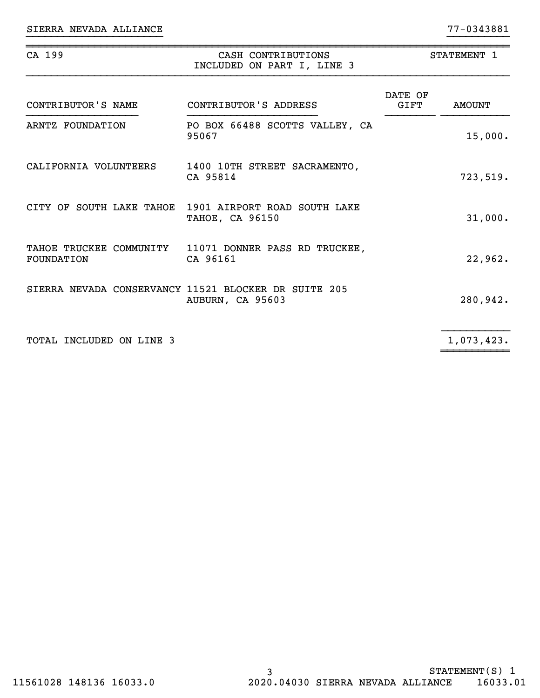| CA 199                   | CASH CONTRIBUTIONS<br>INCLUDED ON PART I, LINE 3                                | STATEMENT 1     |               |  |
|--------------------------|---------------------------------------------------------------------------------|-----------------|---------------|--|
| CONTRIBUTOR'S NAME       | CONTRIBUTOR'S ADDRESS                                                           | DATE OF<br>GIFT | <b>AMOUNT</b> |  |
| ARNTZ FOUNDATION         | PO BOX 66488 SCOTTS VALLEY, CA<br>95067                                         |                 | 15,000.       |  |
| CALIFORNIA VOLUNTEERS    | 1400 10TH STREET SACRAMENTO,<br>CA 95814                                        |                 | 723,519.      |  |
|                          | CITY OF SOUTH LAKE TAHOE 1901 AIRPORT ROAD SOUTH LAKE<br><b>TAHOE, CA 96150</b> |                 | 31,000.       |  |
| <b>FOUNDATION</b>        | TAHOE TRUCKEE COMMUNITY 11071 DONNER PASS RD TRUCKEE,<br>CA 96161               |                 | 22,962.       |  |
|                          | SIERRA NEVADA CONSERVANCY 11521 BLOCKER DR SUITE 205<br>AUBURN, CA 95603        |                 | 280,942.      |  |
| TOTAL INCLUDED ON LINE 3 |                                                                                 |                 | 1,073,423.    |  |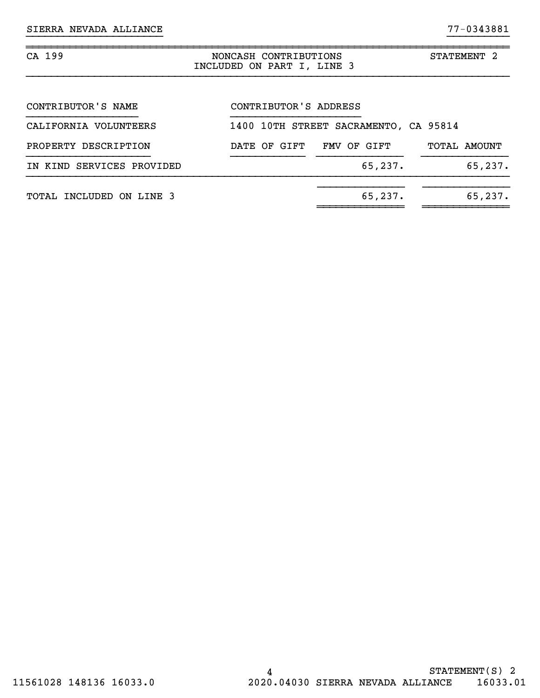| CA 199                    | NONCASH CONTRIBUTIONS<br>STATEMENT 2<br>INCLUDED ON PART I, LINE 3 |
|---------------------------|--------------------------------------------------------------------|
| CONTRIBUTOR'S NAME        | CONTRIBUTOR'S ADDRESS                                              |
| CALIFORNIA VOLUNTEERS     | 1400 10TH STREET SACRAMENTO, CA 95814                              |
| PROPERTY DESCRIPTION      | DATE OF GIFT<br>FMV OF GIFT<br>TOTAL AMOUNT                        |
| IN KIND SERVICES PROVIDED | 65,237.<br>65, 237.                                                |
| TOTAL INCLUDED ON LINE 3  | 65, 237.<br>65, 237.                                               |
|                           |                                                                    |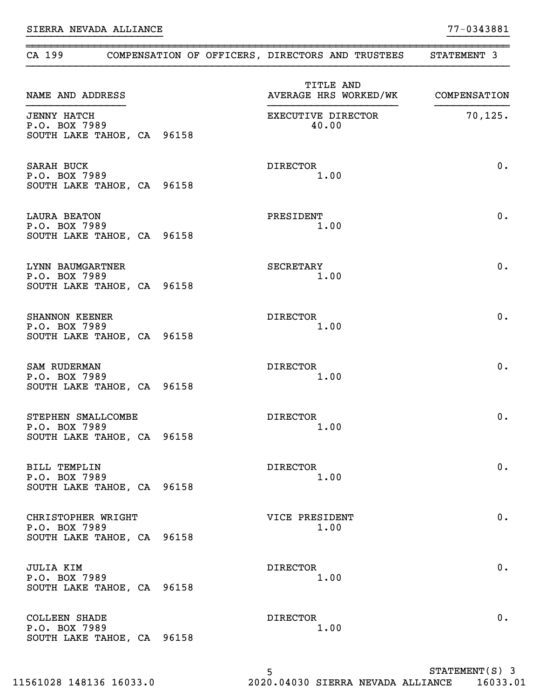| CA 199                                                             |  | COMPENSATION OF OFFICERS, DIRECTORS AND TRUSTEES | STATEMENT 3      |
|--------------------------------------------------------------------|--|--------------------------------------------------|------------------|
| NAME AND ADDRESS                                                   |  | TITLE AND<br>AVERAGE HRS WORKED/WK COMPENSATION  |                  |
| <b>JENNY HATCH</b><br>P.O. BOX 7989<br>SOUTH LAKE TAHOE, CA 96158  |  | EXECUTIVE DIRECTOR<br>40.00                      | 70, 125.         |
| SARAH BUCK<br>P.O. BOX 7989<br>SOUTH LAKE TAHOE, CA 96158          |  | DIRECTOR<br>1.00                                 | 0.               |
| <b>LAURA BEATON</b><br>P.O. BOX 7989<br>SOUTH LAKE TAHOE, CA 96158 |  | PRESIDENT<br>1.00                                | 0.               |
| LYNN BAUMGARTNER<br>P.O. BOX 7989<br>SOUTH LAKE TAHOE, CA 96158    |  | SECRETARY<br>1.00                                | 0.               |
| SHANNON KEENER<br>P.O. BOX 7989<br>SOUTH LAKE TAHOE, CA 96158      |  | DIRECTOR<br>1.00                                 | 0.               |
| SAM RUDERMAN<br>P.O. BOX 7989<br>SOUTH LAKE TAHOE, CA 96158        |  | DIRECTOR<br>1.00                                 | 0.               |
| STEPHEN SMALLCOMBE<br>P.O. BOX 7989<br>SOUTH LAKE TAHOE, CA 96158  |  | <b>DIRECTOR</b><br>1.00                          | 0.               |
| BILL TEMPLIN<br>P.O. BOX 7989<br>SOUTH LAKE TAHOE, CA 96158        |  | DIRECTOR<br>1.00                                 | 0.               |
| CHRISTOPHER WRIGHT<br>P.O. BOX 7989<br>SOUTH LAKE TAHOE, CA 96158  |  | VICE PRESIDENT<br>1.00                           | $0$ .            |
| <b>JULIA KIM</b><br>P.O. BOX 7989<br>SOUTH LAKE TAHOE, CA 96158    |  | DIRECTOR<br>1.00                                 | $0$ .            |
| COLLEEN SHADE<br>P.O. BOX 7989<br>SOUTH LAKE TAHOE, CA 96158       |  | DIRECTOR<br>1.00                                 | $0$ .            |
|                                                                    |  | 5                                                | $STATEMENT(S)$ 3 |

~~~~~~~~~~~~~~~~~~~~~~~~~~~~~~~~~~~~~~~~~~~~~~~~~~~~~~~~~~~~~~~~~~~~~~~~~~~~~~

5 11561028 148136 16033.0 2020.04030 SIERRA NEVADA ALLIANCE 16033.01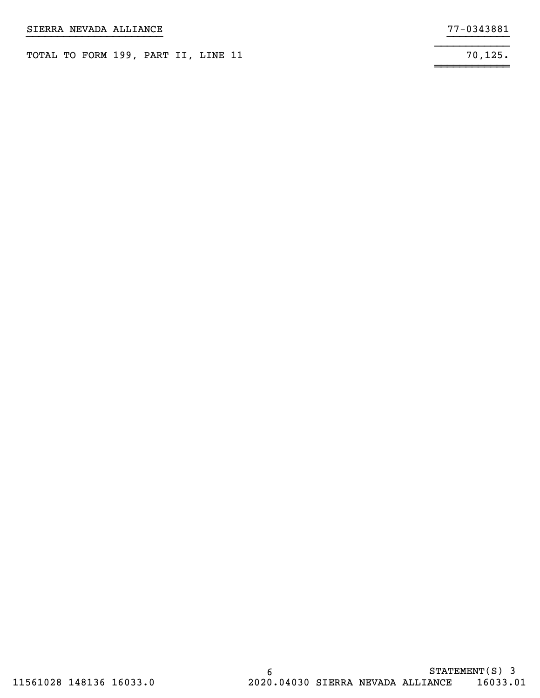| SIERRA NEVADA ALLIANCE |                                     | 77-0343881 |
|------------------------|-------------------------------------|------------|
|                        | TOTAL TO FORM 199, PART II, LINE 11 | 70.125.    |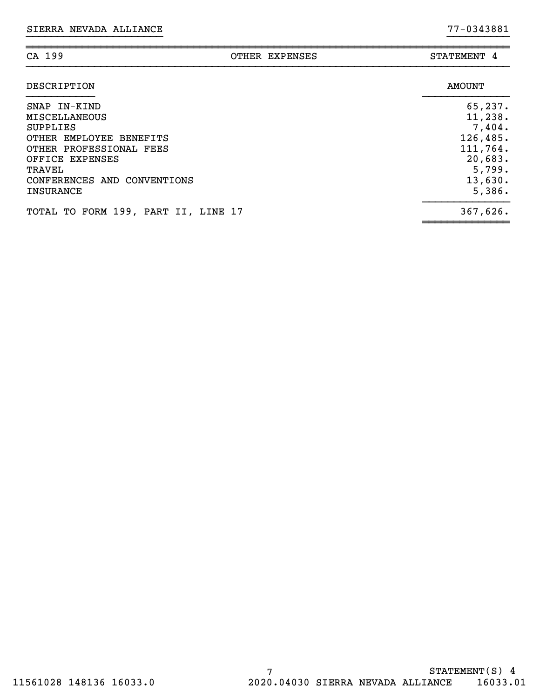| CA 199                                                                                                                                                                                 | OTHER EXPENSES | STATEMENT 4                                                                                     |
|----------------------------------------------------------------------------------------------------------------------------------------------------------------------------------------|----------------|-------------------------------------------------------------------------------------------------|
| DESCRIPTION                                                                                                                                                                            |                | <b>AMOUNT</b>                                                                                   |
| SNAP IN-KIND<br><b>MISCELLANEOUS</b><br><b>SUPPLIES</b><br>OTHER EMPLOYEE BENEFITS<br>OTHER PROFESSIONAL FEES<br>OFFICE EXPENSES<br>TRAVEL<br>CONFERENCES AND CONVENTIONS<br>INSURANCE |                | 65,237.<br>11,238.<br>7,404.<br>126, 485.<br>111,764.<br>20,683.<br>5,799.<br>13,630.<br>5,386. |
| TOTAL TO FORM 199, PART II, LINE 17                                                                                                                                                    |                | 367,626.                                                                                        |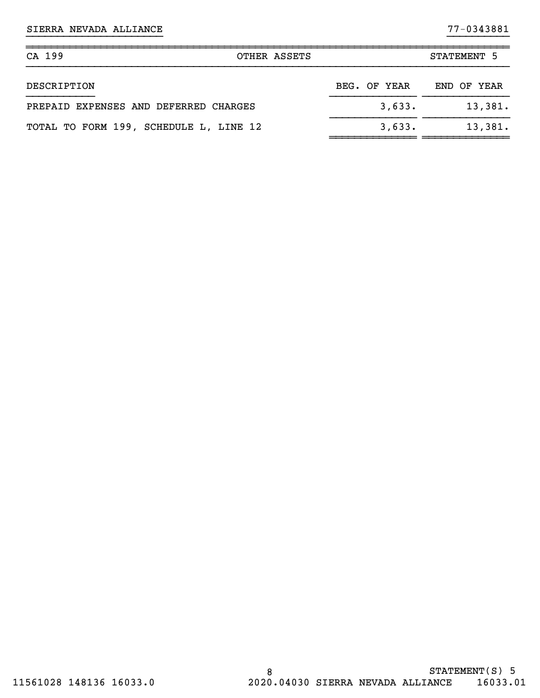| CA 199<br>OTHER ASSETS                 |              | STATEMENT 5 |
|----------------------------------------|--------------|-------------|
| DESCRIPTION                            | BEG. OF YEAR | END OF YEAR |
| PREPAID EXPENSES AND DEFERRED CHARGES  | 3,633.       | 13,381.     |
| TOTAL TO FORM 199, SCHEDULE L, LINE 12 | 3,633.       | 13,381.     |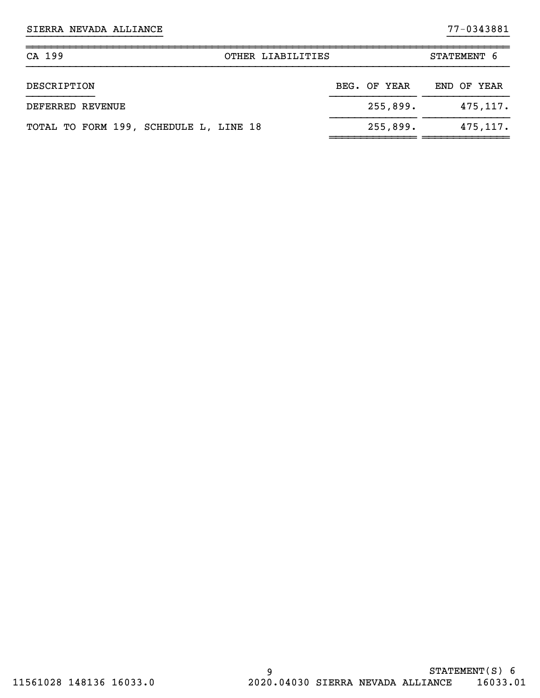| CA 199<br>OTHER LIABILITIES            |              | STATEMENT 6 |
|----------------------------------------|--------------|-------------|
| DESCRIPTION                            | BEG. OF YEAR | END OF YEAR |
| DEFERRED REVENUE                       | 255,899.     | 475, 117.   |
| TOTAL TO FORM 199, SCHEDULE L, LINE 18 | 255,899.     | 475, 117.   |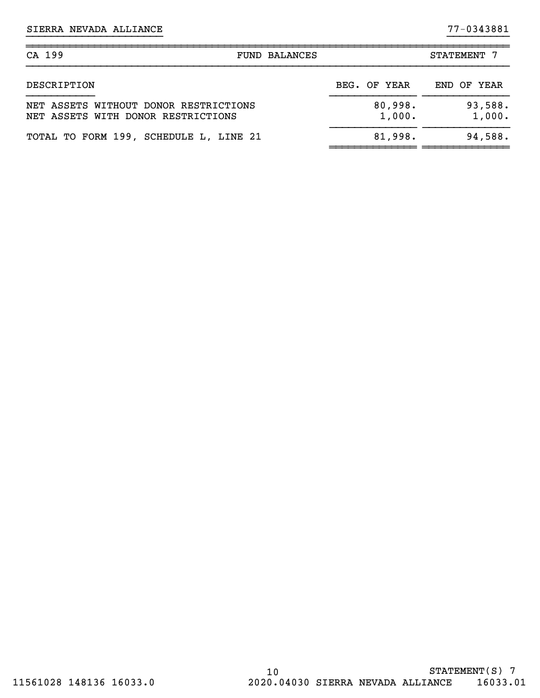| CA 199<br><b>FUND BALANCES</b>                                              |                   | STATEMENT 7       |
|-----------------------------------------------------------------------------|-------------------|-------------------|
| DESCRIPTION                                                                 | BEG. OF YEAR      | END OF YEAR       |
| NET ASSETS WITHOUT DONOR RESTRICTIONS<br>NET ASSETS WITH DONOR RESTRICTIONS | 80,998.<br>1,000. | 93,588.<br>1,000. |
| TOTAL TO FORM 199, SCHEDULE L, LINE 21                                      | 81,998.           | 94,588.           |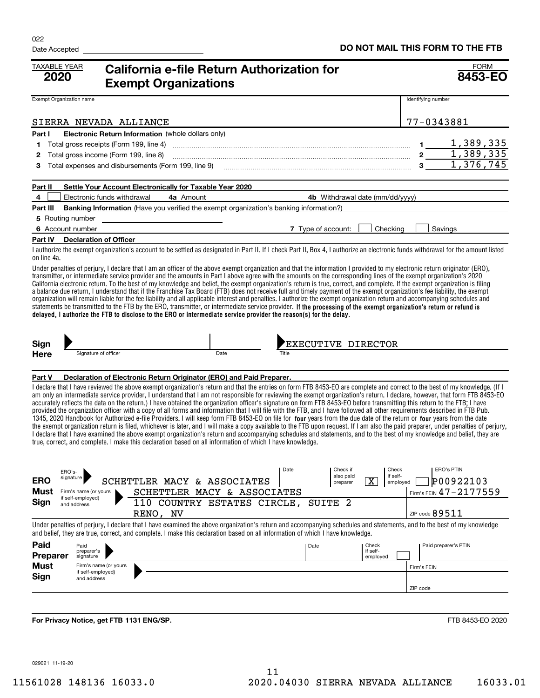| <b>TAXABLE YEAR</b><br>2020 | California e-file Return Authorization for<br><b>Exempt Organizations</b>                                                                                                                                                                                                                                                                                                                                                                                                                                                                                                                                                                                                                                                                                                                                                                                                                                                                                                                                                                                                                                                                                                                                                                                                                                                                                             | <b>FORM</b><br>8453-EO                                                                                                          |
|-----------------------------|-----------------------------------------------------------------------------------------------------------------------------------------------------------------------------------------------------------------------------------------------------------------------------------------------------------------------------------------------------------------------------------------------------------------------------------------------------------------------------------------------------------------------------------------------------------------------------------------------------------------------------------------------------------------------------------------------------------------------------------------------------------------------------------------------------------------------------------------------------------------------------------------------------------------------------------------------------------------------------------------------------------------------------------------------------------------------------------------------------------------------------------------------------------------------------------------------------------------------------------------------------------------------------------------------------------------------------------------------------------------------|---------------------------------------------------------------------------------------------------------------------------------|
| Exempt Organization name    |                                                                                                                                                                                                                                                                                                                                                                                                                                                                                                                                                                                                                                                                                                                                                                                                                                                                                                                                                                                                                                                                                                                                                                                                                                                                                                                                                                       | Identifying number                                                                                                              |
|                             | SIERRA NEVADA ALLIANCE                                                                                                                                                                                                                                                                                                                                                                                                                                                                                                                                                                                                                                                                                                                                                                                                                                                                                                                                                                                                                                                                                                                                                                                                                                                                                                                                                | 77-0343881                                                                                                                      |
| Part I                      | <b>Electronic Return Information</b> (whole dollars only)                                                                                                                                                                                                                                                                                                                                                                                                                                                                                                                                                                                                                                                                                                                                                                                                                                                                                                                                                                                                                                                                                                                                                                                                                                                                                                             |                                                                                                                                 |
| 1                           | Total gross receipts (Form 199, line 4)                                                                                                                                                                                                                                                                                                                                                                                                                                                                                                                                                                                                                                                                                                                                                                                                                                                                                                                                                                                                                                                                                                                                                                                                                                                                                                                               | 1,389,335<br>1.                                                                                                                 |
| 2                           | Total gross income (Form 199, line 8)                                                                                                                                                                                                                                                                                                                                                                                                                                                                                                                                                                                                                                                                                                                                                                                                                                                                                                                                                                                                                                                                                                                                                                                                                                                                                                                                 | 1, 389, 335<br>$2\overline{)}$                                                                                                  |
| 3                           |                                                                                                                                                                                                                                                                                                                                                                                                                                                                                                                                                                                                                                                                                                                                                                                                                                                                                                                                                                                                                                                                                                                                                                                                                                                                                                                                                                       | 1,376,745<br>$3^{\circ}$                                                                                                        |
| Part II                     | Settle Your Account Electronically for Taxable Year 2020                                                                                                                                                                                                                                                                                                                                                                                                                                                                                                                                                                                                                                                                                                                                                                                                                                                                                                                                                                                                                                                                                                                                                                                                                                                                                                              |                                                                                                                                 |
| 4                           | Electronic funds withdrawal<br>4a Amount                                                                                                                                                                                                                                                                                                                                                                                                                                                                                                                                                                                                                                                                                                                                                                                                                                                                                                                                                                                                                                                                                                                                                                                                                                                                                                                              | 4b Withdrawal date (mm/dd/yyyy)                                                                                                 |
| Part III                    | Banking Information (Have you verified the exempt organization's banking information?)                                                                                                                                                                                                                                                                                                                                                                                                                                                                                                                                                                                                                                                                                                                                                                                                                                                                                                                                                                                                                                                                                                                                                                                                                                                                                |                                                                                                                                 |
|                             | 5 Routing number                                                                                                                                                                                                                                                                                                                                                                                                                                                                                                                                                                                                                                                                                                                                                                                                                                                                                                                                                                                                                                                                                                                                                                                                                                                                                                                                                      |                                                                                                                                 |
| 6 Account number            | 7 Type of account:                                                                                                                                                                                                                                                                                                                                                                                                                                                                                                                                                                                                                                                                                                                                                                                                                                                                                                                                                                                                                                                                                                                                                                                                                                                                                                                                                    | Checking<br>Savings                                                                                                             |
| Part IV                     | <b>Declaration of Officer</b>                                                                                                                                                                                                                                                                                                                                                                                                                                                                                                                                                                                                                                                                                                                                                                                                                                                                                                                                                                                                                                                                                                                                                                                                                                                                                                                                         |                                                                                                                                 |
| on line 4a.                 | I authorize the exempt organization's account to be settled as designated in Part II. If I check Part II, Box 4, I authorize an electronic funds withdrawal for the amount listed                                                                                                                                                                                                                                                                                                                                                                                                                                                                                                                                                                                                                                                                                                                                                                                                                                                                                                                                                                                                                                                                                                                                                                                     |                                                                                                                                 |
|                             | Under penalties of perjury, I declare that I am an officer of the above exempt organization and that the information I provided to my electronic return originator (ERO),<br>transmitter, or intermediate service provider and the amounts in Part I above agree with the amounts on the corresponding lines of the exempt organization's 2020<br>California electronic return. To the best of my knowledge and belief, the exempt organization's return is true, correct, and complete. If the exempt organization is filing<br>a balance due return, I understand that if the Franchise Tax Board (FTB) does not receive full and timely payment of the exempt organization's fee liability, the exempt<br>organization will remain liable for the fee liability and all applicable interest and penalties. I authorize the exempt organization return and accompanying schedules and<br>statements be transmitted to the FTB by the ERO, transmitter, or intermediate service provider. If the processing of the exempt organization's return or refund is<br>delayed, I authorize the FTB to disclose to the ERO or intermediate service provider the reason(s) for the delay.                                                                                                                                                                                    |                                                                                                                                 |
| Sign<br><b>Here</b>         | Signature of officer<br>Date<br>Title                                                                                                                                                                                                                                                                                                                                                                                                                                                                                                                                                                                                                                                                                                                                                                                                                                                                                                                                                                                                                                                                                                                                                                                                                                                                                                                                 | EXECUTIVE DIRECTOR                                                                                                              |
|                             |                                                                                                                                                                                                                                                                                                                                                                                                                                                                                                                                                                                                                                                                                                                                                                                                                                                                                                                                                                                                                                                                                                                                                                                                                                                                                                                                                                       |                                                                                                                                 |
| Part V                      | Declaration of Electronic Return Originator (ERO) and Paid Preparer.                                                                                                                                                                                                                                                                                                                                                                                                                                                                                                                                                                                                                                                                                                                                                                                                                                                                                                                                                                                                                                                                                                                                                                                                                                                                                                  |                                                                                                                                 |
|                             | I declare that I have reviewed the above exempt organization's return and that the entries on form FTB 8453-EO are complete and correct to the best of my knowledge. (If I<br>am only an intermediate service provider, I understand that I am not responsible for reviewing the exempt organization's return. I declare, however, that form FTB 8453-EO<br>accurately reflects the data on the return.) I have obtained the organization officer's signature on form FTB 8453-EO before transmitting this return to the FTB; I have<br>provided the organization officer with a copy of all forms and information that I will file with the FTB, and I have followed all other requirements described in FTB Pub.<br>1345, 2020 Handbook for Authorized e-file Providers. I will keep form FTB 8453-EO on file for four years from the due date of the return or four years from the date<br>the exempt organization return is filed, whichever is later, and I will make a copy available to the FTB upon request. If I am also the paid preparer, under penalties of perjury,<br>I declare that I have examined the above exempt organization's return and accompanying schedules and statements, and to the best of my knowledge and belief, they are<br>true, correct, and complete. I make this declaration based on all information of which I have knowledge. |                                                                                                                                 |
| <b>ERO</b>                  | Date<br>ERO's-<br>signature<br>SCHETTLER MACY & ASSOCIATES                                                                                                                                                                                                                                                                                                                                                                                                                                                                                                                                                                                                                                                                                                                                                                                                                                                                                                                                                                                                                                                                                                                                                                                                                                                                                                            | <b>ERO's PTIN</b><br>Check if<br>Check<br>if self-<br>also paid<br>$\overline{\texttt{x}}$<br>P00922103<br>employed<br>preparer |
| Must                        | SCHETTLER MACY & ASSOCIATES<br>Firm's name (or yours                                                                                                                                                                                                                                                                                                                                                                                                                                                                                                                                                                                                                                                                                                                                                                                                                                                                                                                                                                                                                                                                                                                                                                                                                                                                                                                  | Firm's FEIN 47-2177559                                                                                                          |
| Sign                        | if self-employed)<br>110 COUNTRY ESTATES CIRCLE,<br>SUITE <sub>2</sub><br>and address                                                                                                                                                                                                                                                                                                                                                                                                                                                                                                                                                                                                                                                                                                                                                                                                                                                                                                                                                                                                                                                                                                                                                                                                                                                                                 |                                                                                                                                 |
|                             | RENO, NV                                                                                                                                                                                                                                                                                                                                                                                                                                                                                                                                                                                                                                                                                                                                                                                                                                                                                                                                                                                                                                                                                                                                                                                                                                                                                                                                                              | ZIP code $89511$                                                                                                                |
|                             | Under penalties of periury. I declare that I have examined the above organization's return and accompanying schedules and statements, and to the best of my knowledge<br>and belief, they are true, correct, and complete. I make this declaration based on all information of which I have knowledge.                                                                                                                                                                                                                                                                                                                                                                                                                                                                                                                                                                                                                                                                                                                                                                                                                                                                                                                                                                                                                                                                |                                                                                                                                 |
| Paid<br>Preparer            | Date<br>Paid<br>preparer's<br>signature                                                                                                                                                                                                                                                                                                                                                                                                                                                                                                                                                                                                                                                                                                                                                                                                                                                                                                                                                                                                                                                                                                                                                                                                                                                                                                                               | Paid preparer's PTIN<br>Check<br>if self-<br>employed                                                                           |
| <b>Must</b>                 | Firm's name (or yours                                                                                                                                                                                                                                                                                                                                                                                                                                                                                                                                                                                                                                                                                                                                                                                                                                                                                                                                                                                                                                                                                                                                                                                                                                                                                                                                                 | Firm's FEIN                                                                                                                     |
| Sign                        | if self-employed)<br>and address                                                                                                                                                                                                                                                                                                                                                                                                                                                                                                                                                                                                                                                                                                                                                                                                                                                                                                                                                                                                                                                                                                                                                                                                                                                                                                                                      |                                                                                                                                 |
|                             |                                                                                                                                                                                                                                                                                                                                                                                                                                                                                                                                                                                                                                                                                                                                                                                                                                                                                                                                                                                                                                                                                                                                                                                                                                                                                                                                                                       | ZIP code                                                                                                                        |
|                             |                                                                                                                                                                                                                                                                                                                                                                                                                                                                                                                                                                                                                                                                                                                                                                                                                                                                                                                                                                                                                                                                                                                                                                                                                                                                                                                                                                       |                                                                                                                                 |
|                             | For Privacy Notice, get FTB 1131 ENG/SP.                                                                                                                                                                                                                                                                                                                                                                                                                                                                                                                                                                                                                                                                                                                                                                                                                                                                                                                                                                                                                                                                                                                                                                                                                                                                                                                              | FTB 8453-EO 2020                                                                                                                |

029021 11-19-20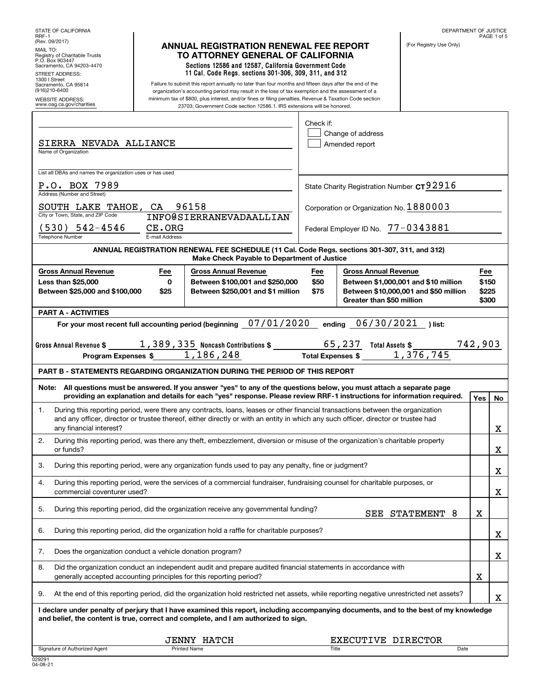| STATE OF CALIFORNIA<br>RRF-1                                                                                                                                                                                                                                                                                                                                                                                                                                                                                                                                                                         | DEPARTMENT OF JUSTICE<br>PAGE 1 of 5                                                                                                                                                               |  |
|------------------------------------------------------------------------------------------------------------------------------------------------------------------------------------------------------------------------------------------------------------------------------------------------------------------------------------------------------------------------------------------------------------------------------------------------------------------------------------------------------------------------------------------------------------------------------------------------------|----------------------------------------------------------------------------------------------------------------------------------------------------------------------------------------------------|--|
| (Rev. 09/2017)<br><b>ANNUAL REGISTRATION RENEWAL FEE REPORT</b><br>MAIL TO:<br>TO ATTORNEY GENERAL OF CALIFORNIA<br>Registry of Charitable Trusts<br>P.O. Box 903447<br>Sections 12586 and 12587, California Government Code<br>Sacramento, CA 94203-4470                                                                                                                                                                                                                                                                                                                                            | (For Registry Use Only)                                                                                                                                                                            |  |
| 11 Cal. Code Regs. sections 301-306, 309, 311, and 312<br><b>STREET ADDRESS:</b><br>1300   Street<br>Failure to submit this report annually no later than four months and fifteen days after the end of the<br>Sacramento, CA 95814<br>(916)210-6400<br>organization's accounting period may result in the loss of tax exemption and the assessment of a<br>minimum tax of \$800, plus interest, and/or fines or filing penalties. Revenue & Taxation Code section<br><b>WEBSITE ADDRESS:</b><br>www.oag.ca.gov/charities<br>23703; Government Code section 12586.1. IRS extensions will be honored. |                                                                                                                                                                                                    |  |
| SIERRA NEVADA ALLIANCE<br>Name of Organization                                                                                                                                                                                                                                                                                                                                                                                                                                                                                                                                                       | Check if:<br>Change of address<br>Amended report                                                                                                                                                   |  |
| List all DBAs and names the organization uses or has used<br>P.O. BOX 7989                                                                                                                                                                                                                                                                                                                                                                                                                                                                                                                           | State Charity Registration Number CT92916                                                                                                                                                          |  |
| Address (Number and Street)<br>SOUTH LAKE TAHOE, CA 96158<br>City or Town, State, and ZIP Code<br><b>INFO@SIERRANEVADAALLIAN</b>                                                                                                                                                                                                                                                                                                                                                                                                                                                                     | Corporation or Organization No. 1880003                                                                                                                                                            |  |
| (530) 542-4546<br>CE.ORG<br>E-mail Address<br><b>Telephone Number</b>                                                                                                                                                                                                                                                                                                                                                                                                                                                                                                                                | Federal Employer ID No. 77-0343881                                                                                                                                                                 |  |
|                                                                                                                                                                                                                                                                                                                                                                                                                                                                                                                                                                                                      | ANNUAL REGISTRATION RENEWAL FEE SCHEDULE (11 Cal. Code Regs. sections 301-307, 311, and 312)<br>Make Check Payable to Department of Justice                                                        |  |
| <b>Gross Annual Revenue</b><br>Fee<br><b>Gross Annual Revenue</b><br>$\mathbf 0$<br>Between \$100,001 and \$250,000<br><b>Less than \$25,000</b><br>Between \$25,000 and \$100,000<br>\$25<br>Between \$250,001 and \$1 million                                                                                                                                                                                                                                                                                                                                                                      | <b>Gross Annual Revenue</b><br>Fee<br>Fee<br>\$50<br>\$150<br>Between \$1,000,001 and \$10 million<br>\$75<br>Between \$10,000,001 and \$50 million<br>\$225<br>Greater than \$50 million<br>\$300 |  |
| <b>PART A - ACTIVITIES</b>                                                                                                                                                                                                                                                                                                                                                                                                                                                                                                                                                                           |                                                                                                                                                                                                    |  |
| For your most recent full accounting period (beginning 07/01/2020                                                                                                                                                                                                                                                                                                                                                                                                                                                                                                                                    | ending 06/30/2021<br>) list:<br>742,903                                                                                                                                                            |  |
| Gross Annual Revenue \$ $\frac{1,389,335}{}$ Noncash Contributions \$ $\frac{65,237}{}$ Total Assets \$ Program Expenses \$ $\frac{1,186,248}{}$                                                                                                                                                                                                                                                                                                                                                                                                                                                     |                                                                                                                                                                                                    |  |
| <b>PART B - STATEMENTS REGARDING ORGANIZATION DURING THE PERIOD OF THIS REPORT</b>                                                                                                                                                                                                                                                                                                                                                                                                                                                                                                                   |                                                                                                                                                                                                    |  |
| Note: All questions must be answered. If you answer "yes" to any of the questions below, you must attach a separate page<br>providing an explanation and details for each "yes" response. Please review RRF-1 instructions for information required.                                                                                                                                                                                                                                                                                                                                                 | Yes<br>No                                                                                                                                                                                          |  |
| During this reporting period, were there any contracts, loans, leases or other financial transactions between the organization<br>1.<br>and any officer, director or trustee thereof, either directly or with an entity in which any such officer, director or trustee had<br>any financial interest?                                                                                                                                                                                                                                                                                                |                                                                                                                                                                                                    |  |
| 2.<br>During this reporting period, was there any theft, embezzlement, diversion or misuse of the organization's charitable property<br>or funds?                                                                                                                                                                                                                                                                                                                                                                                                                                                    | X                                                                                                                                                                                                  |  |
| During this reporting period, were any organization funds used to pay any penalty, fine or judgment?<br>З.                                                                                                                                                                                                                                                                                                                                                                                                                                                                                           |                                                                                                                                                                                                    |  |
| During this reporting period, were the services of a commercial fundraiser, fundraising counsel for charitable purposes, or<br>4.<br>commercial coventurer used?                                                                                                                                                                                                                                                                                                                                                                                                                                     | X                                                                                                                                                                                                  |  |
| 5.<br>During this reporting period, did the organization receive any governmental funding?                                                                                                                                                                                                                                                                                                                                                                                                                                                                                                           | X<br>SEE STATEMENT 8                                                                                                                                                                               |  |
| 6.<br>During this reporting period, did the organization hold a raffle for charitable purposes?                                                                                                                                                                                                                                                                                                                                                                                                                                                                                                      |                                                                                                                                                                                                    |  |
| 7.<br>Does the organization conduct a vehicle donation program?                                                                                                                                                                                                                                                                                                                                                                                                                                                                                                                                      |                                                                                                                                                                                                    |  |
| Did the organization conduct an independent audit and prepare audited financial statements in accordance with<br>8.<br>generally accepted accounting principles for this reporting period?                                                                                                                                                                                                                                                                                                                                                                                                           |                                                                                                                                                                                                    |  |
| At the end of this reporting period, did the organization hold restricted net assets, while reporting negative unrestricted net assets?<br>9.                                                                                                                                                                                                                                                                                                                                                                                                                                                        |                                                                                                                                                                                                    |  |
| I declare under penalty of perjury that I have examined this report, including accompanying documents, and to the best of my knowledge<br>and belief, the content is true, correct and complete, and I am authorized to sign.                                                                                                                                                                                                                                                                                                                                                                        |                                                                                                                                                                                                    |  |
| <b>JENNY HATCH</b>                                                                                                                                                                                                                                                                                                                                                                                                                                                                                                                                                                                   | EXECUTIVE DIRECTOR                                                                                                                                                                                 |  |